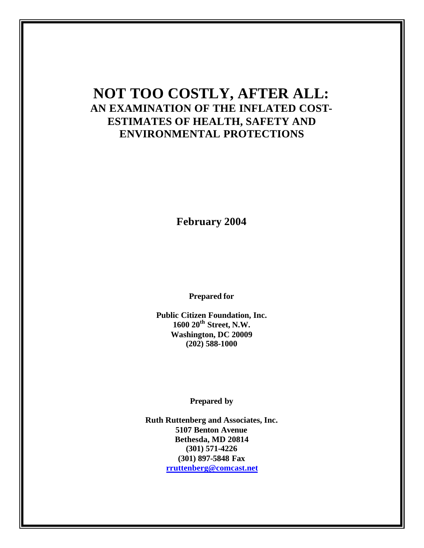# **NOT TOO COSTLY, AFTER ALL: AN EXAMINATION OF THE INFLATED COST-ESTIMATES OF HEALTH, SAFETY AND ENVIRONMENTAL PROTECTIONS**

**February 2004**

**Prepared for** 

**Public Citizen Foundation, Inc. 1600 20th Street, N.W. Washington, DC 20009 (202) 588-1000**

**Prepared by**

**Ruth Ruttenberg and Associates, Inc. 5107 Benton Avenue Bethesda, MD 20814 (301) 571-4226 (301) 897-5848 Fax rruttenberg@comcast.net**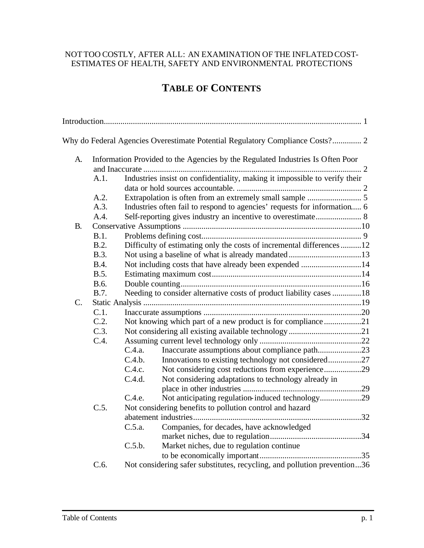## NOTTOO COSTLY, AFTER ALL: AN EXAMINATION OF THE INFLATED COST-ESTIMATES OF HEALTH, SAFETY AND ENVIRONMENTAL PROTECTIONS

# **TABLE OF CONTENTS**

|                 |             | Why do Federal Agencies Overestimate Potential Regulatory Compliance Costs? 2  |  |
|-----------------|-------------|--------------------------------------------------------------------------------|--|
| A.              |             | Information Provided to the Agencies by the Regulated Industries Is Often Poor |  |
|                 |             |                                                                                |  |
|                 | A.1.        | Industries insist on confidentiality, making it impossible to verify their     |  |
|                 |             |                                                                                |  |
|                 | A.2.        |                                                                                |  |
|                 | A.3.        | Industries often fail to respond to agencies' requests for information 6       |  |
|                 | A.4.        | Self-reporting gives industry an incentive to overestimate 8                   |  |
| <b>B.</b>       |             |                                                                                |  |
|                 | B.1.        |                                                                                |  |
|                 | B.2.        | Difficulty of estimating only the costs of incremental differences12           |  |
|                 | B.3.        |                                                                                |  |
|                 | <b>B.4.</b> | Not including costs that have already been expended 14                         |  |
|                 | B.5.        |                                                                                |  |
|                 | B.6.        |                                                                                |  |
|                 | B.7.        | Needing to consider alternative costs of product liability cases 18            |  |
| $\mathcal{C}$ . |             |                                                                                |  |
|                 | C.1.        |                                                                                |  |
|                 | C.2.        | Not knowing which part of a new product is for compliance21                    |  |
|                 | C.3.        |                                                                                |  |
|                 | C.4.        |                                                                                |  |
|                 |             | Inaccurate assumptions about compliance path23<br>C.4.a.                       |  |
|                 |             | Innovations to existing technology not considered27<br>C.4.b.                  |  |
|                 |             | Not considering cost reductions from experience29<br>C.4.c.                    |  |
|                 |             | Not considering adaptations to technology already in<br>C.4.d.                 |  |
|                 |             |                                                                                |  |
|                 |             | Not anticipating regulation-induced technology29<br>C.4.e.                     |  |
|                 | C.5.        | Not considering benefits to pollution control and hazard                       |  |
|                 |             |                                                                                |  |
|                 |             | Companies, for decades, have acknowledged<br>C.5.a.                            |  |
|                 |             |                                                                                |  |
|                 |             | Market niches, due to regulation continue<br>C.5.b.                            |  |
|                 |             |                                                                                |  |
|                 | C.6.        | Not considering safer substitutes, recycling, and pollution prevention36       |  |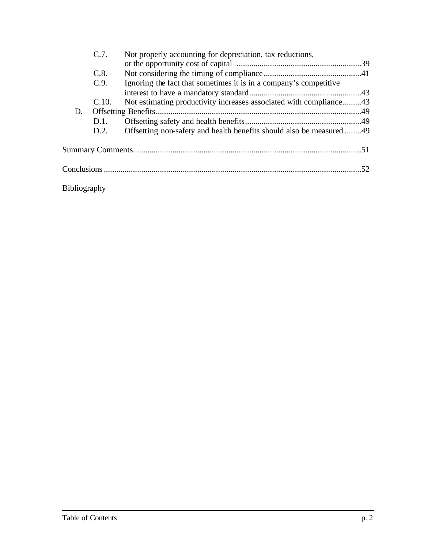|                     | C.7.  | Not properly accounting for depreciation, tax reductions,            |  |  |
|---------------------|-------|----------------------------------------------------------------------|--|--|
|                     |       |                                                                      |  |  |
|                     | C.8.  |                                                                      |  |  |
|                     | C.9.  | Ignoring the fact that sometimes it is in a company's competitive    |  |  |
|                     |       |                                                                      |  |  |
|                     | C.10. | Not estimating productivity increases associated with compliance43   |  |  |
| D.                  |       |                                                                      |  |  |
|                     | D.1.  |                                                                      |  |  |
|                     | D.2.  | Offsetting non-safety and health benefits should also be measured 49 |  |  |
|                     |       |                                                                      |  |  |
|                     |       |                                                                      |  |  |
| <b>Bibliography</b> |       |                                                                      |  |  |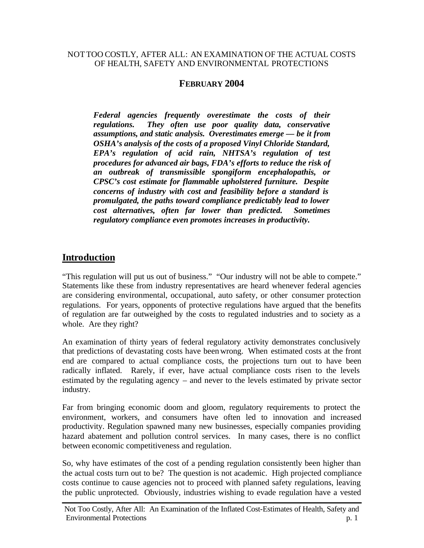#### NOTTOO COSTLY, AFTER ALL: AN EXAMINATION OF THE ACTUAL COSTS OF HEALTH, SAFETY AND ENVIRONMENTAL PROTECTIONS

## **FEBRUARY 2004**

*Federal agencies frequently overestimate the costs of their regulations. They often use poor quality data, conservative assumptions, and static analysis. Overestimates emerge — be it from OSHA's analysis of the costs of a proposed Vinyl Chloride Standard, EPA's regulation of acid rain, NHTSA's regulation of test procedures for advanced air bags, FDA's efforts to reduce the risk of an outbreak of transmissible spongiform encephalopathis, or CPSC's cost estimate for flammable upholstered furniture. Despite concerns of industry with cost and feasibility before a standard is promulgated, the paths toward compliance predictably lead to lower cost alternatives, often far lower than predicted. Sometimes regulatory compliance even promotes increases in productivity.*

# **Introduction**

"This regulation will put us out of business." "Our industry will not be able to compete." Statements like these from industry representatives are heard whenever federal agencies are considering environmental, occupational, auto safety, or other consumer protection regulations. For years, opponents of protective regulations have argued that the benefits of regulation are far outweighed by the costs to regulated industries and to society as a whole. Are they right?

An examination of thirty years of federal regulatory activity demonstrates conclusively that predictions of devastating costs have been wrong. When estimated costs at the front end are compared to actual compliance costs, the projections turn out to have been radically inflated. Rarely, if ever, have actual compliance costs risen to the levels estimated by the regulating agency – and never to the levels estimated by private sector industry.

Far from bringing economic doom and gloom, regulatory requirements to protect the environment, workers, and consumers have often led to innovation and increased productivity. Regulation spawned many new businesses, especially companies providing hazard abatement and pollution control services. In many cases, there is no conflict between economic competitiveness and regulation.

So, why have estimates of the cost of a pending regulation consistently been higher than the actual costs turn out to be? The question is not academic. High projected compliance costs continue to cause agencies not to proceed with planned safety regulations, leaving the public unprotected. Obviously, industries wishing to evade regulation have a vested

Not Too Costly, After All: An Examination of the Inflated Cost-Estimates of Health, Safety and Environmental Protections p. 1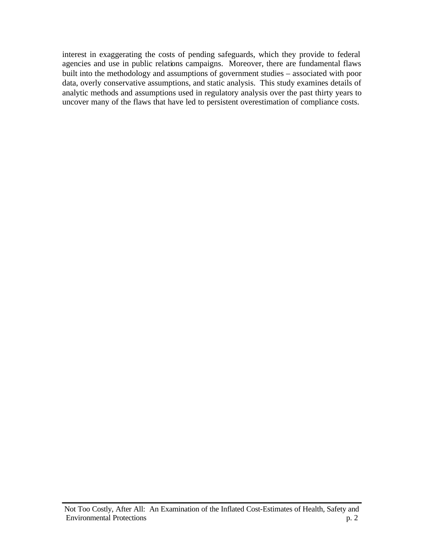interest in exaggerating the costs of pending safeguards, which they provide to federal agencies and use in public relations campaigns. Moreover, there are fundamental flaws built into the methodology and assumptions of government studies – associated with poor data, overly conservative assumptions, and static analysis. This study examines details of analytic methods and assumptions used in regulatory analysis over the past thirty years to uncover many of the flaws that have led to persistent overestimation of compliance costs.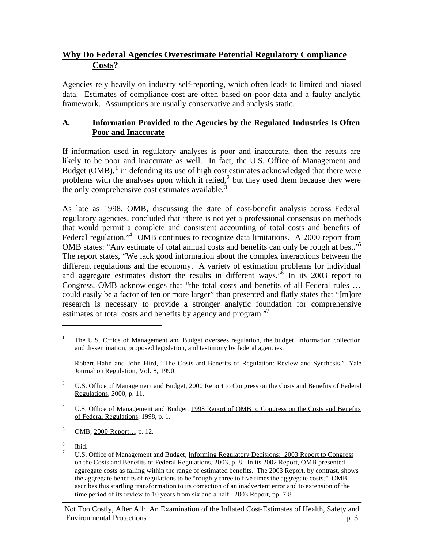# **Why Do Federal Agencies Overestimate Potential Regulatory Compliance Costs?**

Agencies rely heavily on industry self-reporting, which often leads to limited and biased data. Estimates of compliance cost are often based on poor data and a faulty analytic framework. Assumptions are usually conservative and analysis static.

## **A. Information Provided to the Agencies by the Regulated Industries Is Often Poor and Inaccurate**

If information used in regulatory analyses is poor and inaccurate, then the results are likely to be poor and inaccurate as well. In fact, the U.S. Office of Management and Budget  $(OMB)$ ,<sup>1</sup> in defending its use of high cost estimates acknowledged that there were problems with the analyses upon which it relied, $<sup>2</sup>$  but they used them because they were</sup> the only comprehensive cost estimates available. $3$ 

As late as 1998, OMB, discussing the state of cost-benefit analysis across Federal regulatory agencies, concluded that "there is not yet a professional consensus on methods that would permit a complete and consistent accounting of total costs and benefits of Federal regulation.<sup>4</sup> OMB continues to recognize data limitations. A 2000 report from OMB states: "Any estimate of total annual costs and benefits can only be rough at best."<sup>5</sup> The report states, "We lack good information about the complex interactions between the different regulations and the economy. A variety of estimation problems for individual and aggregate estimates distort the results in different ways.<sup>36</sup> In its 2003 report to Congress, OMB acknowledges that "the total costs and benefits of all Federal rules … could easily be a factor of ten or more larger" than presented and flatly states that "[m]ore research is necessary to provide a stronger analytic foundation for comprehensive estimates of total costs and benefits by agency and program."<sup>7</sup>

5 OMB, 2000 Report…, p. 12.

6 Ibid.

<sup>1</sup> The U.S. Office of Management and Budget oversees regulation, the budget, information collection and dissemination, proposed legislation, and testimony by federal agencies.

<sup>&</sup>lt;sup>2</sup> Robert Hahn and John Hird, "The Costs and Benefits of Regulation: Review and Synthesis," Yale Journal on Regulation, Vol. 8, 1990.

<sup>&</sup>lt;sup>3</sup> U.S. Office of Management and Budget, 2000 Report to Congress on the Costs and Benefits of Federal Regulations, 2000, p. 11.

<sup>&</sup>lt;sup>4</sup> U.S. Office of Management and Budget, 1998 Report of OMB to Congress on the Costs and Benefits of Federal Regulations, 1998, p. 1.

 $7 \text{ U.S. Office of Management and Budget, Informing Regularory Decisions: } 2003$  Report to Congress on the Costs and Benefits of Federal Regulations, 2003, p. 8. In its 2002 Report, OMB presented aggregate costs as falling within the range of estimated benefits. The 2003 Report, by contrast, shows the aggregate benefits of regulations to be "roughly three to five times the aggregate costs." OMB ascribes this startling transformation to its correction of an inadvertent error and to extension of the time period of its review to 10 years from six and a half. 2003 Report, pp. 7-8.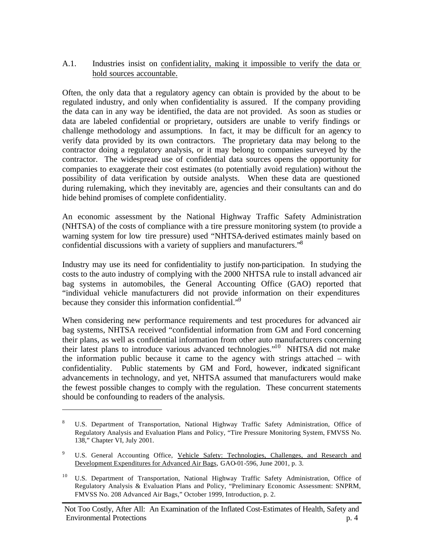#### A.1. Industries insist on confidentiality, making it impossible to verify the data or hold sources accountable.

Often, the only data that a regulatory agency can obtain is provided by the about to be regulated industry, and only when confidentiality is assured. If the company providing the data can in any way be identified, the data are not provided. As soon as studies or data are labeled confidential or proprietary, outsiders are unable to verify findings or challenge methodology and assumptions. In fact, it may be difficult for an agency to verify data provided by its own contractors. The proprietary data may belong to the contractor doing a regulatory analysis, or it may belong to companies surveyed by the contractor. The widespread use of confidential data sources opens the opportunity for companies to exaggerate their cost estimates (to potentially avoid regulation) without the possibility of data verification by outside analysts. When these data are questioned during rulemaking, which they inevitably are, agencies and their consultants can and do hide behind promises of complete confidentiality.

An economic assessment by the National Highway Traffic Safety Administration (NHTSA) of the costs of compliance with a tire pressure monitoring system (to provide a warning system for low tire pressure) used "NHTSA-derived estimates mainly based on confidential discussions with a variety of suppliers and manufacturers."<sup>8</sup>

Industry may use its need for confidentiality to justify non-participation.In studying the costs to the auto industry of complying with the 2000 NHTSA rule to install advanced air bag systems in automobiles, the General Accounting Office (GAO) reported that "individual vehicle manufacturers did not provide information on their expenditures because they consider this information confidential."<sup>9</sup>

When considering new performance requirements and test procedures for advanced air bag systems, NHTSA received "confidential information from GM and Ford concerning their plans, as well as confidential information from other auto manufacturers concerning their latest plans to introduce various advanced technologies."<sup>10</sup> NHTSA did not make the information public because it came to the agency with strings attached – with confidentiality. Public statements by GM and Ford, however, indicated significant advancements in technology, and yet, NHTSA assumed that manufacturers would make the fewest possible changes to comply with the regulation. These concurrent statements should be confounding to readers of the analysis.

<sup>8</sup> U.S. Department of Transportation, National Highway Traffic Safety Administration, Office of Regulatory Analysis and Evaluation Plans and Policy, "Tire Pressure Monitoring System, FMVSS No. 138," Chapter VI, July 2001.

<sup>&</sup>lt;sup>9</sup> U.S. General Accounting Office, Vehicle Safety: Technologies, Challenges, and Research and Development Expenditures for Advanced Air Bags, GAO-01-596, June 2001, p. 3.

<sup>10</sup> U.S. Department of Transportation, National Highway Traffic Safety Administration, Office of Regulatory Analysis & Evaluation Plans and Policy, "Preliminary Economic Assessment: SNPRM, FMVSS No. 208 Advanced Air Bags," October 1999, Introduction, p. 2.

Not Too Costly, After All: An Examination of the Inflated Cost-Estimates of Health, Safety and Environmental Protections p. 4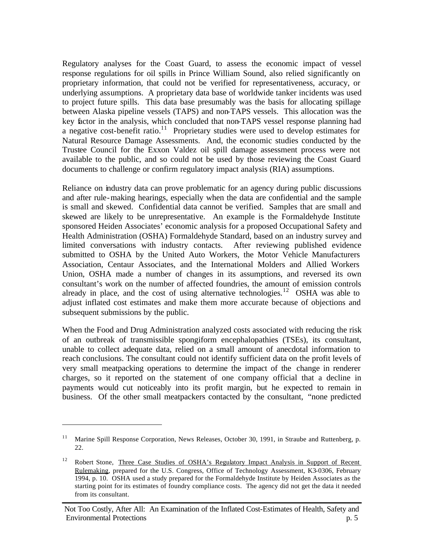Regulatory analyses for the Coast Guard, to assess the economic impact of vessel response regulations for oil spills in Prince William Sound, also relied significantly on proprietary information, that could not be verified for representativeness, accuracy, or underlying assumptions. A proprietary data base of worldwide tanker incidents was used to project future spills. This data base presumably was the basis for allocating spillage between Alaska pipeline vessels (TAPS) and non-TAPS vessels. This allocation was the key factor in the analysis, which concluded that non-TAPS vessel response planning had a negative cost-benefit ratio.<sup>11</sup> Proprietary studies were used to develop estimates for Natural Resource Damage Assessments. And, the economic studies conducted by the Trustee Council for the Exxon Valdez oil spill damage assessment process were not available to the public, and so could not be used by those reviewing the Coast Guard documents to challenge or confirm regulatory impact analysis (RIA) assumptions.

Reliance on industry data can prove problematic for an agency during public discussions and after rule-making hearings, especially when the data are confidential and the sample is small and skewed. Confidential data cannot be verified. Samples that are small and skewed are likely to be unrepresentative. An example is the Formaldehyde Institute sponsored Heiden Associates' economic analysis for a proposed Occupational Safety and Health Administration (OSHA) Formaldehyde Standard, based on an industry survey and limited conversations with industry contacts. After reviewing published evidence submitted to OSHA by the United Auto Workers, the Motor Vehicle Manufacturers Association, Centaur Associates, and the International Molders and Allied Workers Union, OSHA made a number of changes in its assumptions, and reversed its own consultant's work on the number of affected foundries, the amount of emission controls already in place, and the cost of using alternative technologies.<sup>12</sup> OSHA was able to adjust inflated cost estimates and make them more accurate because of objections and subsequent submissions by the public.

When the Food and Drug Administration analyzed costs associated with reducing the risk of an outbreak of transmissible spongiform encephalopathies (TSEs), its consultant, unable to collect adequate data, relied on a small amount of anecdotal information to reach conclusions. The consultant could not identify sufficient data on the profit levels of very small meatpacking operations to determine the impact of the change in renderer charges, so it reported on the statement of one company official that a decline in payments would cut noticeably into its profit margin, but he expected to remain in business. Of the other small meatpackers contacted by the consultant, "none predicted

<sup>11</sup> Marine Spill Response Corporation, News Releases, October 30, 1991, in Straube and Ruttenberg, p. 22.

<sup>&</sup>lt;sup>12</sup> Robert Stone, Three Case Studies of OSHA's Regulatory Impact Analysis in Support of Recent Rulemaking, prepared for the U.S. Congress, Office of Technology Assessment, K3-0306, February 1994, p. 10. OSHA used a study prepared for the Formaldehyde Institute by Heiden Associates as the starting point for its estimates of foundry compliance costs. The agency did not get the data it needed from its consultant.

Not Too Costly, After All: An Examination of the Inflated Cost-Estimates of Health, Safety and Environmental Protections p. 5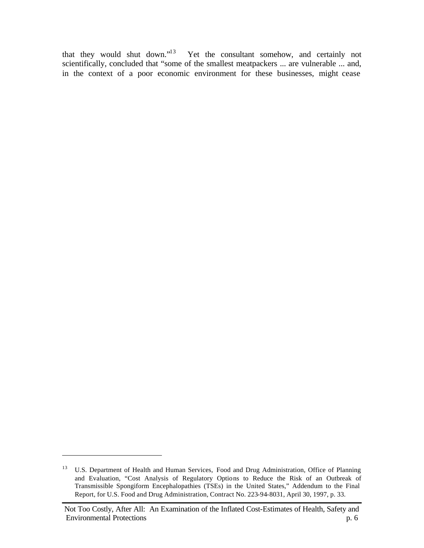that they would shut down."<sup>13</sup> Yet the consultant somehow, and certainly not scientifically, concluded that "some of the smallest meatpackers ... are vulnerable ... and, in the context of a poor economic environment for these businesses, might cease

<sup>&</sup>lt;sup>13</sup> U.S. Department of Health and Human Services, Food and Drug Administration, Office of Planning and Evaluation, "Cost Analysis of Regulatory Options to Reduce the Risk of an Outbreak of Transmissible Spongiform Encephalopathies (TSEs) in the United States," Addendum to the Final Report, for U.S. Food and Drug Administration, Contract No. 223-94-8031, April 30, 1997, p. 33.

Not Too Costly, After All: An Examination of the Inflated Cost-Estimates of Health, Safety and Environmental Protections p. 6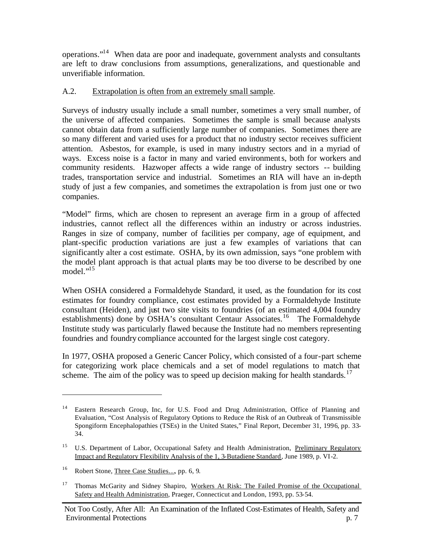operations."<sup>14</sup> When data are poor and inadequate, government analysts and consultants are left to draw conclusions from assumptions, generalizations, and questionable and unverifiable information.

#### A.2. Extrapolation is often from an extremely small sample.

Surveys of industry usually include a small number, sometimes a very small number, of the universe of affected companies. Sometimes the sample is small because analysts cannot obtain data from a sufficiently large number of companies. Sometimes there are so many different and varied uses for a product that no industry sector receives sufficient attention. Asbestos, for example, is used in many industry sectors and in a myriad of ways. Excess noise is a factor in many and varied environments, both for workers and community residents. Hazwoper affects a wide range of industry sectors -- building trades, transportation service and industrial. Sometimes an RIA will have an in-depth study of just a few companies, and sometimes the extrapolation is from just one or two companies.

"Model" firms, which are chosen to represent an average firm in a group of affected industries, cannot reflect all the differences within an industry or across industries. Ranges in size of company, number of facilities per company, age of equipment, and plant-specific production variations are just a few examples of variations that can significantly alter a cost estimate. OSHA, by its own admission, says "one problem with the model plant approach is that actual plants may be too diverse to be described by one model."<sup>15</sup>

When OSHA considered a Formaldehyde Standard, it used, as the foundation for its cost estimates for foundry compliance, cost estimates provided by a Formaldehyde Institute consultant (Heiden), and just two site visits to foundries (of an estimated 4,004 foundry establishments) done by OSHA's consultant Centaur Associates.<sup>16</sup> The Formaldehyde Institute study was particularly flawed because the Institute had no members representing foundries and foundry compliance accounted for the largest single cost category.

In 1977, OSHA proposed a Generic Cancer Policy, which consisted of a four-part scheme for categorizing work place chemicals and a set of model regulations to match that scheme. The aim of the policy was to speed up decision making for health standards.<sup>17</sup>

Eastern Research Group, Inc, for U.S. Food and Drug Administration, Office of Planning and Evaluation, "Cost Analysis of Regulatory Options to Reduce the Risk of an Outbreak of Transmissible Spongiform Encephalopathies (TSEs) in the United States," Final Report, December 31, 1996, pp. 33- 34.

<sup>&</sup>lt;sup>15</sup> U.S. Department of Labor, Occupational Safety and Health Administration, Preliminary Regulatory Impact and Regulatory Flexibility Analysis of the 1, 3-Butadiene Standard, June 1989, p. VI-2.

<sup>16</sup> Robert Stone, Three Case Studies…, pp. 6, 9.

<sup>17</sup> Thomas McGarity and Sidney Shapiro, Workers At Risk: The Failed Promise of the Occupational Safety and Health Administration, Praeger, Connecticut and London, 1993, pp. 53-54.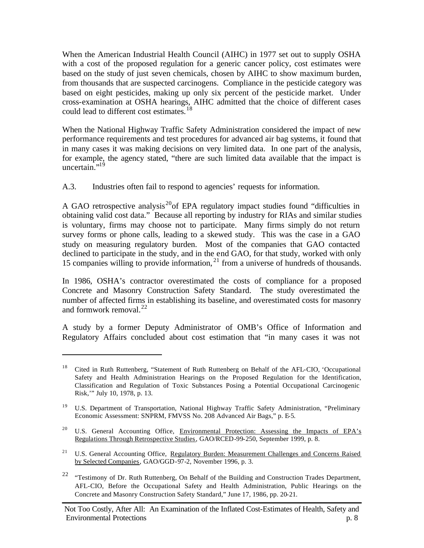When the American Industrial Health Council (AIHC) in 1977 set out to supply OSHA with a cost of the proposed regulation for a generic cancer policy, cost estimates were based on the study of just seven chemicals, chosen by AIHC to show maximum burden, from thousands that are suspected carcinogens. Compliance in the pesticide category was based on eight pesticides, making up only six percent of the pesticide market. Under cross-examination at OSHA hearings, AIHC admitted that the choice of different cases could lead to different cost estimates.<sup>18</sup>

When the National Highway Traffic Safety Administration considered the impact of new performance requirements and test procedures for advanced air bag systems, it found that in many cases it was making decisions on very limited data. In one part of the analysis, for example, the agency stated, "there are such limited data available that the impact is uncertain. $19$ 

A.3. Industries often fail to respond to agencies' requests for information.

A GAO retrospective analysis<sup>20</sup> f EPA regulatory impact studies found "difficulties in obtaining valid cost data." Because all reporting by industry for RIAs and similar studies is voluntary, firms may choose not to participate. Many firms simply do not return survey forms or phone calls, leading to a skewed study. This was the case in a GAO study on measuring regulatory burden. Most of the companies that GAO contacted declined to participate in the study, and in the end GAO, for that study, worked with only 15 companies willing to provide information, <sup>21</sup> from a universe of hundreds of thousands.

In 1986, OSHA's contractor overestimated the costs of compliance for a proposed Concrete and Masonry Construction Safety Standard. The study overestimated the number of affected firms in establishing its baseline, and overestimated costs for masonry and formwork removal. $^{22}$ 

A study by a former Deputy Administrator of OMB's Office of Information and Regulatory Affairs concluded about cost estimation that "in many cases it was not

<sup>18</sup> Cited in Ruth Ruttenberg, "Statement of Ruth Ruttenberg on Behalf of the AFL-CIO, 'Occupational Safety and Health Administration Hearings on the Proposed Regulation for the Identification, Classification and Regulation of Toxic Substances Posing a Potential Occupational Carcinogenic Risk,'" July 10, 1978, p. 13.

<sup>19</sup> U.S. Department of Transportation, National Highway Traffic Safety Administration, "Preliminary Economic Assessment: SNPRM, FMVSS No. 208 Advanced Air Bags," p. E-5.

<sup>&</sup>lt;sup>20</sup> U.S. General Accounting Office, Environmental Protection: Assessing the Impacts of EPA's Regulations Through Retrospective Studies, GAO/RCED-99-250, September 1999, p. 8.

<sup>&</sup>lt;sup>21</sup> U.S. General Accounting Office, Regulatory Burden: Measurement Challenges and Concerns Raised by Selected Companies, GAO/GGD-97-2, November 1996, p. 3.

<sup>22</sup> "Testimony of Dr. Ruth Ruttenberg, On Behalf of the Building and Construction Trades Department, AFL-CIO, Before the Occupational Safety and Health Administration, Public Hearings on the Concrete and Masonry Construction Safety Standard," June 17, 1986, pp. 20-21.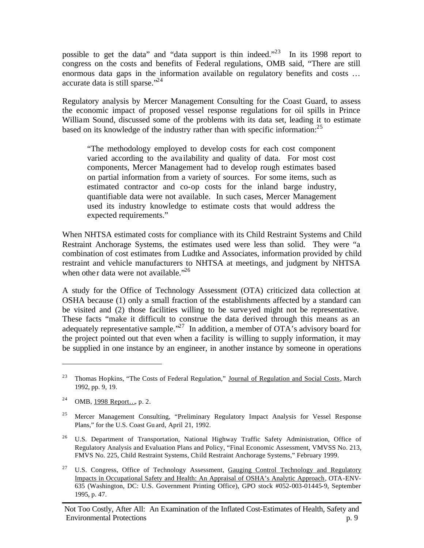possible to get the data" and "data support is thin indeed."<sup>23</sup> In its 1998 report to congress on the costs and benefits of Federal regulations, OMB said, "There are still enormous data gaps in the information available on regulatory benefits and costs … accurate data is still sparse."<sup>24</sup>

Regulatory analysis by Mercer Management Consulting for the Coast Guard, to assess the economic impact of proposed vessel response regulations for oil spills in Prince William Sound, discussed some of the problems with its data set, leading it to estimate based on its knowledge of the industry rather than with specific information:  $2<sup>5</sup>$ 

"The methodology employed to develop costs for each cost component varied according to the ava ilability and quality of data. For most cost components, Mercer Management had to develop rough estimates based on partial information from a variety of sources. For some items, such as estimated contractor and co-op costs for the inland barge industry, quantifiable data were not available. In such cases, Mercer Management used its industry knowledge to estimate costs that would address the expected requirements."

When NHTSA estimated costs for compliance with its Child Restraint Systems and Child Restraint Anchorage Systems, the estimates used were less than solid. They were "a combination of cost estimates from Ludtke and Associates, information provided by child restraint and vehicle manufacturers to NHTSA at meetings, and judgment by NHTSA when other data were not available."<sup>26</sup>

A study for the Office of Technology Assessment (OTA) criticized data collection at OSHA because (1) only a small fraction of the establishments affected by a standard can be visited and (2) those facilities willing to be surveyed might not be representative. These facts "make it difficult to construe the data derived through this means as an adequately representative sample."<sup>27</sup> In addition, a member of OTA's advisory board for the project pointed out that even when a facility is willing to supply information, it may be supplied in one instance by an engineer, in another instance by someone in operations

<sup>&</sup>lt;sup>23</sup> Thomas Hopkins, "The Costs of Federal Regulation," Journal of Regulation and Social Costs, March 1992, pp. 9, 19.

<sup>&</sup>lt;sup>24</sup> OMB, <u>1998 Report...</u>, p. 2.

<sup>25</sup> Mercer Management Consulting, "Preliminary Regulatory Impact Analysis for Vessel Response Plans," for the U.S. Coast Gu ard, April 21, 1992.

<sup>&</sup>lt;sup>26</sup> U.S. Department of Transportation, National Highway Traffic Safety Administration, Office of Regulatory Analysis and Evaluation Plans and Policy, "Final Economic Assessment, VMVSS No. 213, FMVS No. 225, Child Restraint Systems, Child Restraint Anchorage Systems," February 1999.

<sup>27</sup> U.S. Congress, Office of Technology Assessment, Gauging Control Technology and Regulatory Impacts in Occupational Safety and Health: An Appraisal of OSHA's Analytic Approach, OTA-ENV-635 (Washington, DC: U.S. Government Printing Office), GPO stock #052-003-01445-9, September 1995, p. 47.

Not Too Costly, After All: An Examination of the Inflated Cost-Estimates of Health, Safety and Environmental Protections p. 9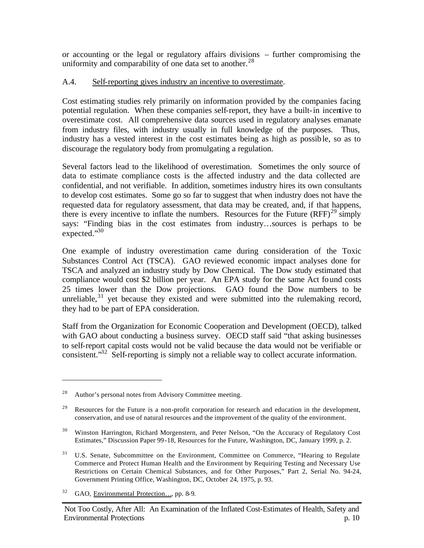or accounting or the legal or regulatory affairs divisions – further compromising the uniformity and comparability of one data set to another.<sup>28</sup>

## A.4. Self-reporting gives industry an incentive to overestimate.

Cost estimating studies rely primarily on information provided by the companies facing potential regulation. When these companies self-report, they have a built-in incentive to overestimate cost. All comprehensive data sources used in regulatory analyses emanate from industry files, with industry usually in full knowledge of the purposes. Thus, industry has a vested interest in the cost estimates being as high as possible, so as to discourage the regulatory body from promulgating a regulation.

Several factors lead to the likelihood of overestimation. Sometimes the only source of data to estimate compliance costs is the affected industry and the data collected are confidential, and not verifiable. In addition, sometimes industry hires its own consultants to develop cost estimates. Some go so far to suggest that when industry does not have the requested data for regulatory assessment, that data may be created, and, if that happens, there is every incentive to inflate the numbers. Resources for the Future  $(RFF)^{29}$  simply says: "Finding bias in the cost estimates from industry…sources is perhaps to be expected."30

One example of industry overestimation came during consideration of the Toxic Substances Control Act (TSCA). GAO reviewed economic impact analyses done for TSCA and analyzed an industry study by Dow Chemical. The Dow study estimated that compliance would cost \$2 billion per year. An EPA study for the same Act found costs 25 times lower than the Dow projections. GAO found the Dow numbers to be unreliable, $31$  yet because they existed and were submitted into the rulemaking record, they had to be part of EPA consideration.

Staff from the Organization for Economic Cooperation and Development (OECD), talked with GAO about conducting a business survey. OECD staff said "that asking businesses" to self-report capital costs would not be valid because the data would not be verifiable or consistent."<sup>32</sup> Self-reporting is simply not a reliable way to collect accurate information.

<sup>28</sup> Author's personal notes from Advisory Committee meeting.

<sup>&</sup>lt;sup>29</sup> Resources for the Future is a non-profit corporation for research and education in the development, conservation, and use of natural resources and the improvement of the quality of the environment.

<sup>&</sup>lt;sup>30</sup> Winston Harrington, Richard Morgenstern, and Peter Nelson, "On the Accuracy of Regulatory Cost Estimates," Discussion Paper 99-18, Resources for the Future, Washington, DC, January 1999, p. 2.

<sup>&</sup>lt;sup>31</sup> U.S. Senate, Subcommittee on the Environment, Committee on Commerce, "Hearing to Regulate Commerce and Protect Human Health and the Environment by Requiring Testing and Necessary Use Restrictions on Certain Chemical Substances, and for Other Purposes," Part 2, Serial No. 94-24, Government Printing Office, Washington, DC, October 24, 1975, p. 93.

<sup>32</sup> GAO, Environmental Protection…, pp. 8-9.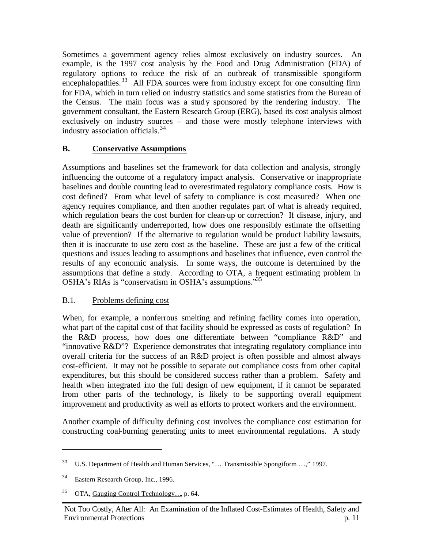Sometimes a government agency relies almost exclusively on industry sources. An example, is the 1997 cost analysis by the Food and Drug Administration (FDA) of regulatory options to reduce the risk of an outbreak of transmissible spongiform encephalopathies.<sup>33</sup> All FDA sources were from industry except for one consulting firm for FDA, which in turn relied on industry statistics and some statistics from the Bureau of the Census. The main focus was a study sponsored by the rendering industry. The government consultant, the Eastern Research Group (ERG), based its cost analysis almost exclusively on industry sources – and those were mostly telephone interviews with industry association officials.<sup>34</sup>

## **B. Conservative Assumptions**

Assumptions and baselines set the framework for data collection and analysis, strongly influencing the outcome of a regulatory impact analysis. Conservative or inappropriate baselines and double counting lead to overestimated regulatory compliance costs. How is cost defined? From what level of safety to compliance is cost measured? When one agency requires compliance, and then another regulates part of what is already required, which regulation bears the cost burden for clean-up or correction? If disease, injury, and death are significantly underreported, how does one responsibly estimate the offsetting value of prevention? If the alternative to regulation would be product liability lawsuits, then it is inaccurate to use zero cost as the baseline. These are just a few of the critical questions and issues leading to assumptions and baselines that influence, even control the results of any economic analysis. In some ways, the outcome is determined by the assumptions that define a study. According to OTA, a frequent estimating problem in OSHA's RIAs is "conservatism in OSHA's assumptions."<sup>35</sup>

#### B.1. Problems defining cost

When, for example, a nonferrous smelting and refining facility comes into operation, what part of the capital cost of that facility should be expressed as costs of regulation? In the R&D process, how does one differentiate between "compliance R&D" and "innovative R&D"? Experience demonstrates that integrating regulatory compliance into overall criteria for the success of an R&D project is often possible and almost always cost-efficient. It may not be possible to separate out compliance costs from other capital expenditures, but this should be considered success rather than a problem. Safety and health when integrated into the full design of new equipment, if it cannot be separated from other parts of the technology, is likely to be supporting overall equipment improvement and productivity as well as efforts to protect workers and the environment.

Another example of difficulty defining cost involves the compliance cost estimation for constructing coal-burning generating units to meet environmental regulations. A study

<sup>&</sup>lt;sup>33</sup> U.S. Department of Health and Human Services, "... Transmissible Spongiform ...," 1997.

<sup>34</sup> Eastern Research Group, Inc., 1996.

<sup>&</sup>lt;sup>35</sup> OTA, Gauging Control Technology..., p. 64.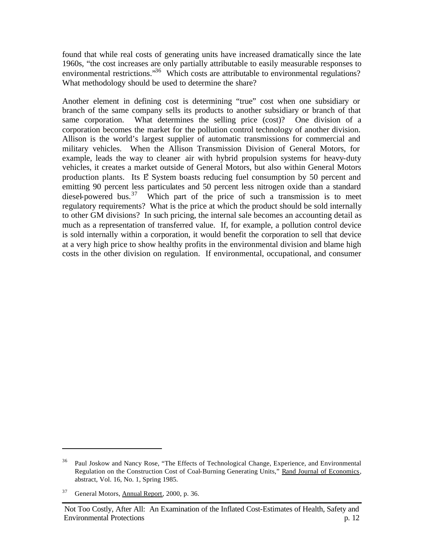found that while real costs of generating units have increased dramatically since the late 1960s, "the cost increases are only partially attributable to easily measurable responses to environmental restrictions."<sup>36</sup> Which costs are attributable to environmental regulations? What methodology should be used to determine the share?

Another element in defining cost is determining "true" cost when one subsidiary or branch of the same company sells its products to another subsidiary or branch of that same corporation. What determines the selling price (cost)? One division of a corporation becomes the market for the pollution control technology of another division. Allison is the world's largest supplier of automatic transmissions for commercial and military vehicles. When the Allison Transmission Division of General Motors, for example, leads the way to cleaner air with hybrid propulsion systems for heavy-duty vehicles, it creates a market outside of General Motors, but also within General Motors production plants. Its E System boasts reducing fuel consumption by 50 percent and emitting 90 percent less particulates and 50 percent less nitrogen oxide than a standard diesel-powered bus.<sup>37</sup> Which part of the price of such a transmission is to meet regulatory requirements? What is the price at which the product should be sold internally to other GM divisions? In such pricing, the internal sale becomes an accounting detail as much as a representation of transferred value. If, for example, a pollution control device is sold internally within a corporation, it would benefit the corporation to sell that device at a very high price to show healthy profits in the environmental division and blame high costs in the other division on regulation. If environmental, occupational, and consumer

<sup>&</sup>lt;sup>36</sup> Paul Joskow and Nancy Rose, "The Effects of Technological Change, Experience, and Environmental Regulation on the Construction Cost of Coal-Burning Generating Units," Rand Journal of Economics, abstract, Vol. 16, No. 1, Spring 1985.

<sup>&</sup>lt;sup>37</sup> General Motors, Annual Report, 2000, p. 36.

Not Too Costly, After All: An Examination of the Inflated Cost-Estimates of Health, Safety and Environmental Protections p. 12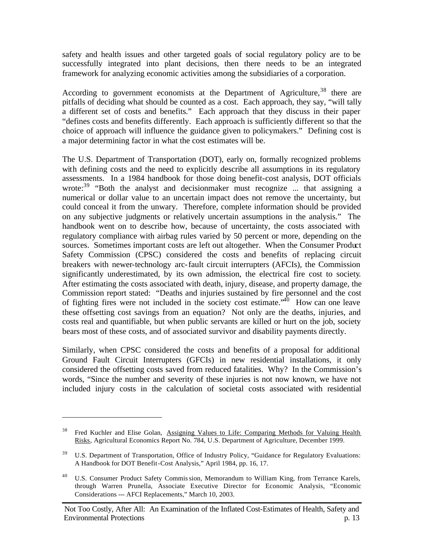safety and health issues and other targeted goals of social regulatory policy are to be successfully integrated into plant decisions, then there needs to be an integrated framework for analyzing economic activities among the subsidiaries of a corporation.

According to government economists at the Department of Agriculture,  $38$  there are pitfalls of deciding what should be counted as a cost. Each approach, they say, "will tally a different set of costs and benefits." Each approach that they discuss in their paper "defines costs and benefits differently. Each approach is sufficiently different so that the choice of approach will influence the guidance given to policymakers." Defining cost is a major determining factor in what the cost estimates will be.

The U.S. Department of Transportation (DOT), early on, formally recognized problems with defining costs and the need to explicitly describe all assumptions in its regulatory assessments. In a 1984 handbook for those doing benefit-cost analysis, DOT officials wrote:<sup>39</sup> "Both the analyst and decisionmaker must recognize ... that assigning a numerical or dollar value to an uncertain impact does not remove the uncertainty, but could conceal it from the unwary. Therefore, complete information should be provided on any subjective judgments or relatively uncertain assumptions in the analysis." The handbook went on to describe how, because of uncertainty, the costs associated with regulatory compliance with airbag rules varied by 50 percent or more, depending on the sources. Sometimes important costs are left out altogether. When the Consumer Product Safety Commission (CPSC) considered the costs and benefits of replacing circuit breakers with newer-technology arc-fault circuit interrupters (AFCIs), the Commission significantly underestimated, by its own admission, the electrical fire cost to society. After estimating the costs associated with death, injury, disease, and property damage, the Commission report stated: "Deaths and injuries sustained by fire personnel and the cost of fighting fires were not included in the society cost estimate.<sup> $40$ </sup> How can one leave these offsetting cost savings from an equation? Not only are the deaths, injuries, and costs real and quantifiable, but when public servants are killed or hurt on the job, society bears most of these costs, and of associated survivor and disability payments directly.

Similarly, when CPSC considered the costs and benefits of a proposal for additional Ground Fault Circuit Interrupters (GFCIs) in new residential installations, it only considered the offsetting costs saved from reduced fatalities. Why? In the Commission's words, "Since the number and severity of these injuries is not now known, we have not included injury costs in the calculation of societal costs associated with residential

<sup>38</sup> Fred Kuchler and Elise Golan, Assigning Values to Life: Comparing Methods for Valuing Health Risks, Agricultural Economics Report No. 784, U.S. Department of Agriculture, December 1999.

<sup>&</sup>lt;sup>39</sup> U.S. Department of Transportation, Office of Industry Policy, "Guidance for Regulatory Evaluations: A Handbook for DOT Benefit-Cost Analysis," April 1984, pp. 16, 17.

<sup>40</sup> U.S. Consumer Product Safety Commission, Memorandum to William King, from Terrance Karels, through Warren Prunella, Associate Executive Director for Economic Analysis, "Economic Considerations --- AFCI Replacements," March 10, 2003.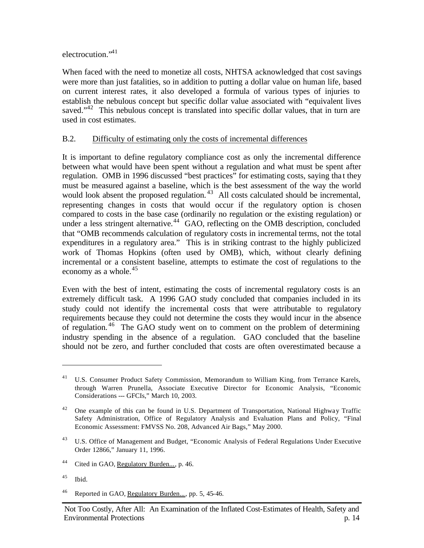electrocution."<sup>41</sup>

When faced with the need to monetize all costs, NHTSA acknowledged that cost savings were more than just fatalities, so in addition to putting a dollar value on human life, based on current interest rates, it also developed a formula of various types of injuries to establish the nebulous concept but specific dollar value associated with "equivalent lives saved."<sup>42</sup> This nebulous concept is translated into specific dollar values, that in turn are used in cost estimates.

## B.2. Difficulty of estimating only the costs of incremental differences

It is important to define regulatory compliance cost as only the incremental difference between what would have been spent without a regulation and what must be spent after regulation. OMB in 1996 discussed "best practices" for estimating costs, saying tha t they must be measured against a baseline, which is the best assessment of the way the world would look absent the proposed regulation.<sup>43</sup> All costs calculated should be incremental, representing changes in costs that would occur if the regulatory option is chosen compared to costs in the base case (ordinarily no regulation or the existing regulation) or under a less stringent alternative.<sup>44</sup> GAO, reflecting on the OMB description, concluded that "OMB recommends calculation of regulatory costs in incremental terms, not the total expenditures in a regulatory area." This is in striking contrast to the highly publicized work of Thomas Hopkins (often used by OMB), which, without clearly defining incremental or a consistent baseline, attempts to estimate the cost of regulations to the economy as a whole.<sup>45</sup>

Even with the best of intent, estimating the costs of incremental regulatory costs is an extremely difficult task. A 1996 GAO study concluded that companies included in its study could not identify the incremental costs that were attributable to regulatory requirements because they could not determine the costs they would incur in the absence of regulation. <sup>46</sup> The GAO study went on to comment on the problem of determining industry spending in the absence of a regulation. GAO concluded that the baseline should not be zero, and further concluded that costs are often overestimated because a

<sup>41</sup> U.S. Consumer Product Safety Commission, Memorandum to William King, from Terrance Karels, through Warren Prunella, Associate Executive Director for Economic Analysis, "Economic Considerations --- GFCIs," March 10, 2003.

<sup>&</sup>lt;sup>42</sup> One example of this can be found in U.S. Department of Transportation, National Highway Traffic Safety Administration, Office of Regulatory Analysis and Evaluation Plans and Policy, "Final Economic Assessment: FMVSS No. 208, Advanced Air Bags," May 2000.

<sup>&</sup>lt;sup>43</sup> U.S. Office of Management and Budget, "Economic Analysis of Federal Regulations Under Executive Order 12866," January 11, 1996.

<sup>&</sup>lt;sup>44</sup> Cited in GAO, <u>Regulatory Burden...</u>, p. 46.

<sup>45</sup> Ibid.

<sup>&</sup>lt;sup>46</sup> Reported in GAO, <u>Regulatory Burden...</u>, pp. 5, 45-46.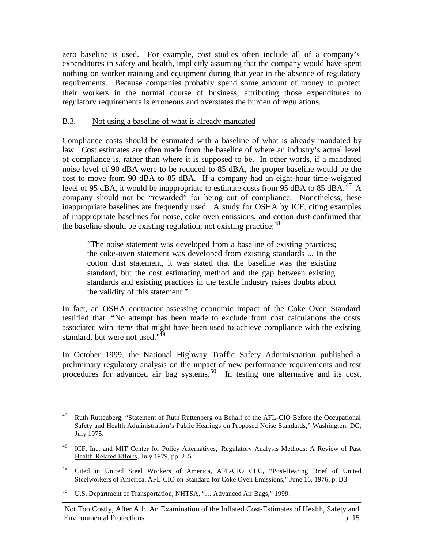zero baseline is used. For example, cost studies often include all of a company's expenditures in safety and health, implicitly assuming that the company would have spent nothing on worker training and equipment during that year in the absence of regulatory requirements. Because companies probably spend some amount of money to protect their workers in the normal course of business, attributing those expenditures to regulatory requirements is erroneous and overstates the burden of regulations.

#### B.3. Not using a baseline of what is already mandated

Compliance costs should be estimated with a baseline of what is already mandated by law. Cost estimates are often made from the baseline of where an industry's actual level of compliance is, rather than where it is supposed to be. In other words, if a mandated noise level of 90 dBA were to be reduced to 85 dBA, the proper baseline would be the cost to move from 90 dBA to 85 dBA. If a company had an eight-hour time-weighted level of 95 dBA, it would be inappropriate to estimate costs from 95 dBA to 85 dBA.<sup>47</sup> A company should not be "rewarded" for being out of compliance. Nonetheless, these inappropriate baselines are frequently used. A study for OSHA by ICF, citing examples of inappropriate baselines for noise, coke oven emissions, and cotton dust confirmed that the baseline should be existing regulation, not existing practice:  $48$ 

"The noise statement was developed from a baseline of existing practices; the coke-oven statement was developed from existing standards ... In the cotton dust statement, it was stated that the baseline was the existing standard, but the cost estimating method and the gap between existing standards and existing practices in the textile industry raises doubts about the validity of this statement."

In fact, an OSHA contractor assessing economic impact of the Coke Oven Standard testified that: "No attempt has been made to exclude from cost calculations the costs associated with items that might have been used to achieve compliance with the existing standard, but were not used."<sup>49</sup>

In October 1999, the National Highway Traffic Safety Administration published a preliminary regulatory analysis on the impact of new performance requirements and test procedures for advanced air bag systems.<sup>50</sup> In testing one alternative and its cost,

<sup>&</sup>lt;sup>47</sup> Ruth Ruttenberg, "Statement of Ruth Ruttenberg on Behalf of the AFL-CIO Before the Occupational Safety and Health Administration's Public Hearings on Proposed Noise Standards," Washington, DC, July 1975.

<sup>&</sup>lt;sup>48</sup> ICF, Inc. and MIT Center for Policy Alternatives, Regulatory Analysis Methods: A Review of Past Health-Related Efforts, July 1979, pp. 2-5.

<sup>49</sup> Cited in United Steel Workers of America, AFL-CIO CLC, "Post-Hearing Brief of United Steelworkers of America, AFL-CIO on Standard for Coke Oven Emissions," June 16, 1976, p. D3.

<sup>50</sup> U.S. Department of Transportation, NHTSA, "… Advanced Air Bags," 1999.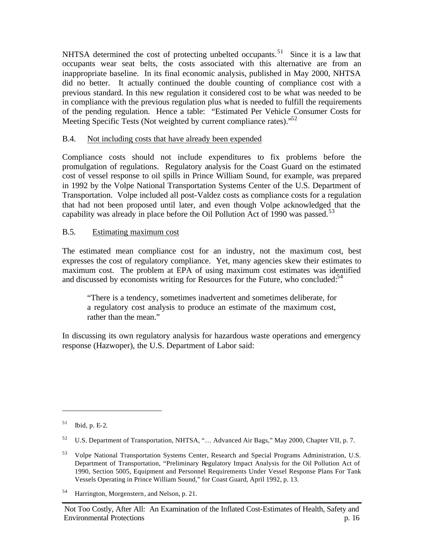NHTSA determined the cost of protecting unbelted occupants.<sup>51</sup> Since it is a law that occupants wear seat belts, the costs associated with this alternative are from an inappropriate baseline. In its final economic analysis, published in May 2000, NHTSA did no better. It actually continued the double counting of compliance cost with a previous standard. In this new regulation it considered cost to be what was needed to be in compliance with the previous regulation plus what is needed to fulfill the requirements of the pending regulation. Hence a table: "Estimated Per Vehicle Consumer Costs for Meeting Specific Tests (Not weighted by current compliance rates).<sup>52</sup>

## B.4. Not including costs that have already been expended

Compliance costs should not include expenditures to fix problems before the promulgation of regulations. Regulatory analysis for the Coast Guard on the estimated cost of vessel response to oil spills in Prince William Sound, for example, was prepared in 1992 by the Volpe National Transportation Systems Center of the U.S. Department of Transportation. Volpe included all post-Valdez costs as compliance costs for a regulation that had not been proposed until later, and even though Volpe acknowledged that the capability was already in place before the Oil Pollution Act of 1990 was passed.<sup>53</sup>

## B.5. Estimating maximum cost

The estimated mean compliance cost for an industry, not the maximum cost, best expresses the cost of regulatory compliance. Yet, many agencies skew their estimates to maximum cost. The problem at EPA of using maximum cost estimates was identified and discussed by economists writing for Resources for the Future, who concluded: $54$ 

"There is a tendency, sometimes inadvertent and sometimes deliberate, for a regulatory cost analysis to produce an estimate of the maximum cost, rather than the mean."

In discussing its own regulatory analysis for hazardous waste operations and emergency response (Hazwoper), the U.S. Department of Labor said:

<sup>51</sup> Ibid, p. E-2.

<sup>52</sup> U.S. Department of Transportation, NHTSA, "… Advanced Air Bags," May 2000, Chapter VII, p. 7.

<sup>53</sup> Volpe National Transportation Systems Center, Research and Special Programs Administration, U.S. Department of Transportation, "Preliminary Regulatory Impact Analysis for the Oil Pollution Act of 1990, Section 5005, Equipment and Personnel Requirements Under Vessel Response Plans For Tank Vessels Operating in Prince William Sound," for Coast Guard, April 1992, p. 13.

<sup>54</sup> Harrington, Morgenstern, and Nelson, p. 21.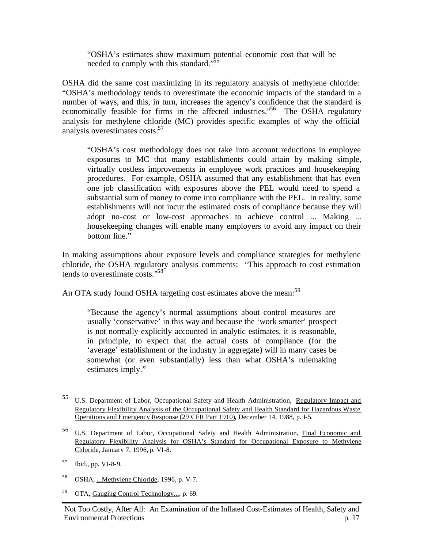"OSHA's estimates show maximum potential economic cost that will be needed to comply with this standard.<sup>55</sup>

OSHA did the same cost maximizing in its regulatory analysis of methylene chloride: "OSHA's methodology tends to overestimate the economic impacts of the standard in a number of ways, and this, in turn, increases the agency's confidence that the standard is economically feasible for firms in the affected industries.<sup>56</sup> The OSHA regulatory analysis for methylene chloride (MC) provides specific examples of why the official analysis overestimates costs:<sup>57</sup>

"OSHA's cost methodology does not take into account reductions in employee exposures to MC that many establishments could attain by making simple, virtually costless improvements in employee work practices and housekeeping procedures. For example, OSHA assumed that any establishment that has even one job classification with exposures above the PEL would need to spend a substantial sum of money to come into compliance with the PEL. In reality, some establishments will not incur the estimated costs of compliance because they will adopt no-cost or low-cost approaches to achieve control ... Making ... housekeeping changes will enable many employers to avoid any impact on their bottom line."

In making assumptions about exposure levels and compliance strategies for methylene chloride, the OSHA regulatory analysis comments: "This approach to cost estimation tends to overestimate costs."<sup>58</sup>

An OTA study found OSHA targeting cost estimates above the mean:<sup>59</sup>

"Because the agency's normal assumptions about control measures are usually 'conservative' in this way and because the 'work smarter' prospect is not normally explicitly accounted in analytic estimates, it is reasonable, in principle, to expect that the actual costs of compliance (for the 'average' establishment or the industry in aggregate) will in many cases be somewhat (or even substantially) less than what OSHA's rulemaking estimates imply."

- <sup>58</sup> OSHA, ...Methylene Chloride, 1996, p. V-7.
- <sup>59</sup> OTA, Gauging Control Technology..., p. 69.

<sup>55</sup> U.S. Department of Labor, Occupational Safety and Health Administration, Regulatory Impact and Regulatory Flexibility Analysis of the Occupational Safety and Health Standard for Hazardous Waste Operations and Emergency Response (29 CFR Part 1910), December 14, 1988, p. I-5.

<sup>56</sup> U.S. Department of Labor, Occupational Safety and Health Administration, Final Economic and Regulatory Flexibility Analysis for OSHA's Standard for Occupational Exposure to Methylene Chloride, January 7, 1996, p. VI-8.

<sup>57</sup> Ibid., pp. VI-8-9.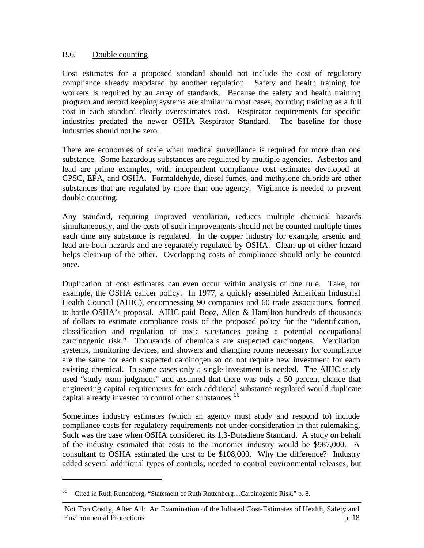#### B.6. Double counting

Cost estimates for a proposed standard should not include the cost of regulatory compliance already mandated by another regulation. Safety and health training for workers is required by an array of standards. Because the safety and health training program and record keeping systems are similar in most cases, counting training as a full cost in each standard clearly overestimates cost. Respirator requirements for specific industries predated the newer OSHA Respirator Standard. The baseline for those industries should not be zero.

There are economies of scale when medical surveillance is required for more than one substance.Some hazardous substances are regulated by multiple agencies. Asbestos and lead are prime examples, with independent compliance cost estimates developed at CPSC, EPA, and OSHA. Formaldehyde, diesel fumes, and methylene chloride are other substances that are regulated by more than one agency. Vigilance is needed to prevent double counting.

Any standard, requiring improved ventilation, reduces multiple chemical hazards simultaneously, and the costs of such improvements should not be counted multiple times each time any substance is regulated. In the copper industry for example, arsenic and lead are both hazards and are separately regulated by OSHA. Clean-up of either hazard helps clean-up of the other. Overlapping costs of compliance should only be counted once.

Duplication of cost estimates can even occur within analysis of one rule. Take, for example, the OSHA cancer policy. In 1977, a quickly assembled American Industrial Health Council (AIHC), encompessing 90 companies and 60 trade associations, formed to battle OSHA's proposal. AIHC paid Booz, Allen & Hamilton hundreds of thousands of dollars to estimate compliance costs of the proposed policy for the "identification, classification and regulation of toxic substances posing a potential occupational carcinogenic risk." Thousands of chemicals are suspected carcinogens. Ventilation systems, monitoring devices, and showers and changing rooms necessary for compliance are the same for each suspected carcinogen so do not require new investment for each existing chemical. In some cases only a single investment is needed. The AIHC study used "study team judgment" and assumed that there was only a 50 percent chance that engineering capital requirements for each additional substance regulated would duplicate capital already invested to control other substances.<sup>60</sup>

Sometimes industry estimates (which an agency must study and respond to) include compliance costs for regulatory requirements not under consideration in that rulemaking. Such was the case when OSHA considered its 1,3-Butadiene Standard. A study on behalf of the industry estimated that costs to the monomer industry would be \$967,000. A consultant to OSHA estimated the cost to be \$108,000. Why the difference? Industry added several additional types of controls, needed to control environmental releases, but

<sup>60</sup> Cited in Ruth Ruttenberg, "Statement of Ruth Ruttenberg…Carcinogenic Risk," p. 8.

Not Too Costly, After All: An Examination of the Inflated Cost-Estimates of Health, Safety and Environmental Protections p. 18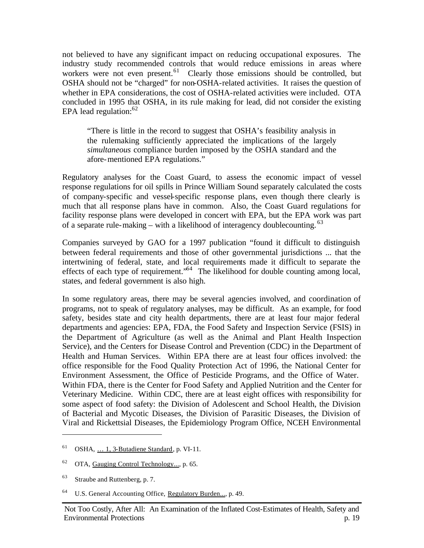not believed to have any significant impact on reducing occupational exposures. The industry study recommended controls that would reduce emissions in areas where workers were not even present.<sup>61</sup> Clearly those emissions should be controlled, but OSHA should not be "charged" for non-OSHA-related activities. It raises the question of whether in EPA considerations, the cost of OSHA-related activities were included. OTA concluded in 1995 that OSHA, in its rule making for lead, did not consider the existing EPA lead regulation:  $62$ 

"There is little in the record to suggest that OSHA's feasibility analysis in the rulemaking sufficiently appreciated the implications of the largely *simultaneous* compliance burden imposed by the OSHA standard and the afore-mentioned EPA regulations."

Regulatory analyses for the Coast Guard, to assess the economic impact of vessel response regulations for oil spills in Prince William Sound separately calculated the costs of company-specific and vessel-specific response plans, even though there clearly is much that all response plans have in common. Also, the Coast Guard regulations for facility response plans were developed in concert with EPA, but the EPA work was part of a separate rule-making – with a likelihood of interagency doublecounting.  $63$ 

Companies surveyed by GAO for a 1997 publication "found it difficult to distinguish between federal requirements and those of other governmental jurisdictions ... that the intertwining of federal, state, and local requirements made it difficult to separate the effects of each type of requirement."<sup>64</sup> The likelihood for double counting among local, states, and federal government is also high.

In some regulatory areas, there may be several agencies involved, and coordination of programs, not to speak of regulatory analyses, may be difficult. As an example, for food safety, besides state and city health departments, there are at least four major federal departments and agencies: EPA, FDA, the Food Safety and Inspection Service (FSIS) in the Department of Agriculture (as well as the Animal and Plant Health Inspection Service), and the Centers for Disease Control and Prevention (CDC) in the Department of Health and Human Services. Within EPA there are at least four offices involved: the office responsible for the Food Quality Protection Act of 1996, the National Center for Environment Assessment, the Office of Pesticide Programs, and the Office of Water. Within FDA, there is the Center for Food Safety and Applied Nutrition and the Center for Veterinary Medicine. Within CDC, there are at least eight offices with responsibility for some aspect of food safety: the Division of Adolescent and School Health, the Division of Bacterial and Mycotic Diseases, the Division of Parasitic Diseases, the Division of Viral and Rickettsial Diseases, the Epidemiology Program Office, NCEH Environmental

 $61$  OSHA, ... 1, 3-Butadiene Standard, p. VI-11.

<sup>&</sup>lt;sup>62</sup> OTA, Gauging Control Technology..., p. 65.

<sup>63</sup> Straube and Ruttenberg, p. 7.

<sup>64</sup> U.S. General Accounting Office, Regulatory Burden..., p. 49.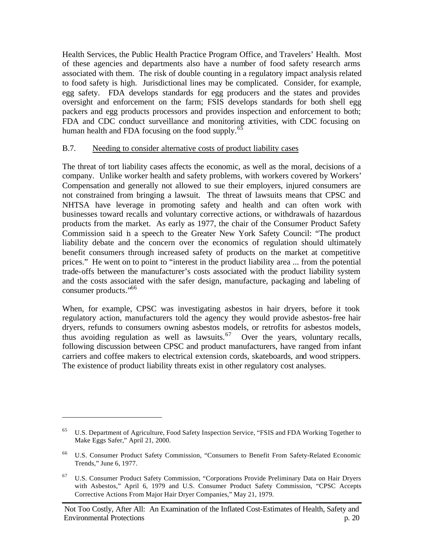Health Services, the Public Health Practice Program Office, and Travelers' Health. Most of these agencies and departments also have a number of food safety research arms associated with them. The risk of double counting in a regulatory impact analysis related to food safety is high. Jurisdictional lines may be complicated. Consider, for example, egg safety. FDA develops standards for egg producers and the states and provides oversight and enforcement on the farm; FSIS develops standards for both shell egg packers and egg products processors and provides inspection and enforcement to both; FDA and CDC conduct surveillance and monitoring activities, with CDC focusing on human health and FDA focusing on the food supply. $^{65}$ 

## B.7. Needing to consider alternative costs of product liability cases

The threat of tort liability cases affects the economic, as well as the moral, decisions of a company. Unlike worker health and safety problems, with workers covered by Workers' Compensation and generally not allowed to sue their employers, injured consumers are not constrained from bringing a lawsuit. The threat of lawsuits means that CPSC and NHTSA have leverage in promoting safety and health and can often work with businesses toward recalls and voluntary corrective actions, or withdrawals of hazardous products from the market. As early as 1977, the chair of the Consumer Product Safety Commission said in a speech to the Greater New York Safety Council: "The product liability debate and the concern over the economics of regulation should ultimately benefit consumers through increased safety of products on the market at competitive prices." He went on to point to "interest in the product liability area ... from the potential trade-offs between the manufacturer's costs associated with the product liability system and the costs associated with the safer design, manufacture, packaging and labeling of consumer products."<sup>66</sup>

When, for example, CPSC was investigating asbestos in hair dryers, before it took regulatory action, manufacturers told the agency they would provide asbestos-free hair dryers, refunds to consumers owning asbestos models, or retrofits for asbestos models, thus avoiding regulation as well as lawsuits.<sup>67</sup> Over the years, voluntary recalls, following discussion between CPSC and product manufacturers, have ranged from infant carriers and coffee makers to electrical extension cords, skateboards, and wood strippers. The existence of product liability threats exist in other regulatory cost analyses.

<sup>65</sup> U.S. Department of Agriculture, Food Safety Inspection Service, "FSIS and FDA Working Together to Make Eggs Safer," April 21, 2000.

<sup>66</sup> U.S. Consumer Product Safety Commission, "Consumers to Benefit From Safety-Related Economic Trends," June 6, 1977.

<sup>67</sup> U.S. Consumer Product Safety Commission, "Corporations Provide Preliminary Data on Hair Dryers with Asbestos," April 6, 1979 and U.S. Consumer Product Safety Commission, "CPSC Accepts Corrective Actions From Major Hair Dryer Companies," May 21, 1979.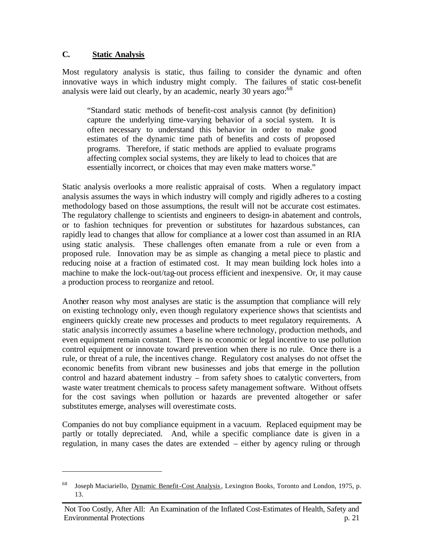#### **C. Static Analysis**

 $\overline{a}$ 

Most regulatory analysis is static, thus failing to consider the dynamic and often innovative ways in which industry might comply. The failures of static cost-benefit analysis were laid out clearly, by an academic, nearly 30 years ago:  $68$ 

"Standard static methods of benefit-cost analysis cannot (by definition) capture the underlying time-varying behavior of a social system. It is often necessary to understand this behavior in order to make good estimates of the dynamic time path of benefits and costs of proposed programs. Therefore, if static methods are applied to evaluate programs affecting complex social systems, they are likely to lead to choices that are essentially incorrect, or choices that may even make matters worse."

Static analysis overlooks a more realistic appraisal of costs. When a regulatory impact analysis assumes the ways in which industry will comply and rigidly adheres to a costing methodology based on those assumptions, the result will not be accurate cost estimates. The regulatory challenge to scientists and engineers to design-in abatement and controls, or to fashion techniques for prevention or substitutes for hazardous substances, can rapidly lead to changes that allow for compliance at a lower cost than assumed in an RIA using static analysis. These challenges often emanate from a rule or even from a proposed rule. Innovation may be as simple as changing a metal piece to plastic and reducing noise at a fraction of estimated cost. It may mean building lock holes into a machine to make the lock-out/tag-out process efficient and inexpensive. Or, it may cause a production process to reorganize and retool.

Another reason why most analyses are static is the assumption that compliance will rely on existing technology only, even though regulatory experience shows that scientists and engineers quickly create new processes and products to meet regulatory requirements. A static analysis incorrectly assumes a baseline where technology, production methods, and even equipment remain constant. There is no economic or legal incentive to use pollution control equipment or innovate toward prevention when there is no rule. Once there is a rule, or threat of a rule, the incentives change. Regulatory cost analyses do not offset the economic benefits from vibrant new businesses and jobs that emerge in the pollution control and hazard abatement industry – from safety shoes to catalytic converters, from waste water treatment chemicals to process safety management software. Without offsets for the cost savings when pollution or hazards are prevented altogether or safer substitutes emerge, analyses will overestimate costs.

Companies do not buy compliance equipment in a vacuum. Replaced equipment may be partly or totally depreciated. And, while a specific compliance date is given in a regulation, in many cases the dates are extended – either by agency ruling or through

Joseph Maciariello, Dynamic Benefit-Cost Analysis, Lexington Books, Toronto and London, 1975, p. 13.

Not Too Costly, After All: An Examination of the Inflated Cost-Estimates of Health, Safety and Environmental Protections p. 21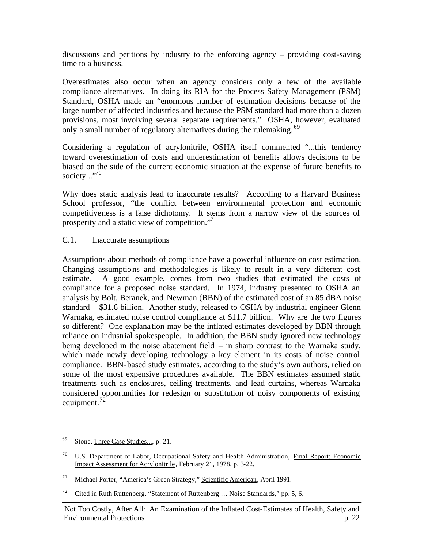discussions and petitions by industry to the enforcing agency – providing cost-saving time to a business.

Overestimates also occur when an agency considers only a few of the available compliance alternatives. In doing its RIA for the Process Safety Management (PSM) Standard, OSHA made an "enormous number of estimation decisions because of the large number of affected industries and because the PSM standard had more than a dozen provisions, most involving several separate requirements." OSHA, however, evaluated only a small number of regulatory alternatives during the rulemaking. <sup>69</sup>

Considering a regulation of acrylonitrile, OSHA itself commented "...this tendency toward overestimation of costs and underestimation of benefits allows decisions to be biased on the side of the current economic situation at the expense of future benefits to society..."<sup>70</sup>

Why does static analysis lead to inaccurate results? According to a Harvard Business School professor, "the conflict between environmental protection and economic competitiveness is a false dichotomy. It stems from a narrow view of the sources of prosperity and a static view of competition."<sup>71</sup>

#### C.1. Inaccurate assumptions

Assumptions about methods of compliance have a powerful influence on cost estimation. Changing assumptions and methodologies is likely to result in a very different cost estimate. A good example, comes from two studies that estimated the costs of compliance for a proposed noise standard. In 1974, industry presented to OSHA an analysis by Bolt, Beranek, and Newman (BBN) of the estimated cost of an 85 dBA noise standard – \$31.6 billion. Another study, released to OSHA by industrial engineer Glenn Warnaka, estimated noise control compliance at \$11.7 billion. Why are the two figures so different? One explana tion may be the inflated estimates developed by BBN through reliance on industrial spokespeople. In addition, the BBN study ignored new technology being developed in the noise abatement field  $-$  in sharp contrast to the Warnaka study, which made newly developing technology a key element in its costs of noise control compliance. BBN-based study estimates, according to the study's own authors, relied on some of the most expensive procedures available. The BBN estimates assumed static treatments such as enclosures, ceiling treatments, and lead curtains, whereas Warnaka considered opportunities for redesign or substitution of noisy components of existing equipment. $^{72}$ 

<sup>&</sup>lt;sup>69</sup> Stone, Three Case Studies..., p. 21.

<sup>70</sup> U.S. Department of Labor, Occupational Safety and Health Administration, Final Report: Economic Impact Assessment for Acrylonitrile, February 21, 1978, p. 3-22.

<sup>71</sup> Michael Porter, "America's Green Strategy," Scientific American, April 1991.

<sup>&</sup>lt;sup>72</sup> Cited in Ruth Ruttenberg, "Statement of Ruttenberg ... Noise Standards," pp. 5, 6.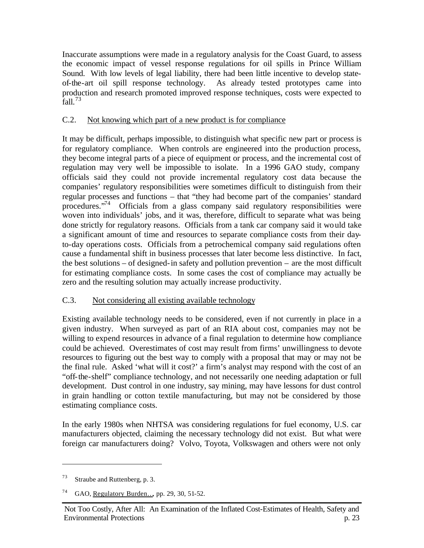Inaccurate assumptions were made in a regulatory analysis for the Coast Guard, to assess the economic impact of vessel response regulations for oil spills in Prince William Sound. With low levels of legal liability, there had been little incentive to develop stateof-the-art oil spill response technology. As already tested prototypes came into production and research promoted improved response techniques, costs were expected to  $fall.<sup>73</sup>$ 

## C.2. Not knowing which part of a new product is for compliance

It may be difficult, perhaps impossible, to distinguish what specific new part or process is for regulatory compliance. When controls are engineered into the production process, they become integral parts of a piece of equipment or process, and the incremental cost of regulation may very well be impossible to isolate. In a 1996 GAO study, company officials said they could not provide incremental regulatory cost data because the companies' regulatory responsibilities were sometimes difficult to distinguish from their regular processes and functions – that "they had become part of the companies' standard procedures."<sup>74</sup> Officials from a glass company said regulatory responsibilities were woven into individuals' jobs, and it was, therefore, difficult to separate what was being done strictly for regulatory reasons. Officials from a tank car company said it would take a significant amount of time and resources to separate compliance costs from their dayto-day operations costs. Officials from a petrochemical company said regulations often cause a fundamental shift in business processes that later become less distinctive. In fact, the best solutions – of designed-in safety and pollution prevention – are the most difficult for estimating compliance costs. In some cases the cost of compliance may actually be zero and the resulting solution may actually increase productivity.

## C.3. Not considering all existing available technology

Existing available technology needs to be considered, even if not currently in place in a given industry. When surveyed as part of an RIA about cost, companies may not be willing to expend resources in advance of a final regulation to determine how compliance could be achieved. Overestimates of cost may result from firms' unwillingness to devote resources to figuring out the best way to comply with a proposal that may or may not be the final rule. Asked 'what will it cost?' a firm's analyst may respond with the cost of an "off-the-shelf" compliance technology, and not necessarily one needing adaptation or full development. Dust control in one industry, say mining, may have lessons for dust control in grain handling or cotton textile manufacturing, but may not be considered by those estimating compliance costs.

In the early 1980s when NHTSA was considering regulations for fuel economy, U.S. car manufacturers objected, claiming the necessary technology did not exist. But what were foreign car manufacturers doing? Volvo, Toyota, Volkswagen and others were not only

<sup>73</sup> Straube and Ruttenberg, p. 3.

<sup>74</sup> GAO, Regulatory Burden…, pp. 29, 30, 51-52.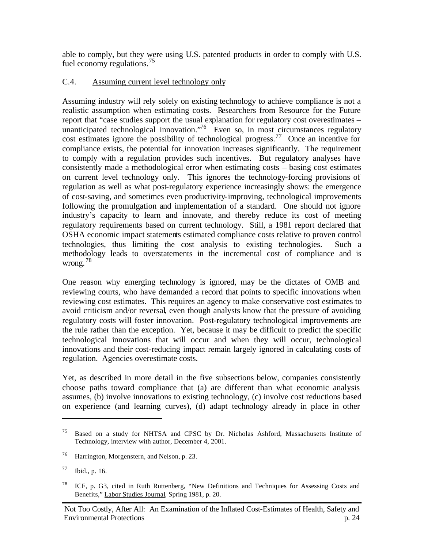able to comply, but they were using U.S. patented products in order to comply with U.S. fuel economy regulations.<sup>75</sup>

## C.4. Assuming current level technology only

Assuming industry will rely solely on existing technology to achieve compliance is not a realistic assumption when estimating costs. Researchers from Resource for the Future report that "case studies support the usual explanation for regulatory cost overestimates – unanticipated technological innovation."<sup>76</sup> Even so, in most circumstances regulatory cost estimates ignore the possibility of technological progress.<sup>77</sup> Once an incentive for compliance exists, the potential for innovation increases significantly. The requirement to comply with a regulation provides such incentives. But regulatory analyses have consistently made a methodological error when estimating costs – basing cost estimates on current level technology only. This ignores the technology-forcing provisions of regulation as well as what post-regulatory experience increasingly shows: the emergence of cost-saving, and sometimes even productivity-improving, technological improvements following the promulgation and implementation of a standard. One should not ignore industry's capacity to learn and innovate, and thereby reduce its cost of meeting regulatory requirements based on current technology. Still, a 1981 report declared that OSHA economic impact statements estimated compliance costs relative to proven control technologies, thus limiting the cost analysis to existing technologies. Such a methodology leads to overstatements in the incremental cost of compliance and is wrong. <sup>78</sup>

One reason why emerging technology is ignored, may be the dictates of OMB and reviewing courts, who have demanded a record that points to specific innovations when reviewing cost estimates. This requires an agency to make conservative cost estimates to avoid criticism and/or reversal, even though analysts know that the pressure of avoiding regulatory costs will foster innovation. Post-regulatory technological improvements are the rule rather than the exception. Yet, because it may be difficult to predict the specific technological innovations that will occur and when they will occur, technological innovations and their cost-reducing impact remain largely ignored in calculating costs of regulation. Agencies overestimate costs.

Yet, as described in more detail in the five subsections below, companies consistently choose paths toward compliance that (a) are different than what economic analysis assumes, (b) involve innovations to existing technology, (c) involve cost reductions based on experience (and learning curves), (d) adapt technology already in place in other

<sup>75</sup> Based on a study for NHTSA and CPSC by Dr. Nicholas Ashford, Massachusetts Institute of Technology, interview with author, December 4, 2001.

<sup>76</sup> Harrington, Morgenstern, and Nelson, p. 23.

<sup>77</sup> Ibid., p. 16.

<sup>78</sup> ICF, p. G3, cited in Ruth Ruttenberg, "New Definitions and Techniques for Assessing Costs and Benefits," Labor Studies Journal, Spring 1981, p. 20.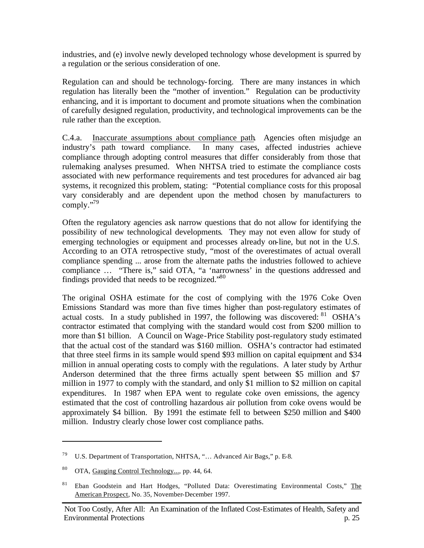industries, and (e) involve newly developed technology whose development is spurred by a regulation or the serious consideration of one.

Regulation can and should be technology-forcing. There are many instances in which regulation has literally been the "mother of invention." Regulation can be productivity enhancing, and it is important to document and promote situations when the combination of carefully designed regulation, productivity, and technological improvements can be the rule rather than the exception.

C.4.a. Inaccurate assumptions about compliance path. Agencies often misjudge an industry's path toward compliance. In many cases, affected industries achieve compliance through adopting control measures that differ considerably from those that rulemaking analyses presumed. When NHTSA tried to estimate the compliance costs associated with new performance requirements and test procedures for advanced air bag systems, it recognized this problem, stating: "Potential compliance costs for this proposal vary considerably and are dependent upon the method chosen by manufacturers to comply."<sup>79</sup>

Often the regulatory agencies ask narrow questions that do not allow for identifying the possibility of new technological developments. They may not even allow for study of emerging technologies or equipment and processes already on-line, but not in the U.S. According to an OTA retrospective study, "most of the overestimates of actual overall compliance spending ... arose from the alternate paths the industries followed to achieve compliance … "There is," said OTA, "a 'narrowness' in the questions addressed and findings provided that needs to be recognized."<sup>80</sup>

The original OSHA estimate for the cost of complying with the 1976 Coke Oven Emissions Standard was more than five times higher than post-regulatory estimates of actual costs. In a study published in 1997, the following was discovered: <sup>81</sup> OSHA's contractor estimated that complying with the standard would cost from \$200 million to more than \$1 billion. A Council on Wage-Price Stability post-regulatory study estimated that the actual cost of the standard was \$160 million. OSHA's contractor had estimated that three steel firms in its sample would spend \$93 million on capital equipment and \$34 million in annual operating costs to comply with the regulations. A later study by Arthur Anderson determined that the three firms actually spent between \$5 million and \$7 million in 1977 to comply with the standard, and only \$1 million to \$2 million on capital expenditures. In 1987 when EPA went to regulate coke oven emissions, the agency estimated that the cost of controlling hazardous air pollution from coke ovens would be approximately \$4 billion. By 1991 the estimate fell to between \$250 million and \$400 million. Industry clearly chose lower cost compliance paths.

<sup>79</sup> U.S. Department of Transportation, NHTSA, "… Advanced Air Bags," p. E-8.

<sup>&</sup>lt;sup>80</sup> OTA, Gauging Control Technology..., pp. 44, 64.

<sup>&</sup>lt;sup>81</sup> Eban Goodstein and Hart Hodges, "Polluted Data: Overestimating Environmental Costs," The American Prospect, No. 35, November-December 1997.

Not Too Costly, After All: An Examination of the Inflated Cost-Estimates of Health, Safety and Environmental Protections p. 25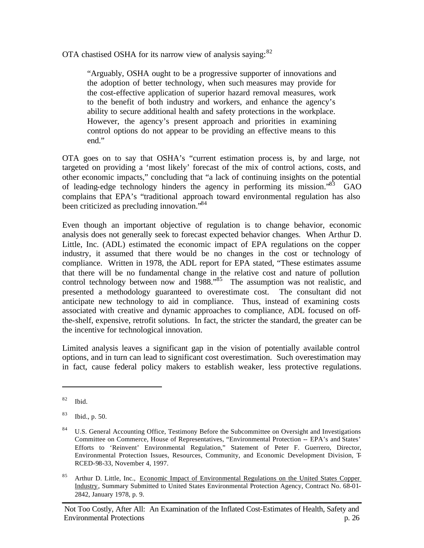OTA chastised OSHA for its narrow view of analysis saying: $82$ 

"Arguably, OSHA ought to be a progressive supporter of innovations and the adoption of better technology, when such measures may provide for the cost-effective application of superior hazard removal measures, work to the benefit of both industry and workers, and enhance the agency's ability to secure additional health and safety protections in the workplace. However, the agency's present approach and priorities in examining control options do not appear to be providing an effective means to this end."

OTA goes on to say that OSHA's "current estimation process is, by and large, not targeted on providing a 'most likely' forecast of the mix of control actions, costs, and other economic impacts," concluding that "a lack of continuing insights on the potential of leading-edge technology hinders the agency in performing its mission."<sup>83</sup> GAO complains that EPA's "traditional approach toward environmental regulation has also been criticized as precluding innovation."<sup>84</sup>

Even though an important objective of regulation is to change behavior, economic analysis does not generally seek to forecast expected behavior changes. When Arthur D. Little, Inc. (ADL) estimated the economic impact of EPA regulations on the copper industry, it assumed that there would be no changes in the cost or technology of compliance. Written in 1978, the ADL report for EPA stated, "These estimates assume that there will be no fundamental change in the relative cost and nature of pollution control technology between now and 1988.<sup>85</sup> The assumption was not realistic, and presented a methodology guaranteed to overestimate cost. The consultant did not anticipate new technology to aid in compliance. Thus, instead of examining costs associated with creative and dynamic approaches to compliance, ADL focused on offthe-shelf, expensive, retrofit solutions. In fact, the stricter the standard, the greater can be the incentive for technological innovation.

Limited analysis leaves a significant gap in the vision of potentially available control options, and in turn can lead to significant cost overestimation. Such overestimation may in fact, cause federal policy makers to establish weaker, less protective regulations.

 $82$  Ibid.

<sup>83</sup> Ibid., p. 50.

<sup>&</sup>lt;sup>84</sup> U.S. General Accounting Office, Testimony Before the Subcommittee on Oversight and Investigations Committee on Commerce, House of Representatives, "Environmental Protection -- EPA's and States' Efforts to 'Reinvent' Environmental Regulation," Statement of Peter F. Guerrero, Director, Environmental Protection Issues, Resources, Community, and Economic Development Division, T-RCED-98-33, November 4, 1997.

<sup>&</sup>lt;sup>85</sup> Arthur D. Little, Inc., Economic Impact of Environmental Regulations on the United States Copper Industry, Summary Submitted to United States Environmental Protection Agency, Contract No. 68-01- 2842, January 1978, p. 9.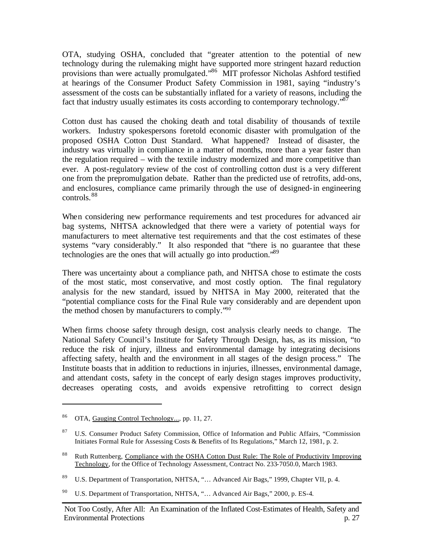OTA, studying OSHA, concluded that "greater attention to the potential of new technology during the rulemaking might have supported more stringent hazard reduction provisions than were actually promulgated."<sup>86</sup> MIT professor Nicholas Ashford testified at hearings of the Consumer Product Safety Commission in 1981, saying "industry's assessment of the costs can be substantially inflated for a variety of reasons, including the fact that industry usually estimates its costs according to contemporary technology."<sup>87</sup>

Cotton dust has caused the choking death and total disability of thousands of textile workers. Industry spokespersons foretold economic disaster with promulgation of the proposed OSHA Cotton Dust Standard. What happened? Instead of disaster, the industry was virtually in compliance in a matter of months, more than a year faster than the regulation required – with the textile industry modernized and more competitive than ever. A post-regulatory review of the cost of controlling cotton dust is a very different one from the prepromulgation debate. Rather than the predicted use of retrofits, add-ons, and enclosures, compliance came primarily through the use of designed-in engineering controls.<sup>88</sup>

When considering new performance requirements and test procedures for advanced air bag systems, NHTSA acknowledged that there were a variety of potential ways for manufacturers to meet alternative test requirements and that the cost estimates of these systems "vary considerably." It also responded that "there is no guarantee that these technologies are the ones that will actually go into production.<sup>89</sup>

There was uncertainty about a compliance path, and NHTSA chose to estimate the costs of the most static, most conservative, and most costly option. The final regulatory analysis for the new standard, issued by NHTSA in May 2000, reiterated that the "potential compliance costs for the Final Rule vary considerably and are dependent upon the method chosen by manufacturers to comply."<sup>90</sup>

When firms choose safety through design, cost analysis clearly needs to change. The National Safety Council's Institute for Safety Through Design, has, as its mission, "to reduce the risk of injury, illness and environmental damage by integrating decisions affecting safety, health and the environment in all stages of the design process." The Institute boasts that in addition to reductions in injuries, illnesses, environmental damage, and attendant costs, safety in the concept of early design stages improves productivity, decreases operating costs, and avoids expensive retrofitting to correct design

<sup>86</sup> OTA, Gauging Control Technology..., pp. 11, 27.

<sup>&</sup>lt;sup>87</sup> U.S. Consumer Product Safety Commission, Office of Information and Public Affairs, "Commission Initiates Formal Rule for Assessing Costs & Benefits of Its Regulations," March 12, 1981, p. 2.

<sup>&</sup>lt;sup>88</sup> Ruth Ruttenberg, Compliance with the OSHA Cotton Dust Rule: The Role of Productivity Improving Technology, for the Office of Technology Assessment, Contract No. 233-7050.0, March 1983.

<sup>89</sup> U.S. Department of Transportation, NHTSA, "… Advanced Air Bags," 1999, Chapter VII, p. 4.

<sup>90</sup> U.S. Department of Transportation, NHTSA, "… Advanced Air Bags," 2000, p. ES-4.

Not Too Costly, After All: An Examination of the Inflated Cost-Estimates of Health, Safety and Environmental Protections p. 27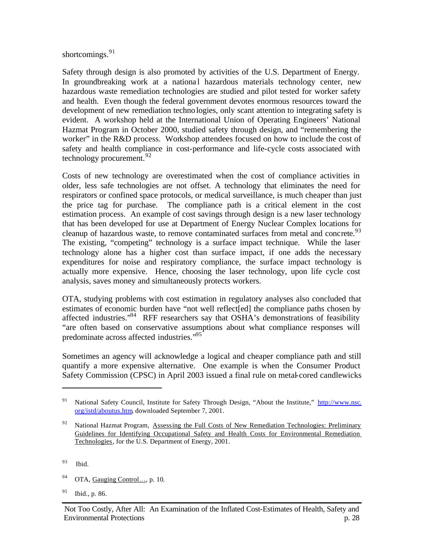#### shortcomings.<sup>91</sup>

Safety through design is also promoted by activities of the U.S. Department of Energy. In groundbreaking work at a national hazardous materials technology center, new hazardous waste remediation technologies are studied and pilot tested for worker safety and health. Even though the federal government devotes enormous resources toward the development of new remediation technologies, only scant attention to integrating safety is evident. A workshop held at the International Union of Operating Engineers' National Hazmat Program in October 2000, studied safety through design, and "remembering the worker" in the R&D process. Workshop attendees focused on how to include the cost of safety and health compliance in cost-performance and life-cycle costs associated with technology procurement.<sup>92</sup>

Costs of new technology are overestimated when the cost of compliance activities in older, less safe technologies are not offset. A technology that eliminates the need for respirators or confined space protocols, or medical surveillance, is much cheaper than just the price tag for purchase. The compliance path is a critical element in the cost estimation process. An example of cost savings through design is a new laser technology that has been developed for use at Department of Energy Nuclear Complex locations for cleanup of hazardous waste, to remove contaminated surfaces from metal and concrete.<sup>93</sup> The existing, "competing" technology is a surface impact technique. While the laser technology alone has a higher cost than surface impact, if one adds the necessary expenditures for noise and respiratory compliance, the surface impact technology is actually more expensive. Hence, choosing the laser technology, upon life cycle cost analysis, saves money and simultaneously protects workers.

OTA, studying problems with cost estimation in regulatory analyses also concluded that estimates of economic burden have "not well reflect[ed] the compliance paths chosen by affected industries."<sup>94</sup> RFF researchers say that OSHA's demonstrations of feasibility "are often based on conservative assumptions about what compliance responses will predominate across affected industries."<sup>95</sup>

Sometimes an agency will acknowledge a logical and cheaper compliance path and still quantify a more expensive alternative. One example is when the Consumer Product Safety Commission (CPSC) in April 2003 issued a final rule on metal-cored candlewicks

- 94 OTA, Gauging Control..., p. 10.
- <sup>95</sup> Ibid., p. 86.

<sup>&</sup>lt;sup>91</sup> National Safety Council, Institute for Safety Through Design, "About the Institute," http://www.nsc. org/istd/aboutus.htm, downloaded September 7, 2001.

<sup>&</sup>lt;sup>92</sup> National Hazmat Program, Assessing the Full Costs of New Remediation Technologies: Preliminary Guidelines for Identifying Occupational Safety and Health Costs for Environmental Remediation Technologies, for the U.S. Department of Energy, 2001.

<sup>93</sup> Ibid.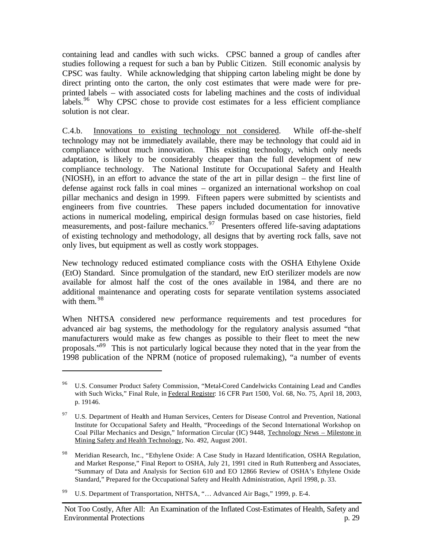containing lead and candles with such wicks. CPSC banned a group of candles after studies following a request for such a ban by Public Citizen. Still economic analysis by CPSC was faulty. While acknowledging that shipping carton labeling might be done by direct printing onto the carton, the only cost estimates that were made were for preprinted labels – with associated costs for labeling machines and the costs of individual labels.<sup>96</sup> Why CPSC chose to provide cost estimates for a less efficient compliance solution is not clear.

C.4.b. Innovations to existing technology not considered. While off-the-shelf technology may not be immediately available, there may be technology that could aid in compliance without much innovation. This existing technology, which only needs adaptation, is likely to be considerably cheaper than the full development of new compliance technology. The National Institute for Occupational Safety and Health (NIOSH), in an effort to advance the state of the art in pillar design – the first line of defense against rock falls in coal mines – organized an international workshop on coal pillar mechanics and design in 1999. Fifteen papers were submitted by scientists and engineers from five countries. These papers included documentation for innovative actions in numerical modeling, empirical design formulas based on case histories, field measurements, and post-failure mechanics.<sup>97</sup> Presenters offered life-saving adaptations of existing technology and methodology, all designs that by averting rock falls, save not only lives, but equipment as well as costly work stoppages.

New technology reduced estimated compliance costs with the OSHA Ethylene Oxide (EtO) Standard. Since promulgation of the standard, new EtO sterilizer models are now available for almost half the cost of the ones available in 1984, and there are no additional maintenance and operating costs for separate ventilation systems associated with them. <sup>98</sup>

When NHTSA considered new performance requirements and test procedures for advanced air bag systems, the methodology for the regulatory analysis assumed "that manufacturers would make as few changes as possible to their fleet to meet the new proposals."<sup>99</sup> This is not particularly logical because they noted that in the year from the 1998 publication of the NPRM (notice of proposed rulemaking), "a number of events

<sup>96</sup> U.S. Consumer Product Safety Commission, "Metal-Cored Candelwicks Containing Lead and Candles with Such Wicks," Final Rule, in Federal Register: 16 CFR Part 1500, Vol. 68, No. 75, April 18, 2003, p. 19146.

<sup>&</sup>lt;sup>97</sup> U.S. Department of Health and Human Services, Centers for Disease Control and Prevention, National Institute for Occupational Safety and Health, "Proceedings of the Second International Workshop on Coal Pillar Mechanics and Design," Information Circular (IC) 9448, Technology News – Milestone in Mining Safety and Health Technology, No. 492, August 2001.

<sup>98</sup> Meridian Research, Inc., "Ethylene Oxide: A Case Study in Hazard Identification, OSHA Regulation, and Market Response," Final Report to OSHA, July 21, 1991 cited in Ruth Ruttenberg and Associates, "Summary of Data and Analysis for Section 610 and EO 12866 Review of OSHA's Ethylene Oxide Standard," Prepared for the Occupational Safety and Health Administration, April 1998, p. 33.

<sup>99</sup> U.S. Department of Transportation, NHTSA, "… Advanced Air Bags," 1999, p. E-4.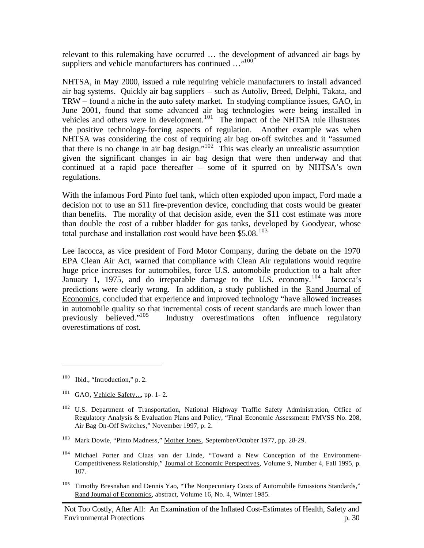relevant to this rulemaking have occurred … the development of advanced air bags by suppliers and vehicle manufacturers has continued ..."<sup>100</sup>

NHTSA, in May 2000, issued a rule requiring vehicle manufacturers to install advanced air bag systems. Quickly air bag suppliers – such as Autoliv, Breed, Delphi, Takata, and TRW – found a niche in the auto safety market. In studying compliance issues, GAO, in June 2001, found that some advanced air bag technologies were being installed in vehicles and others were in development.<sup>101</sup> The impact of the NHTSA rule illustrates the positive technology-forcing aspects of regulation. Another example was when NHTSA was considering the cost of requiring air bag on-off switches and it "assumed that there is no change in air bag design."<sup>102</sup> This was clearly an unrealistic assumption given the significant changes in air bag design that were then underway and that continued at a rapid pace thereafter – some of it spurred on by NHTSA's own regulations.

With the infamous Ford Pinto fuel tank, which often exploded upon impact, Ford made a decision not to use an \$11 fire-prevention device, concluding that costs would be greater than benefits. The morality of that decision aside, even the \$11 cost estimate was more than double the cost of a rubber bladder for gas tanks, developed by Goodyear, whose total purchase and installation cost would have been  $$5.08$ <sup>103</sup>

Lee Iacocca, as vice president of Ford Motor Company, during the debate on the 1970 EPA Clean Air Act, warned that compliance with Clean Air regulations would require huge price increases for automobiles, force U.S. automobile production to a halt after January 1, 1975, and do irreparable damage to the U.S. economy.<sup>104</sup> Iacocca's predictions were clearly wrong. In addition, a study published in the Rand Journal of Economics, concluded that experience and improved technology "have allowed increases in automobile quality so that incremental costs of recent standards are much lower than previously believed. $\frac{105}{105}$  Industry overestimations often influence regulatory Industry overestimations often influence regulatory overestimations of cost.

 $100$  Ibid., "Introduction," p. 2.

<sup>&</sup>lt;sup>101</sup> GAO, Vehicle Safety..., pp. 1-2.

<sup>&</sup>lt;sup>102</sup> U.S. Department of Transportation, National Highway Traffic Safety Administration, Office of Regulatory Analysis & Evaluation Plans and Policy, "Final Economic Assessment: FMVSS No. 208, Air Bag On-Off Switches," November 1997, p. 2.

<sup>&</sup>lt;sup>103</sup> Mark Dowie, "Pinto Madness," Mother Jones, September/October 1977, pp. 28-29.

<sup>&</sup>lt;sup>104</sup> Michael Porter and Claas van der Linde, "Toward a New Conception of the Environment-Competitiveness Relationship," Journal of Economic Perspectives, Volume 9, Number 4, Fall 1995, p. 107.

<sup>&</sup>lt;sup>105</sup> Timothy Bresnahan and Dennis Yao, "The Nonpecuniary Costs of Automobile Emissions Standards," Rand Journal of Economics, abstract, Volume 16, No. 4, Winter 1985.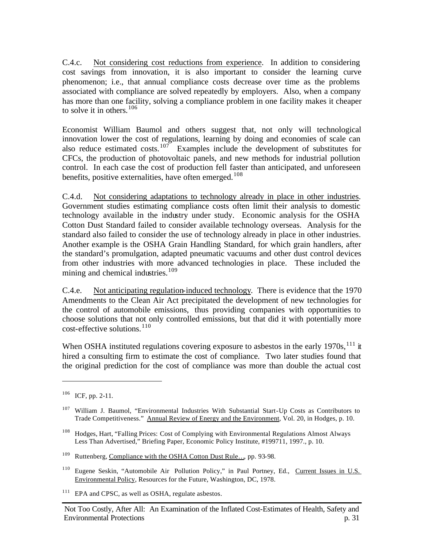C.4.c. Not considering cost reductions from experience. In addition to considering cost savings from innovation, it is also important to consider the learning curve phenomenon; i.e., that annual compliance costs decrease over time as the problems associated with compliance are solved repeatedly by employers. Also, when a company has more than one facility, solving a compliance problem in one facility makes it cheaper to solve it in others.<sup>106</sup>

Economist William Baumol and others suggest that, not only will technological innovation lower the cost of regulations, learning by doing and economies of scale can also reduce estimated costs.<sup>107</sup> Examples include the development of substitutes for CFCs, the production of photovoltaic panels, and new methods for industrial pollution control. In each case the cost of production fell faster than anticipated, and unforeseen benefits, positive externalities, have often emerged.<sup>108</sup>

C.4.d. Not considering adaptations to technology already in place in other industries. Government studies estimating compliance costs often limit their analysis to domestic technology available in the industry under study. Economic analysis for the OSHA Cotton Dust Standard failed to consider available technology overseas. Analysis for the standard also failed to consider the use of technology already in place in other industries. Another example is the OSHA Grain Handling Standard, for which grain handlers, after the standard's promulgation, adapted pneumatic vacuums and other dust control devices from other industries with more advanced technologies in place. These included the mining and chemical industries.<sup>109</sup>

C.4.e. Not anticipating regulation-induced technology. There is evidence that the 1970 Amendments to the Clean Air Act precipitated the development of new technologies for the control of automobile emissions, thus providing companies with opportunities to choose solutions that not only controlled emissions, but that did it with potentially more  $\text{cost-effective solutions.}^{110}$ 

When OSHA instituted regulations covering exposure to asbestos in the early  $1970s$ ,  $^{111}$  it hired a consulting firm to estimate the cost of compliance. Two later studies found that the original prediction for the cost of compliance was more than double the actual cost

 $\overline{a}$ 

<sup>111</sup> EPA and CPSC, as well as OSHA, regulate asbestos.

<sup>106</sup> ICF, pp. 2-11.

<sup>&</sup>lt;sup>107</sup> William J. Baumol, "Environmental Industries With Substantial Start-Up Costs as Contributors to Trade Competitiveness." Annual Review of Energy and the Environment, Vol. 20, in Hodges, p. 10.

<sup>&</sup>lt;sup>108</sup> Hodges, Hart, "Falling Prices: Cost of Complying with Environmental Regulations Almost Always Less Than Advertised," Briefing Paper, Economic Policy Institute, #199711, 1997., p. 10.

<sup>109</sup> Ruttenberg, Compliance with the OSHA Cotton Dust Rule…, pp. 93-98.

<sup>&</sup>lt;sup>110</sup> Eugene Seskin, "Automobile Air Pollution Policy," in Paul Portney, Ed., Current Issues in U.S. Environmental Policy, Resources for the Future, Washington, DC, 1978.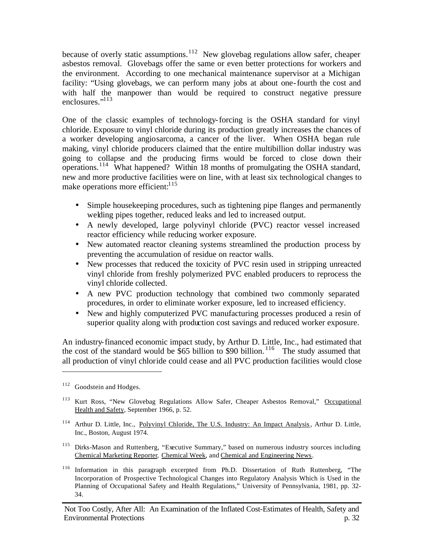because of overly static assumptions.<sup>112</sup> New glovebag regulations allow safer, cheaper asbestos removal. Glovebags offer the same or even better protections for workers and the environment. According to one mechanical maintenance supervisor at a Michigan facility: "Using glovebags, we can perform many jobs at about one-fourth the cost and with half the manpower than would be required to construct negative pressure enclosures."<sup>113</sup>

One of the classic examples of technology-forcing is the OSHA standard for vinyl chloride. Exposure to vinyl chloride during its production greatly increases the chances of a worker developing angiosarcoma, a cancer of the liver. When OSHA began rule making, vinyl chloride producers claimed that the entire multibillion dollar industry was going to collapse and the producing firms would be forced to close down their operations.<sup>114</sup> What happened? Within 18 months of promulgating the OSHA standard, new and more productive facilities were on line, with at least six technological changes to make operations more efficient: $115$ 

- Simple housekeeping procedures, such as tightening pipe flanges and permanently welding pipes together, reduced leaks and led to increased output.
- A newly developed, large polyvinyl chloride (PVC) reactor vessel increased reactor efficiency while reducing worker exposure.
- New automated reactor cleaning systems streamlined the production process by preventing the accumulation of residue on reactor walls.
- New processes that reduced the toxicity of PVC resin used in stripping unreacted vinyl chloride from freshly polymerized PVC enabled producers to reprocess the vinyl chloride collected.
- A new PVC production technology that combined two commonly separated procedures, in order to eliminate worker exposure, led to increased efficiency.
- New and highly computerized PVC manufacturing processes produced a resin of superior quality along with production cost savings and reduced worker exposure.

An industry-financed economic impact study, by Arthur D. Little, Inc., had estimated that the cost of the standard would be  $$65$  billion to \$90 billion.<sup>116</sup> The study assumed that all production of vinyl chloride could cease and all PVC production facilities would close

- <sup>114</sup> Arthur D. Little, Inc., Polyvinyl Chloride, The U.S. Industry: An Impact Analysis, Arthur D. Little, Inc., Boston, August 1974.
- <sup>115</sup> Dirks-Mason and Ruttenberg, "Executive Summary," based on numerous industry sources including Chemical Marketing Reporter, Chemical Week, and Chemical and Engineering News.
- <sup>116</sup> Information in this paragraph excerpted from Ph.D. Dissertation of Ruth Ruttenberg, "The Incorporation of Prospective Technological Changes into Regulatory Analysis Which is Used in the Planning of Occupational Safety and Health Regulations," University of Pennsylvania, 1981, pp. 32- 34.

<sup>&</sup>lt;sup>112</sup> Goodstein and Hodges.

<sup>&</sup>lt;sup>113</sup> Kurt Ross, "New Glovebag Regulations Allow Safer, Cheaper Asbestos Removal," Occupational Health and Safety, September 1966, p. 52.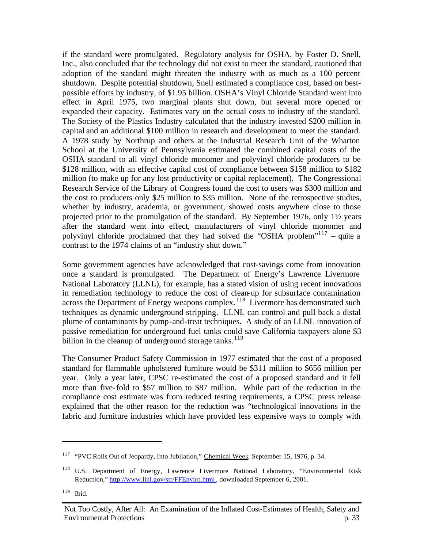if the standard were promulgated. Regulatory analysis for OSHA, by Foster D. Snell, Inc., also concluded that the technology did not exist to meet the standard, cautioned that adoption of the standard might threaten the industry with as much as a 100 percent shutdown. Despite potential shutdown, Snell estimated a compliance cost, based on bestpossible efforts by industry, of \$1.95 billion. OSHA's Vinyl Chloride Standard went into effect in April 1975, two marginal plants shut down, but several more opened or expanded their capacity. Estimates vary on the actual costs to industry of the standard. The Society of the Plastics Industry calculated that the industry invested \$200 million in capital and an additional \$100 million in research and development to meet the standard. A 1978 study by Northrup and others at the Industrial Research Unit of the Wharton School at the University of Pennsylvania estimated the combined capital costs of the OSHA standard to all vinyl chloride monomer and polyvinyl chloride producers to be \$128 million, with an effective capital cost of compliance between \$158 million to \$182 million (to make up for any lost productivity or capital replacement). The Congressional Research Service of the Library of Congress found the cost to users was \$300 million and the cost to producers only \$25 million to \$35 million. None of the retrospective studies, whether by industry, academia, or government, showed costs anywhere close to those projected prior to the promulgation of the standard. By September 1976, only 1½ years after the standard went into effect, manufacturers of vinyl chloride monomer and polyvinyl chloride proclaimed that they had solved the "OSHA problem"<sup>117</sup> – quite a contrast to the 1974 claims of an "industry shut down."

Some government agencies have acknowledged that cost-savings come from innovation once a standard is promulgated. The Department of Energy's Lawrence Livermore National Laboratory (LLNL), for example, has a stated vision of using recent innovations in remediation technology to reduce the cost of clean-up for subsurface contamination across the Department of Energy weapons complex.<sup>118</sup> Livermore has demonstrated such techniques as dynamic underground stripping. LLNL can control and pull back a distal plume of contaminants by pump-and-treat techniques. A study of an LLNL innovation of passive remediation for underground fuel tanks could save California taxpayers alone \$3 billion in the cleanup of underground storage tanks.<sup>119</sup>

The Consumer Product Safety Commission in 1977 estimated that the cost of a proposed standard for flammable upholstered furniture would be \$311 million to \$656 million per year. Only a year later, CPSC re-estimated the cost of a proposed standard and it fell more than five-fold to \$57 million to \$87 million. While part of the reduction in the compliance cost estimate was from reduced testing requirements, a CPSC press release explained that the other reason for the reduction was "technological innovations in the fabric and furniture industries which have provided less expensive ways to comply with

<sup>&</sup>lt;sup>117</sup> "PVC Rolls Out of Jeopardy, Into Jubilation," Chemical Week, September 15, 1976, p. 34.

<sup>&</sup>lt;sup>118</sup> U.S. Department of Energy, Lawrence Livermore National Laboratory, "Environmental Risk Reduction," http://www.llnl.gov/str/FFEnviro.html, downloaded September 6, 2001.

 $119$  Ibid.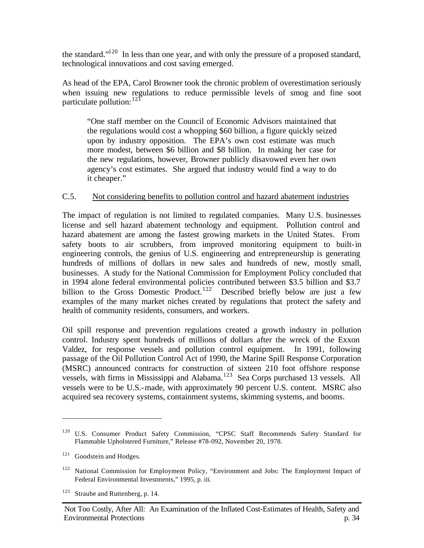the standard."<sup>120</sup> In less than one year, and with only the pressure of a proposed standard, technological innovations and cost saving emerged.

As head of the EPA, Carol Browner took the chronic problem of overestimation seriously when issuing new regulations to reduce permissible levels of smog and fine soot particulate pollution: <sup>121</sup>

"One staff member on the Council of Economic Advisors maintained that the regulations would cost a whopping \$60 billion, a figure quickly seized upon by industry opposition. The EPA's own cost estimate was much more modest, between \$6 billion and \$8 billion. In making her case for the new regulations, however, Browner publicly disavowed even her own agency's cost estimates. She argued that industry would find a way to do it cheaper."

## C.5. Not considering benefits to pollution control and hazard abatement industries

The impact of regulation is not limited to regulated companies. Many U.S. businesses license and sell hazard abatement technology and equipment. Pollution control and hazard abatement are among the fastest growing markets in the United States. From safety boots to air scrubbers, from improved monitoring equipment to built-in engineering controls, the genius of U.S. engineering and entrepreneurship is generating hundreds of millions of dollars in new sales and hundreds of new, mostly small, businesses. A study for the National Commission for Employment Policy concluded that in 1994 alone federal environmental policies contributed between \$3.5 billion and \$3.7 billion to the Gross Domestic Product.<sup>122</sup> Described briefly below are just a few examples of the many market niches created by regulations that protect the safety and health of community residents, consumers, and workers.

Oil spill response and prevention regulations created a growth industry in pollution control. Industry spent hundreds of millions of dollars after the wreck of the Exxon Valdez, for response vessels and pollution control equipment. In 1991, following passage of the Oil Pollution Control Act of 1990, the Marine Spill Response Corporation (MSRC) announced contracts for construction of sixteen 210 foot offshore response vessels, with firms in Mississippi and Alabama.<sup>123</sup> Sea Corps purchased 13 vessels. All vessels were to be U.S.-made, with approximately 90 percent U.S. content. MSRC also acquired sea recovery systems, containment systems, skimming systems, and booms.

<sup>&</sup>lt;sup>120</sup> U.S. Consumer Product Safety Commission, "CPSC Staff Recommends Safety Standard for Flammable Upholstered Furniture," Release #78-092, November 20, 1978.

<sup>&</sup>lt;sup>121</sup> Goodstein and Hodges.

<sup>&</sup>lt;sup>122</sup> National Commission for Employment Policy, "Environment and Jobs: The Employment Impact of Federal Environmental Investments," 1995, p. iii.

<sup>&</sup>lt;sup>123</sup> Straube and Ruttenberg, p. 14.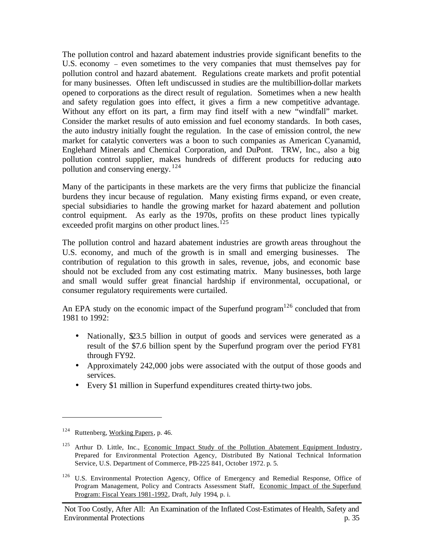The pollution control and hazard abatement industries provide significant benefits to the U.S. economy – even sometimes to the very companies that must themselves pay for pollution control and hazard abatement. Regulations create markets and profit potential for many businesses. Often left undiscussed in studies are the multibillion-dollar markets opened to corporations as the direct result of regulation. Sometimes when a new health and safety regulation goes into effect, it gives a firm a new competitive advantage. Without any effort on its part, a firm may find itself with a new "windfall" market. Consider the market results of auto emission and fuel economy standards. In both cases, the auto industry initially fought the regulation. In the case of emission control, the new market for catalytic converters was a boon to such companies as American Cyanamid, Englehard Minerals and Chemical Corporation, and DuPont. TRW, Inc., also a big pollution control supplier, makes hundreds of different products for reducing auto pollution and conserving energy.<sup>124</sup>

Many of the participants in these markets are the very firms that publicize the financial burdens they incur because of regulation. Many existing firms expand, or even create, special subsidiaries to handle the growing market for hazard abatement and pollution control equipment. As early as the 1970s, profits on these product lines typically exceeded profit margins on other product lines.<sup>125</sup>

The pollution control and hazard abatement industries are growth areas throughout the U.S. economy, and much of the growth is in small and emerging businesses. The contribution of regulation to this growth in sales, revenue, jobs, and economic base should not be excluded from any cost estimating matrix. Many businesses, both large and small would suffer great financial hardship if environmental, occupational, or consumer regulatory requirements were curtailed.

An EPA study on the economic impact of the Superfund program<sup>126</sup> concluded that from 1981 to 1992:

- Nationally,  $\mathfrak{D}3.5$  billion in output of goods and services were generated as a result of the \$7.6 billion spent by the Superfund program over the period FY81 through FY92.
- Approximately 242,000 jobs were associated with the output of those goods and services.
- Every \$1 million in Superfund expenditures created thirty-two jobs.

<sup>&</sup>lt;sup>124</sup> Ruttenberg, Working Papers, p. 46.

<sup>&</sup>lt;sup>125</sup> Arthur D. Little, Inc., Economic Impact Study of the Pollution Abatement Equipment Industry, Prepared for Environmental Protection Agency, Distributed By National Technical Information Service, U.S. Department of Commerce, PB-225 841, October 1972. p. 5.

<sup>&</sup>lt;sup>126</sup> U.S. Environmental Protection Agency, Office of Emergency and Remedial Response, Office of Program Management, Policy and Contracts Assessment Staff, Economic Impact of the Superfund Program: Fiscal Years 1981-1992, Draft, July 1994, p. i.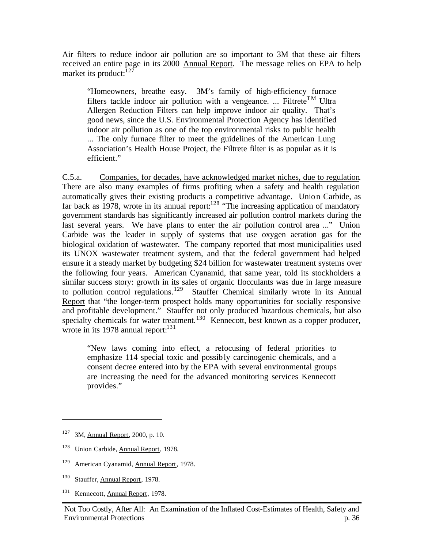Air filters to reduce indoor air pollution are so important to 3M that these air filters received an entire page in its 2000 Annual Report. The message relies on EPA to help market its product: $127$ 

"Homeowners, breathe easy. 3M's family of high-efficiency furnace filters tackle indoor air pollution with a vengeance. ... Filtrete<sup>TM</sup> Ultra Allergen Reduction Filters can help improve indoor air quality. That's good news, since the U.S. Environmental Protection Agency has identified indoor air pollution as one of the top environmental risks to public health ... The only furnace filter to meet the guidelines of the American Lung Association's Health House Project, the Filtrete filter is as popular as it is efficient."

C.5.a. Companies, for decades, have acknowledged market niches, due to regulation. There are also many examples of firms profiting when a safety and health regulation automatically gives their existing products a competitive advantage. Union Carbide, as far back as 1978, wrote in its annual report:  $128$  "The increasing application of mandatory government standards has significantly increased air pollution control markets during the last several years. We have plans to enter the air pollution control area ..." Union Carbide was the leader in supply of systems that use oxygen aeration gas for the biological oxidation of wastewater. The company reported that most municipalities used its UNOX wastewater treatment system, and that the federal government had helped ensure it a steady market by budgeting \$24 billion for wastewater treatment systems over the following four years. American Cyanamid, that same year, told its stockholders a similar success story: growth in its sales of organic flocculants was due in large measure to pollution control regulations.<sup>129</sup> Stauffer Chemical similarly wrote in its Annual Report that "the longer-term prospect holds many opportunities for socially responsive and profitable development." Stauffer not only produced hazardous chemicals, but also specialty chemicals for water treatment.<sup>130</sup> Kennecott, best known as a copper producer, wrote in its 1978 annual report: $^{131}$ 

"New laws coming into effect, a refocusing of federal priorities to emphasize 114 special toxic and possibly carcinogenic chemicals, and a consent decree entered into by the EPA with several environmental groups are increasing the need for the advanced monitoring services Kennecott provides."

<sup>127</sup> 3M, Annual Report, 2000, p. 10.

<sup>128</sup> Union Carbide, Annual Report, 1978.

<sup>&</sup>lt;sup>129</sup> American Cyanamid, Annual Report, 1978.

<sup>130</sup> Stauffer, Annual Report, 1978.

<sup>&</sup>lt;sup>131</sup> Kennecott, Annual Report, 1978.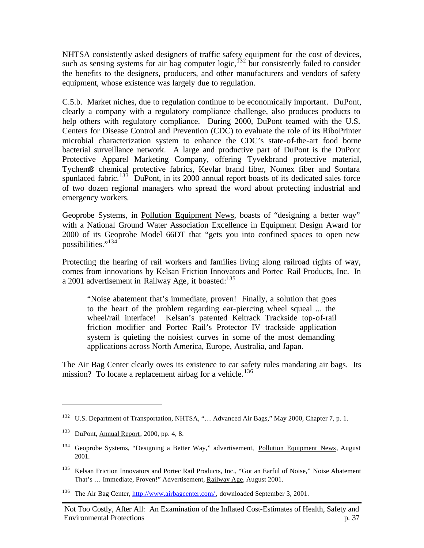NHTSA consistently asked designers of traffic safety equipment for the cost of devices, such as sensing systems for air bag computer  $logic$ ,  $^{132}$  but consistently failed to consider the benefits to the designers, producers, and other manufacturers and vendors of safety equipment, whose existence was largely due to regulation.

C.5.b. Market niches, due to regulation continue to be economically important. DuPont, clearly a company with a regulatory compliance challenge, also produces products to help others with regulatory compliance. During 2000, DuPont teamed with the U.S. Centers for Disease Control and Prevention (CDC) to evaluate the role of its RiboPrinter microbial characterization system to enhance the CDC's state-of-the-art food borne bacterial surveillance network. A large and productive part of DuPont is the DuPont Protective Apparel Marketing Company, offering Tyvekbrand protective material, Tychem**®** chemical protective fabrics, Kevlar brand fiber, Nomex fiber and Sontara spunlaced fabric.<sup>133</sup> DuPont, in its 2000 annual report boasts of its dedicated sales force of two dozen regional managers who spread the word about protecting industrial and emergency workers.

Geoprobe Systems, in Pollution Equipment News, boasts of "designing a better way" with a National Ground Water Association Excellence in Equipment Design Award for 2000 of its Geoprobe Model 66DT that "gets you into confined spaces to open new possibilities."<sup>134</sup>

Protecting the hearing of rail workers and families living along railroad rights of way, comes from innovations by Kelsan Friction Innovators and Portec Rail Products, Inc. In a 2001 advertisement in Railway Age, it boasted:  $135$ 

"Noise abatement that's immediate, proven! Finally, a solution that goes to the heart of the problem regarding ear-piercing wheel squeal ... the wheel/rail interface! Kelsan's patented Keltrack Trackside top-of-rail friction modifier and Portec Rail's Protector IV trackside application system is quieting the noisiest curves in some of the most demanding applications across North America, Europe, Australia, and Japan.

The Air Bag Center clearly owes its existence to car safety rules mandating air bags. Its mission? To locate a replacement airbag for a vehicle.<sup>136</sup>

<sup>&</sup>lt;sup>132</sup> U.S. Department of Transportation, NHTSA, "... Advanced Air Bags," May 2000, Chapter 7, p. 1.

<sup>133</sup> DuPont, Annual Report, 2000, pp. 4, 8.

<sup>&</sup>lt;sup>134</sup> Geoprobe Systems, "Designing a Better Way," advertisement, Pollution Equipment News, August 2001.

<sup>&</sup>lt;sup>135</sup> Kelsan Friction Innovators and Portec Rail Products, Inc., "Got an Earful of Noise," Noise Abatement That's ... Immediate, Proven!" Advertisement, Railway Age, August 2001.

<sup>&</sup>lt;sup>136</sup> The Air Bag Center, http://www.airbagcenter.com/, downloaded September 3, 2001.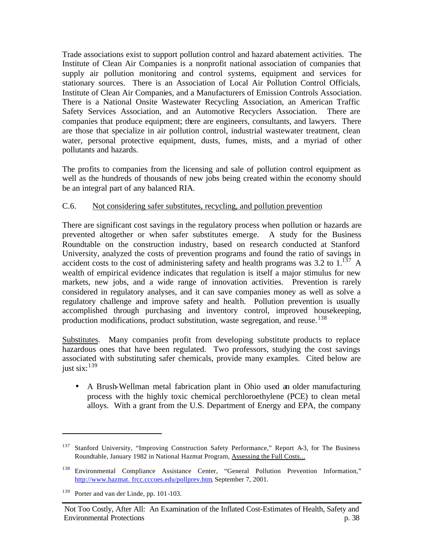Trade associations exist to support pollution control and hazard abatement activities. The Institute of Clean Air Companies is a nonprofit national association of companies that supply air pollution monitoring and control systems, equipment and services for stationary sources. There is an Association of Local Air Pollution Control Officials, Institute of Clean Air Companies, and a Manufacturers of Emission Controls Association. There is a National Onsite Wastewater Recycling Association, an American Traffic Safety Services Association, and an Automotive Recyclers Association.There are companies that produce equipment; there are engineers, consultants, and lawyers. There are those that specialize in air pollution control, industrial wastewater treatment, clean water, personal protective equipment, dusts, fumes, mists, and a myriad of other pollutants and hazards.

The profits to companies from the licensing and sale of pollution control equipment as well as the hundreds of thousands of new jobs being created within the economy should be an integral part of any balanced RIA.

## C.6. Not considering safer substitutes, recycling, and pollution prevention

There are significant cost savings in the regulatory process when pollution or hazards are prevented altogether or when safer substitutes emerge. A study for the Business Roundtable on the construction industry, based on research conducted at Stanford University, analyzed the costs of prevention programs and found the ratio of savings in accident costs to the cost of administering safety and health programs was 3.2 to  $1.137 \text{ A}$ wealth of empirical evidence indicates that regulation is itself a major stimulus for new markets, new jobs, and a wide range of innovation activities. Prevention is rarely considered in regulatory analyses, and it can save companies money as well as solve a regulatory challenge and improve safety and health. Pollution prevention is usually accomplished through purchasing and inventory control, improved housekeeping, production modifications, product substitution, waste segregation, and reuse.<sup>138</sup>

Substitutes. Many companies profit from developing substitute products to replace hazardous ones that have been regulated. Two professors, studying the cost savings associated with substituting safer chemicals, provide many examples. Cited below are just six: $^{139}$ 

• A Brush-Wellman metal fabrication plant in Ohio used an older manufacturing process with the highly toxic chemical perchloroethylene (PCE) to clean metal alloys. With a grant from the U.S. Department of Energy and EPA, the company

<sup>&</sup>lt;sup>137</sup> Stanford University, "Improving Construction Safety Performance," Report A-3, for The Business Roundtable, January 1982 in National Hazmat Program, Assessing the Full Costs...

<sup>138</sup> Environmental Compliance Assistance Center, "General Pollution Prevention Information," http://www.hazmat. frcc.cccoes.edu/pollprev.htm, September 7, 2001.

<sup>139</sup> Porter and van der Linde, pp. 101-103.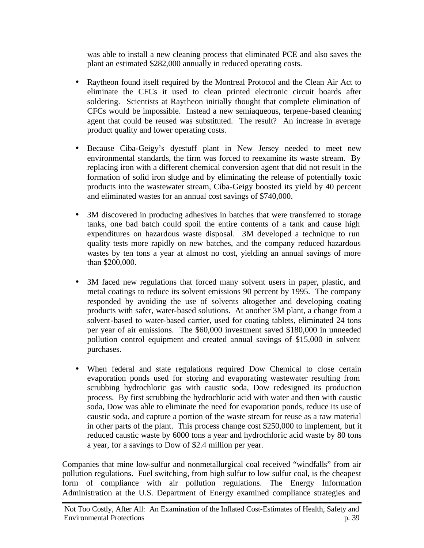was able to install a new cleaning process that eliminated PCE and also saves the plant an estimated \$282,000 annually in reduced operating costs.

- Raytheon found itself required by the Montreal Protocol and the Clean Air Act to eliminate the CFCs it used to clean printed electronic circuit boards after soldering. Scientists at Raytheon initially thought that complete elimination of CFCs would be impossible. Instead a new semiaqueous, terpene-based cleaning agent that could be reused was substituted. The result? An increase in average product quality and lower operating costs.
- Because Ciba-Geigy's dyestuff plant in New Jersey needed to meet new environmental standards, the firm was forced to reexamine its waste stream. By replacing iron with a different chemical conversion agent that did not result in the formation of solid iron sludge and by eliminating the release of potentially toxic products into the wastewater stream, Ciba-Geigy boosted its yield by 40 percent and eliminated wastes for an annual cost savings of \$740,000.
- 3M discovered in producing adhesives in batches that were transferred to storage tanks, one bad batch could spoil the entire contents of a tank and cause high expenditures on hazardous waste disposal. 3M developed a technique to run quality tests more rapidly on new batches, and the company reduced hazardous wastes by ten tons a year at almost no cost, yielding an annual savings of more than \$200,000.
- 3M faced new regulations that forced many solvent users in paper, plastic, and metal coatings to reduce its solvent emissions 90 percent by 1995. The company responded by avoiding the use of solvents altogether and developing coating products with safer, water-based solutions. At another 3M plant, a change from a solvent-based to water-based carrier, used for coating tablets, eliminated 24 tons per year of air emissions. The \$60,000 investment saved \$180,000 in unneeded pollution control equipment and created annual savings of \$15,000 in solvent purchases.
- When federal and state regulations required Dow Chemical to close certain evaporation ponds used for storing and evaporating wastewater resulting from scrubbing hydrochloric gas with caustic soda, Dow redesigned its production process. By first scrubbing the hydrochloric acid with water and then with caustic soda, Dow was able to eliminate the need for evaporation ponds, reduce its use of caustic soda, and capture a portion of the waste stream for reuse as a raw material in other parts of the plant. This process change cost \$250,000 to implement, but it reduced caustic waste by 6000 tons a year and hydrochloric acid waste by 80 tons a year, for a savings to Dow of \$2.4 million per year.

Companies that mine low-sulfur and nonmetallurgical coal received "windfalls" from air pollution regulations. Fuel switching, from high sulfur to low sulfur coal, is the cheapest form of compliance with air pollution regulations. The Energy Information Administration at the U.S. Department of Energy examined compliance strategies and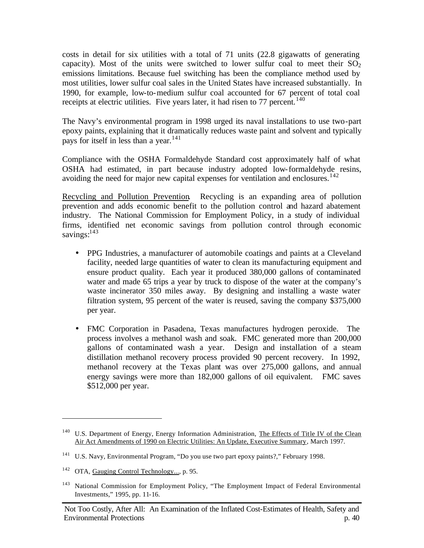costs in detail for six utilities with a total of 71 units (22.8 gigawatts of generating capacity). Most of the units were switched to lower sulfur coal to meet their  $SO_2$ emissions limitations. Because fuel switching has been the compliance method used by most utilities, lower sulfur coal sales in the United States have increased substantially. In 1990, for example, low-to-medium sulfur coal accounted for 67 percent of total coal receipts at electric utilities. Five years later, it had risen to  $77$  percent.<sup>140</sup>

The Navy's environmental program in 1998 urged its naval installations to use two-part epoxy paints, explaining that it dramatically reduces waste paint and solvent and typically pays for itself in less than a year.<sup>141</sup>

Compliance with the OSHA Formaldehyde Standard cost approximately half of what OSHA had estimated, in part because industry adopted low-formaldehyde resins, avoiding the need for major new capital expenses for ventilation and enclosures.<sup>142</sup>

Recycling and Pollution Prevention. Recycling is an expanding area of pollution prevention and adds economic benefit to the pollution control and hazard abatement industry. The National Commission for Employment Policy, in a study of individual firms, identified net economic savings from pollution control through economic savings:<sup>143</sup>

- PPG Industries, a manufacturer of automobile coatings and paints at a Cleveland facility, needed large quantities of water to clean its manufacturing equipment and ensure product quality. Each year it produced 380,000 gallons of contaminated water and made 65 trips a year by truck to dispose of the water at the company's waste incinerator 350 miles away. By designing and installing a waste water filtration system, 95 percent of the water is reused, saving the company \$375,000 per year.
- FMC Corporation in Pasadena, Texas manufactures hydrogen peroxide. The process involves a methanol wash and soak. FMC generated more than 200,000 gallons of contaminated wash a year. Design and installation of a steam distillation methanol recovery process provided 90 percent recovery. In 1992, methanol recovery at the Texas plant was over 275,000 gallons, and annual energy savings were more than 182,000 gallons of oil equivalent. FMC saves \$512,000 per year.

<sup>&</sup>lt;sup>140</sup> U.S. Department of Energy, Energy Information Administration, The Effects of Title IV of the Clean Air Act Amendments of 1990 on Electric Utilities: An Update, Executive Summary, March 1997.

<sup>&</sup>lt;sup>141</sup> U.S. Navy, Environmental Program, "Do you use two part epoxy paints?," February 1998.

<sup>&</sup>lt;sup>142</sup> OTA, Gauging Control Technology..., p. 95.

<sup>&</sup>lt;sup>143</sup> National Commission for Employment Policy, "The Employment Impact of Federal Environmental Investments," 1995, pp. 11-16.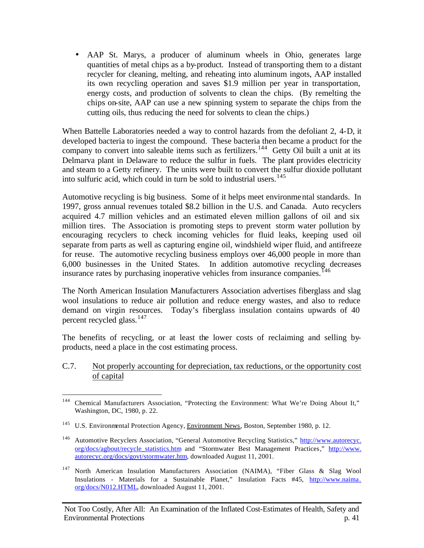• AAP St. Marys, a producer of aluminum wheels in Ohio, generates large quantities of metal chips as a by-product. Instead of transporting them to a distant recycler for cleaning, melting, and reheating into aluminum ingots, AAP installed its own recycling operation and saves \$1.9 million per year in transportation, energy costs, and production of solvents to clean the chips. (By remelting the chips on-site, AAP can use a new spinning system to separate the chips from the cutting oils, thus reducing the need for solvents to clean the chips.)

When Battelle Laboratories needed a way to control hazards from the defoliant 2, 4-D, it developed bacteria to ingest the compound. These bacteria then became a product for the company to convert into saleable items such as fertilizers.<sup>144</sup> Getty Oil built a unit at its Delmarva plant in Delaware to reduce the sulfur in fuels. The plant provides electricity and steam to a Getty refinery. The units were built to convert the sulfur dioxide pollutant into sulfuric acid, which could in turn be sold to industrial users.  $145$ 

Automotive recycling is big business. Some of it helps meet environmental standards. In 1997, gross annual revenues totaled \$8.2 billion in the U.S. and Canada. Auto recyclers acquired 4.7 million vehicles and an estimated eleven million gallons of oil and six million tires. The Association is promoting steps to prevent storm water pollution by encouraging recyclers to check incoming vehicles for fluid leaks, keeping used oil separate from parts as well as capturing engine oil, windshield wiper fluid, and antifreeze for reuse. The automotive recycling business employs over 46,000 people in more than 6,000 businesses in the United States. In addition automotive recycling decreases insurance rates by purchasing inoperative vehicles from insurance companies.<sup>146</sup>

The North American Insulation Manufacturers Association advertises fiberglass and slag wool insulations to reduce air pollution and reduce energy wastes, and also to reduce demand on virgin resources. Today's fiberglass insulation contains upwards of 40 percent recycled glass.  $147$ 

The benefits of recycling, or at least the lower costs of reclaiming and selling byproducts, need a place in the cost estimating process.

#### C.7. Not properly accounting for depreciation, tax reductions, or the opportunity cost of capital

<sup>&</sup>lt;sup>144</sup> Chemical Manufacturers Association, "Protecting the Environment: What We're Doing About It," Washington, DC, 1980, p. 22.

<sup>&</sup>lt;sup>145</sup> U.S. Environmental Protection Agency, Environment News, Boston, September 1980, p. 12.

<sup>&</sup>lt;sup>146</sup> Automotive Recyclers Association, "General Automotive Recycling Statistics," http://www.autorecyc. org/docs/agbout/recycle\_statistics.htm and "Stormwater Best Management Practices," http://www. autorecyc.org/docs/govt/stormwater.htm, downloaded August 11, 2001.

<sup>147</sup> North American Insulation Manufacturers Association (NAIMA), "Fiber Glass & Slag Wool Insulations - Materials for a Sustainable Planet," Insulation Facts #45, http://www.naima. org/docs/N012.HTML, downloaded August 11, 2001.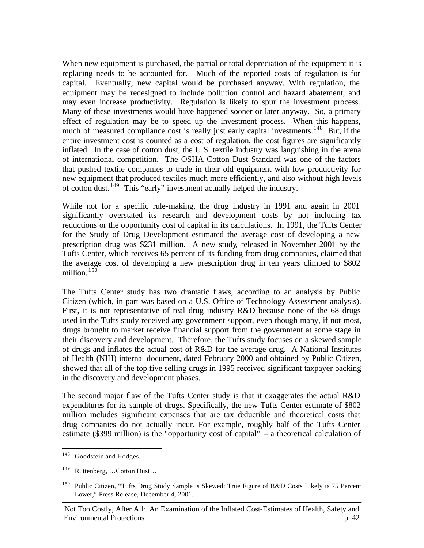When new equipment is purchased, the partial or total depreciation of the equipment it is replacing needs to be accounted for. Much of the reported costs of regulation is for capital. Eventually, new capital would be purchased anyway. With regulation, the equipment may be redesigned to include pollution control and hazard abatement, and may even increase productivity. Regulation is likely to spur the investment process. Many of these investments would have happened sooner or later anyway. So, a primary effect of regulation may be to speed up the investment process. When this happens, much of measured compliance cost is really just early capital investments.<sup>148</sup> But, if the entire investment cost is counted as a cost of regulation, the cost figures are significantly inflated. In the case of cotton dust, the U.S. textile industry was languishing in the arena of international competition. The OSHA Cotton Dust Standard was one of the factors that pushed textile companies to trade in their old equipment with low productivity for new equipment that produced textiles much more efficiently, and also without high levels of cotton dust.<sup>149</sup> This "early" investment actually helped the industry.

While not for a specific rule-making, the drug industry in 1991 and again in 2001 significantly overstated its research and development costs by not including tax reductions or the opportunity cost of capital in its calculations. In 1991, the Tufts Center for the Study of Drug Development estimated the average cost of developing a new prescription drug was \$231 million. A new study, released in November 2001 by the Tufts Center, which receives 65 percent of its funding from drug companies, claimed that the average cost of developing a new prescription drug in ten years climbed to \$802 million.  $^{15\overline{0}}$ 

The Tufts Center study has two dramatic flaws, according to an analysis by Public Citizen (which, in part was based on a U.S. Office of Technology Assessment analysis). First, it is not representative of real drug industry R&D because none of the 68 drugs used in the Tufts study received any government support, even though many, if not most, drugs brought to market receive financial support from the government at some stage in their discovery and development. Therefore, the Tufts study focuses on a skewed sample of drugs and inflates the actual cost of R&D for the average drug. A National Institutes of Health (NIH) internal document, dated February 2000 and obtained by Public Citizen, showed that all of the top five selling drugs in 1995 received significant taxpayer backing in the discovery and development phases.

The second major flaw of the Tufts Center study is that it exaggerates the actual R&D expenditures for its sample of drugs. Specifically, the new Tufts Center estimate of \$802 million includes significant expenses that are tax deductible and theoretical costs that drug companies do not actually incur. For example, roughly half of the Tufts Center estimate (\$399 million) is the "opportunity cost of capital" – a theoretical calculation of

<sup>&</sup>lt;sup>148</sup> Goodstein and Hodges.

<sup>149</sup> Ruttenberg, …Cotton Dust…

<sup>150</sup> Public Citizen, "Tufts Drug Study Sample is Skewed; True Figure of R&D Costs Likely is 75 Percent Lower," Press Release, December 4, 2001.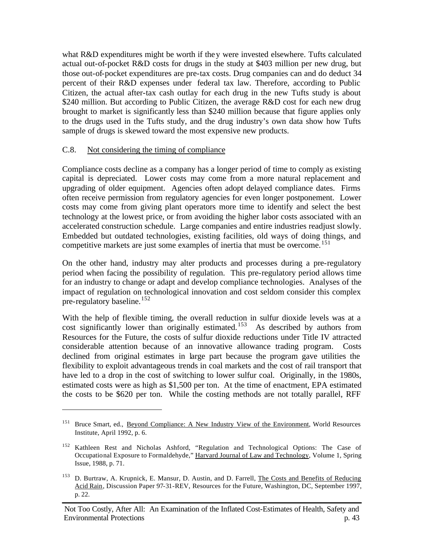what R&D expenditures might be worth if the y were invested elsewhere. Tufts calculated actual out-of-pocket R&D costs for drugs in the study at \$403 million per new drug, but those out-of-pocket expenditures are pre-tax costs. Drug companies can and do deduct 34 percent of their R&D expenses under federal tax law. Therefore, according to Public Citizen, the actual after-tax cash outlay for each drug in the new Tufts study is about \$240 million. But according to Public Citizen, the average R&D cost for each new drug brought to market is significantly less than \$240 million because that figure applies only to the drugs used in the Tufts study, and the drug industry's own data show how Tufts sample of drugs is skewed toward the most expensive new products.

## C.8. Not considering the timing of compliance

 $\overline{a}$ 

Compliance costs decline as a company has a longer period of time to comply as existing capital is depreciated. Lower costs may come from a more natural replacement and upgrading of older equipment. Agencies often adopt delayed compliance dates. Firms often receive permission from regulatory agencies for even longer postponement. Lower costs may come from giving plant operators more time to identify and select the best technology at the lowest price, or from avoiding the higher labor costs associated with an accelerated construction schedule. Large companies and entire industries readjust slowly. Embedded but outdated technologies, existing facilities, old ways of doing things, and competitive markets are just some examples of inertia that must be overcome.<sup>151</sup>

On the other hand, industry may alter products and processes during a pre-regulatory period when facing the possibility of regulation. This pre-regulatory period allows time for an industry to change or adapt and develop compliance technologies. Analyses of the impact of regulation on technological innovation and cost seldom consider this complex pre-regulatory baseline.<sup>152</sup>

With the help of flexible timing, the overall reduction in sulfur dioxide levels was at a cost significantly lower than originally estimated.<sup>153</sup> As described by authors from Resources for the Future, the costs of sulfur dioxide reductions under Title IV attracted considerable attention because of an innovative allowance trading program. Costs declined from original estimates in large part because the program gave utilities the flexibility to exploit advantageous trends in coal markets and the cost of rail transport that have led to a drop in the cost of switching to lower sulfur coal. Originally, in the 1980s, estimated costs were as high as \$1,500 per ton. At the time of enactment, EPA estimated the costs to be \$620 per ton. While the costing methods are not totally parallel, RFF

<sup>151</sup> Bruce Smart, ed., Beyond Compliance: A New Industry View of the Environment, World Resources Institute, April 1992, p. 6.

<sup>152</sup> Kathleen Rest and Nicholas Ashford, "Regulation and Technological Options: The Case of Occupational Exposure to Formaldehyde," Harvard Journal of Law and Technology, Volume 1, Spring Issue, 1988, p. 71.

<sup>&</sup>lt;sup>153</sup> D. Burtraw, A. Krupnick, E. Mansur, D. Austin, and D. Farrell, The Costs and Benefits of Reducing Acid Rain, Discussion Paper 97-31-REV, Resources for the Future, Washington, DC, September 1997, p. 22.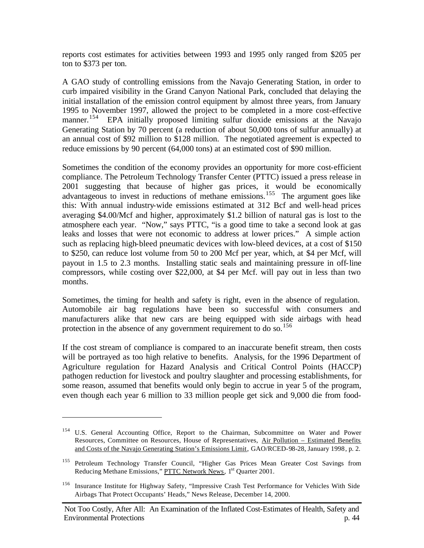reports cost estimates for activities between 1993 and 1995 only ranged from \$205 per ton to \$373 per ton.

A GAO study of controlling emissions from the Navajo Generating Station, in order to curb impaired visibility in the Grand Canyon National Park, concluded that delaying the initial installation of the emission control equipment by almost three years, from January 1995 to November 1997, allowed the project to be completed in a more cost-effective manner.<sup>154</sup> EPA initially proposed limiting sulfur dioxide emissions at the Navajo Generating Station by 70 percent (a reduction of about 50,000 tons of sulfur annually) at an annual cost of \$92 million to \$128 million. The negotiated agreement is expected to reduce emissions by 90 percent (64,000 tons) at an estimated cost of \$90 million.

Sometimes the condition of the economy provides an opportunity for more cost-efficient compliance. The Petroleum Technology Transfer Center (PTTC) issued a press release in 2001 suggesting that because of higher gas prices, it would be economically advantageous to invest in reductions of methane emissions.<sup>155</sup> The argument goes like this: With annual industry-wide emissions estimated at 312 Bcf and well-head prices averaging \$4.00/Mcf and higher, approximately \$1.2 billion of natural gas is lost to the atmosphere each year. "Now," says PTTC, "is a good time to take a second look at gas leaks and losses that were not economic to address at lower prices." A simple action such as replacing high-bleed pneumatic devices with low-bleed devices, at a cost of \$150 to \$250, can reduce lost volume from 50 to 200 Mcf per year, which, at \$4 per Mcf, will payout in 1.5 to 2.3 months. Installing static seals and maintaining pressure in off-line compressors, while costing over \$22,000, at \$4 per Mcf. will pay out in less than two months.

Sometimes, the timing for health and safety is right, even in the absence of regulation. Automobile air bag regulations have been so successful with consumers and manufacturers alike that new cars are being equipped with side airbags with head protection in the absence of any government requirement to do so.<sup>156</sup>

If the cost stream of compliance is compared to an inaccurate benefit stream, then costs will be portrayed as too high relative to benefits. Analysis, for the 1996 Department of Agriculture regulation for Hazard Analysis and Critical Control Points (HACCP) pathogen reduction for livestock and poultry slaughter and processing establishments, for some reason, assumed that benefits would only begin to accrue in year 5 of the program, even though each year 6 million to 33 million people get sick and 9,000 die from food-

<sup>&</sup>lt;sup>154</sup> U.S. General Accounting Office, Report to the Chairman, Subcommittee on Water and Power Resources, Committee on Resources, House of Representatives, Air Pollution – Estimated Benefits and Costs of the Navajo Generating Station's Emissions Limit, GAO/RCED-98-28, January 1998, p. 2.

<sup>&</sup>lt;sup>155</sup> Petroleum Technology Transfer Council, "Higher Gas Prices Mean Greater Cost Savings from Reducing Methane Emissions," PTTC Network News, 1<sup>st</sup> Quarter 2001.

<sup>156</sup> Insurance Institute for Highway Safety, "Impressive Crash Test Performance for Vehicles With Side Airbags That Protect Occupants' Heads," News Release, December 14, 2000.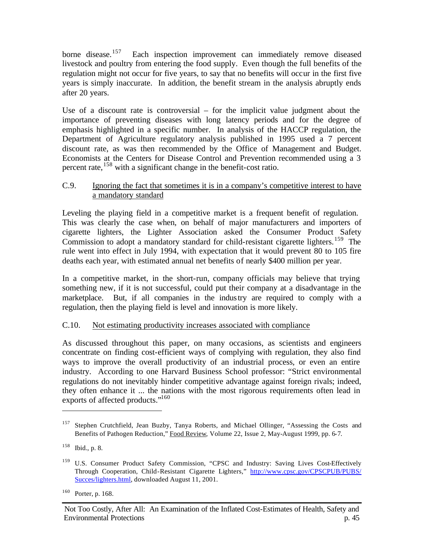borne disease.<sup>157</sup> Each inspection improvement can immediately remove diseased livestock and poultry from entering the food supply. Even though the full benefits of the regulation might not occur for five years, to say that no benefits will occur in the first five years is simply inaccurate. In addition, the benefit stream in the analysis abruptly ends after 20 years.

Use of a discount rate is controversial – for the implicit value judgment about the importance of preventing diseases with long latency periods and for the degree of emphasis highlighted in a specific number. In analysis of the HACCP regulation, the Department of Agriculture regulatory analysis published in 1995 used a 7 percent discount rate, as was then recommended by the Office of Management and Budget. Economists at the Centers for Disease Control and Prevention recommended using a 3 percent rate,<sup>158</sup> with a significant change in the benefit-cost ratio.

#### C.9. Ignoring the fact that sometimes it is in a company's competitive interest to have a mandatory standard

Leveling the playing field in a competitive market is a frequent benefit of regulation. This was clearly the case when, on behalf of major manufacturers and importers of cigarette lighters, the Lighter Association asked the Consumer Product Safety Commission to adopt a mandatory standard for child-resistant cigarette lighters.<sup>159</sup> The rule went into effect in July 1994, with expectation that it would prevent 80 to 105 fire deaths each year, with estimated annual net benefits of nearly \$400 million per year.

In a competitive market, in the short-run, company officials may believe that trying something new, if it is not successful, could put their company at a disadvantage in the marketplace. But, if all companies in the industry are required to comply with a regulation, then the playing field is level and innovation is more likely.

## C.10. Not estimating productivity increases associated with compliance

As discussed throughout this paper, on many occasions, as scientists and engineers concentrate on finding cost-efficient ways of complying with regulation, they also find ways to improve the overall productivity of an industrial process, or even an entire industry. According to one Harvard Business School professor: "Strict environmental regulations do not inevitably hinder competitive advantage against foreign rivals; indeed, they often enhance it ... the nations with the most rigorous requirements often lead in exports of affected products."<sup>160</sup>

<sup>157</sup> Stephen Crutchfield, Jean Buzby, Tanya Roberts, and Michael Ollinger, "Assessing the Costs and Benefits of Pathogen Reduction," Food Review, Volume 22, Issue 2, May-August 1999, pp. 6-7.

<sup>158</sup> Ibid., p. 8.

<sup>&</sup>lt;sup>159</sup> U.S. Consumer Product Safety Commission, "CPSC and Industry: Saving Lives Cost-Effectively Through Cooperation, Child-Resistant Cigarette Lighters," http://www.cpsc.gov/CPSCPUB/PUBS/ Succes/lighters.html, downloaded August 11, 2001.

<sup>160</sup> Porter, p. 168.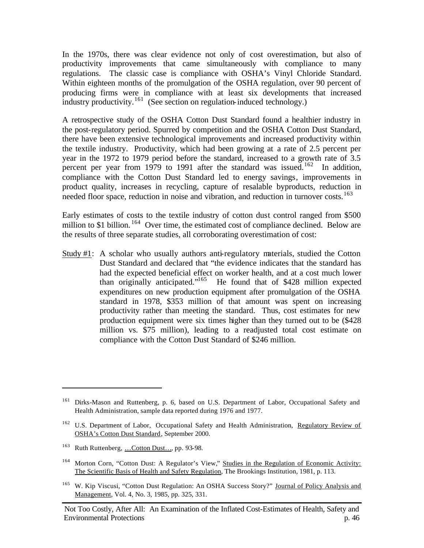In the 1970s, there was clear evidence not only of cost overestimation, but also of productivity improvements that came simultaneously with compliance to many regulations. The classic case is compliance with OSHA's Vinyl Chloride Standard. Within eighteen months of the promulgation of the OSHA regulation, over 90 percent of producing firms were in compliance with at least six developments that increased industry productivity.<sup>161</sup> (See section on regulation-induced technology.)

A retrospective study of the OSHA Cotton Dust Standard found a healthier industry in the post-regulatory period. Spurred by competition and the OSHA Cotton Dust Standard, there have been extensive technological improvements and increased productivity within the textile industry. Productivity, which had been growing at a rate of 2.5 percent per year in the 1972 to 1979 period before the standard, increased to a growth rate of 3.5 percent per year from 1979 to 1991 after the standard was issued.<sup>162</sup> In addition, compliance with the Cotton Dust Standard led to energy savings, improvements in product quality, increases in recycling, capture of resalable byproducts, reduction in needed floor space, reduction in noise and vibration, and reduction in turnover costs.<sup>163</sup>

Early estimates of costs to the textile industry of cotton dust control ranged from \$500 million to \$1 billion.<sup>164</sup> Over time, the estimated cost of compliance declined. Below are the results of three separate studies, all corroborating overestimation of cost:

Study #1: A scholar who usually authors anti-regulatory materials, studied the Cotton Dust Standard and declared that "the evidence indicates that the standard has had the expected beneficial effect on worker health, and at a cost much lower than originally anticipated."<sup>165</sup> He found that of \$428 million expected expenditures on new production equipment after promulgation of the OSHA standard in 1978, \$353 million of that amount was spent on increasing productivity rather than meeting the standard. Thus, cost estimates for new production equipment were six times higher than they turned out to be (\$428 million vs. \$75 million), leading to a readjusted total cost estimate on compliance with the Cotton Dust Standard of \$246 million.

<sup>&</sup>lt;sup>161</sup> Dirks-Mason and Ruttenberg, p. 6, based on U.S. Department of Labor, Occupational Safety and Health Administration, sample data reported during 1976 and 1977.

<sup>&</sup>lt;sup>162</sup> U.S. Department of Labor, Occupational Safety and Health Administration, Regulatory Review of OSHA's Cotton Dust Standard, September 2000.

<sup>&</sup>lt;sup>163</sup> Ruth Ruttenberg, ...Cotton Dust..., pp. 93-98.

<sup>&</sup>lt;sup>164</sup> Morton Corn, "Cotton Dust: A Regulator's View," Studies in the Regulation of Economic Activity: The Scientific Basis of Health and Safety Regulation, The Brookings Institution, 1981, p. 113.

<sup>&</sup>lt;sup>165</sup> W. Kip Viscusi, "Cotton Dust Regulation: An OSHA Success Story?" Journal of Policy Analysis and Management, Vol. 4, No. 3, 1985, pp. 325, 331.

Not Too Costly, After All: An Examination of the Inflated Cost-Estimates of Health, Safety and Environmental Protections p. 46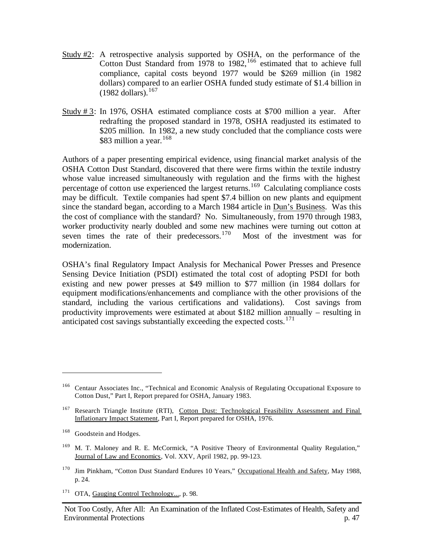- Study #2: A retrospective analysis supported by OSHA, on the performance of the Cotton Dust Standard from 1978 to 1982,  $166$  estimated that to achieve full compliance, capital costs beyond 1977 would be \$269 million (in 1982 dollars) compared to an earlier OSHA funded study estimate of \$1.4 billion in  $(1982$  dollars).<sup>167</sup>
- Study # 3: In 1976, OSHA estimated compliance costs at \$700 million a year. After redrafting the proposed standard in 1978, OSHA readjusted its estimated to \$205 million. In 1982, a new study concluded that the compliance costs were \$83 million a year.  $168$

Authors of a paper presenting empirical evidence, using financial market analysis of the OSHA Cotton Dust Standard, discovered that there were firms within the textile industry whose value increased simultaneously with regulation and the firms with the highest percentage of cotton use experienced the largest returns.<sup>169</sup> Calculating compliance costs may be difficult. Textile companies had spent \$7.4 billion on new plants and equipment since the standard began, according to a March 1984 article in Dun's Business. Was this the cost of compliance with the standard? No. Simultaneously, from 1970 through 1983, worker productivity nearly doubled and some new machines were turning out cotton at seven times the rate of their predecessors.<sup>170</sup> Most of the investment was for modernization.

OSHA's final Regulatory Impact Analysis for Mechanical Power Presses and Presence Sensing Device Initiation (PSDI) estimated the total cost of adopting PSDI for both existing and new power presses at \$49 million to \$77 million (in 1984 dollars for equipment modifications/enhancements and compliance with the other provisions of the standard, including the various certifications and validations). Cost savings from productivity improvements were estimated at about \$182 million annually – resulting in anticipated cost savings substantially exceeding the expected costs.<sup>171</sup>

- <sup>170</sup> Jim Pinkham, "Cotton Dust Standard Endures 10 Years," Occupational Health and Safety, May 1988, p. 24.
- <sup>171</sup> OTA, Gauging Control Technology..., p. 98.

<sup>&</sup>lt;sup>166</sup> Centaur Associates Inc., "Technical and Economic Analysis of Regulating Occupational Exposure to Cotton Dust," Part I, Report prepared for OSHA, January 1983.

<sup>&</sup>lt;sup>167</sup> Research Triangle Institute (RTI), Cotton Dust: Technological Feasibility Assessment and Final Inflationary Impact Statement, Part I, Report prepared for OSHA, 1976.

<sup>&</sup>lt;sup>168</sup> Goodstein and Hodges.

<sup>&</sup>lt;sup>169</sup> M. T. Maloney and R. E. McCormick, "A Positive Theory of Environmental Quality Regulation," Journal of Law and Economics, Vol. XXV, April 1982, pp. 99-123.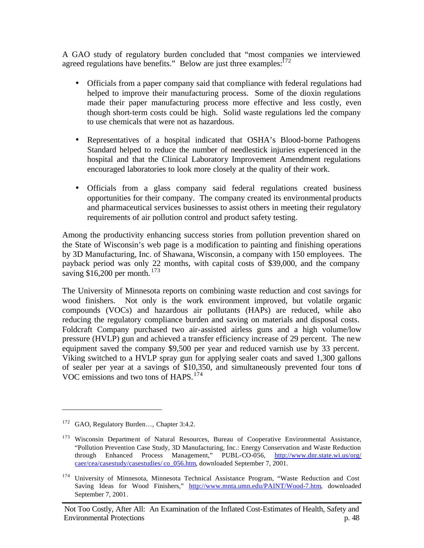A GAO study of regulatory burden concluded that "most companies we interviewed agreed regulations have benefits." Below are just three examples: $^{172}$ 

- Officials from a paper company said that compliance with federal regulations had helped to improve their manufacturing process. Some of the dioxin regulations made their paper manufacturing process more effective and less costly, even though short-term costs could be high. Solid waste regulations led the company to use chemicals that were not as hazardous.
- Representatives of a hospital indicated that OSHA's Blood-borne Pathogens Standard helped to reduce the number of needlestick injuries experienced in the hospital and that the Clinical Laboratory Improvement Amendment regulations encouraged laboratories to look more closely at the quality of their work.
- Officials from a glass company said federal regulations created business opportunities for their company. The company created its environmental products and pharmaceutical services businesses to assist others in meeting their regulatory requirements of air pollution control and product safety testing.

Among the productivity enhancing success stories from pollution prevention shared on the State of Wisconsin's web page is a modification to painting and finishing operations by 3D Manufacturing, Inc. of Shawana, Wisconsin, a company with 150 employees. The payback period was only 22 months, with capital costs of \$39,000, and the company saving \$16,200 per month.  $173$ 

The University of Minnesota reports on combining waste reduction and cost savings for wood finishers. Not only is the work environment improved, but volatile organic compounds (VOCs) and hazardous air pollutants (HAPs) are reduced, while also reducing the regulatory compliance burden and saving on materials and disposal costs. Foldcraft Company purchased two air-assisted airless guns and a high volume/low pressure (HVLP) gun and achieved a transfer efficiency increase of 29 percent. The new equipment saved the company \$9,500 per year and reduced varnish use by 33 percent. Viking switched to a HVLP spray gun for applying sealer coats and saved 1,300 gallons of sealer per year at a savings of \$10,350, and simultaneously prevented four tons of VOC emissions and two tons of HAPS.<sup>174</sup>

<sup>&</sup>lt;sup>172</sup> GAO, Regulatory Burden..., Chapter 3:4.2.

<sup>&</sup>lt;sup>173</sup> Wisconsin Department of Natural Resources, Bureau of Cooperative Environmental Assistance, "Pollution Prevention Case Study, 3D Manufacturing, Inc.: Energy Conservation and Waste Reduction through Enhanced Process Management," PUBL-CO-056, http://www.dnr.state.wi.us/org/ caer/cea/casestudy/casestudies/ co\_056.htm, downloaded September 7, 2001.

<sup>&</sup>lt;sup>174</sup> University of Minnesota, Minnesota Technical Assistance Program, "Waste Reduction and Cost Saving Ideas for Wood Finishers," http://www.mnta.umn.edu/PAINT/Wood-7.htm, downloaded September 7, 2001.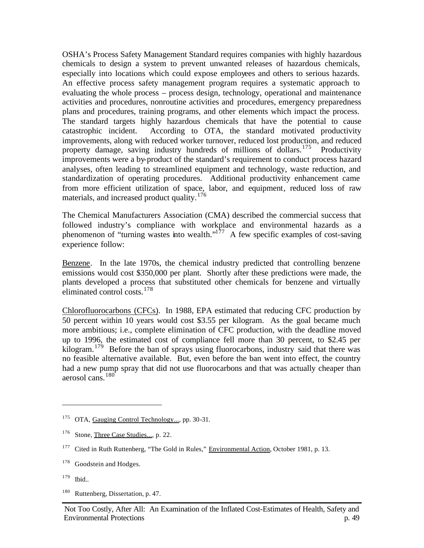OSHA's Process Safety Management Standard requires companies with highly hazardous chemicals to design a system to prevent unwanted releases of hazardous chemicals, especially into locations which could expose employees and others to serious hazards. An effective process safety management program requires a systematic approach to evaluating the whole process – process design, technology, operational and maintenance activities and procedures, nonroutine activities and procedures, emergency preparedness plans and procedures, training programs, and other elements which impact the process. The standard targets highly hazardous chemicals that have the potential to cause catastrophic incident. According to OTA, the standard motivated productivity improvements, along with reduced worker turnover, reduced lost production, and reduced property damage, saving industry hundreds of millions of dollars.<sup>175</sup> Productivity improvements were a by-product of the standard's requirement to conduct process hazard analyses, often leading to streamlined equipment and technology, waste reduction, and standardization of operating procedures. Additional productivity enhancement came from more efficient utilization of space, labor, and equipment, reduced loss of raw materials, and increased product quality.<sup>176</sup>

The Chemical Manufacturers Association (CMA) described the commercial success that followed industry's compliance with workplace and environmental hazards as a phenomenon of "turning wastes into wealth."<sup>177</sup> A few specific examples of cost-saving experience follow:

Benzene. In the late 1970s, the chemical industry predicted that controlling benzene emissions would cost \$350,000 per plant. Shortly after these predictions were made, the plants developed a process that substituted other chemicals for benzene and virtually eliminated control costs.<sup>178</sup>

Chlorofluorocarbons (CFCs). In 1988, EPA estimated that reducing CFC production by 50 percent within 10 years would cost \$3.55 per kilogram. As the goal became much more ambitious; i.e., complete elimination of CFC production, with the deadline moved up to 1996, the estimated cost of compliance fell more than 30 percent, to \$2.45 per kilogram.<sup>179</sup> Before the ban of sprays using fluorocarbons, industry said that there was no feasible alternative available. But, even before the ban went into effect, the country had a new pump spray that did not use fluorocarbons and that was actually cheaper than aerosol cans.<sup>180</sup>

<sup>&</sup>lt;sup>175</sup> OTA, Gauging Control Technology..., pp. 30-31.

<sup>&</sup>lt;sup>176</sup> Stone, Three Case Studies..., p. 22.

<sup>&</sup>lt;sup>177</sup> Cited in Ruth Ruttenberg, "The Gold in Rules," Environmental Action, October 1981, p. 13.

<sup>&</sup>lt;sup>178</sup> Goodstein and Hodges.

<sup>179</sup> Ibid..

<sup>180</sup> Ruttenberg, Dissertation, p. 47.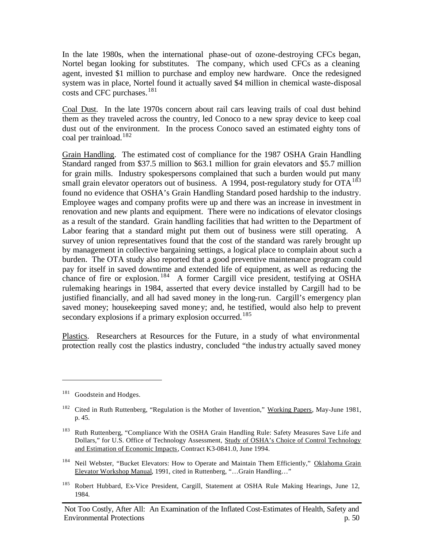In the late 1980s, when the international phase-out of ozone-destroying CFCs began, Nortel began looking for substitutes. The company, which used CFCs as a cleaning agent, invested \$1 million to purchase and employ new hardware. Once the redesigned system was in place, Nortel found it actually saved \$4 million in chemical waste-disposal costs and CFC purchases.<sup>181</sup>

Coal Dust. In the late 1970s concern about rail cars leaving trails of coal dust behind them as they traveled across the country, led Conoco to a new spray device to keep coal dust out of the environment. In the process Conoco saved an estimated eighty tons of coal per trainload.<sup>182</sup>

Grain Handling.The estimated cost of compliance for the 1987 OSHA Grain Handling Standard ranged from \$37.5 million to \$63.1 million for grain elevators and \$5.7 million for grain mills. Industry spokespersons complained that such a burden would put many small grain elevator operators out of business. A 1994, post-regulatory study for  $\text{OTA}^{183}$ found no evidence that OSHA's Grain Handling Standard posed hardship to the industry. Employee wages and company profits were up and there was an increase in investment in renovation and new plants and equipment. There were no indications of elevator closings as a result of the standard. Grain handling facilities that had written to the Department of Labor fearing that a standard might put them out of business were still operating. A survey of union representatives found that the cost of the standard was rarely brought up by management in collective bargaining settings, a logical place to complain about such a burden. The OTA study also reported that a good preventive maintenance program could pay for itself in saved downtime and extended life of equipment, as well as reducing the chance of fire or explosion.  $184$  A former Cargill vice president, testifying at OSHA rulemaking hearings in 1984, asserted that every device installed by Cargill had to be justified financially, and all had saved money in the long-run. Cargill's emergency plan saved money; housekeeping saved money; and, he testified, would also help to prevent secondary explosions if a primary explosion occurred.<sup>185</sup>

Plastics. Researchers at Resources for the Future, in a study of what environmental protection really cost the plastics industry, concluded "the industry actually saved money

<sup>&</sup>lt;sup>181</sup> Goodstein and Hodges.

<sup>&</sup>lt;sup>182</sup> Cited in Ruth Ruttenberg, "Regulation is the Mother of Invention," Working Papers, May-June 1981, p. 45.

<sup>&</sup>lt;sup>183</sup> Ruth Ruttenberg, "Compliance With the OSHA Grain Handling Rule: Safety Measures Save Life and Dollars," for U.S. Office of Technology Assessment, Study of OSHA's Choice of Control Technology and Estimation of Economic Impacts, Contract K3-0841.0, June 1994.

<sup>&</sup>lt;sup>184</sup> Neil Webster, "Bucket Elevators: How to Operate and Maintain Them Efficiently," Oklahoma Grain Elevator Workshop Manual, 1991, cited in Ruttenberg, "…Grain Handling…"

<sup>&</sup>lt;sup>185</sup> Robert Hubbard, Ex-Vice President, Cargill, Statement at OSHA Rule Making Hearings, June 12, 1984.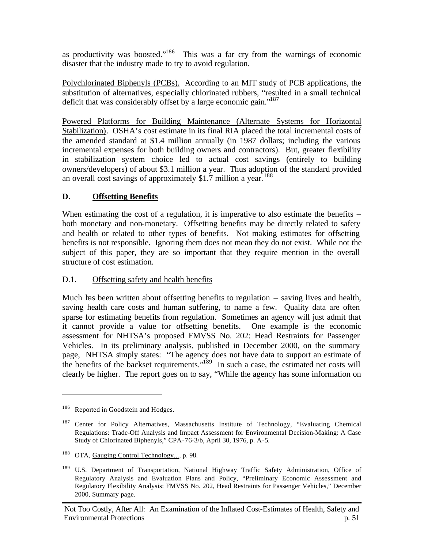as productivity was boosted."<sup>186</sup> This was a far cry from the warnings of economic disaster that the industry made to try to avoid regulation.

Polychlorinated Biphenyls (PCBs). According to an MIT study of PCB applications, the substitution of alternatives, especially chlorinated rubbers, "resulted in a small technical deficit that was considerably offset by a large economic gain."<sup>187</sup>

Powered Platforms for Building Maintenance (Alternate Systems for Horizontal Stabilization).OSHA's cost estimate in its final RIA placed the total incremental costs of the amended standard at \$1.4 million annually (in 1987 dollars; including the various incremental expenses for both building owners and contractors). But, greater flexibility in stabilization system choice led to actual cost savings (entirely to building owners/developers) of about \$3.1 million a year. Thus adoption of the standard provided an overall cost savings of approximately \$1.7 million a year.<sup>188</sup>

## **D. Offsetting Benefits**

When estimating the cost of a regulation, it is imperative to also estimate the benefits – both monetary and non-monetary. Offsetting benefits may be directly related to safety and health or related to other types of benefits. Not making estimates for offsetting benefits is not responsible. Ignoring them does not mean they do not exist. While not the subject of this paper, they are so important that they require mention in the overall structure of cost estimation.

## D.1. Offsetting safety and health benefits

Much has been written about offsetting benefits to regulation – saving lives and health, saving health care costs and human suffering, to name a few. Quality data are often sparse for estimating benefits from regulation. Sometimes an agency will just admit that it cannot provide a value for offsetting benefits. One example is the economic assessment for NHTSA's proposed FMVSS No. 202: Head Restraints for Passenger Vehicles. In its preliminary analysis, published in December 2000, on the summary page, NHTSA simply states: "The agency does not have data to support an estimate of the benefits of the backset requirements."<sup>189</sup> In such a case, the estimated net costs will clearly be higher. The report goes on to say, "While the agency has some information on

<sup>&</sup>lt;sup>186</sup> Reported in Goodstein and Hodges.

<sup>&</sup>lt;sup>187</sup> Center for Policy Alternatives, Massachusetts Institute of Technology, "Evaluating Chemical Regulations: Trade-Off Analysis and Impact Assessment for Environmental Decision-Making: A Case Study of Chlorinated Biphenyls," CPA-76-3/b, April 30, 1976, p. A-5.

<sup>&</sup>lt;sup>188</sup> OTA, Gauging Control Technology..., p. 98.

<sup>189</sup> U.S. Department of Transportation, National Highway Traffic Safety Administration, Office of Regulatory Analysis and Evaluation Plans and Policy, "Preliminary Economic Assessment and Regulatory Flexibility Analysis: FMVSS No. 202, Head Restraints for Passenger Vehicles," December 2000, Summary page.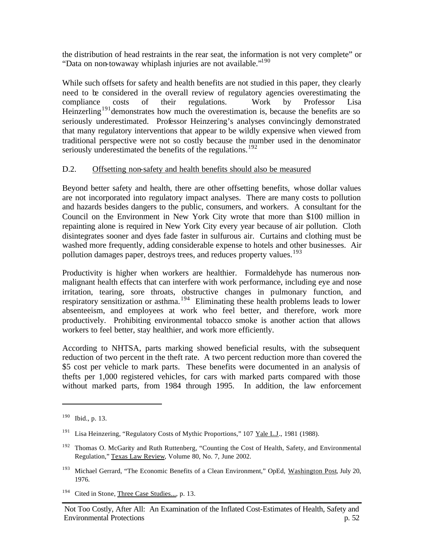the distribution of head restraints in the rear seat, the information is not very complete" or "Data on non-towaway whiplash injuries are not available."<sup>190</sup>

While such offsets for safety and health benefits are not studied in this paper, they clearly need to be considered in the overall review of regulatory agencies overestimating the compliance costs of their regulations. Work by Professor Lisa Heinzerling<sup>191</sup> demonstrates how much the overestimation is, because the benefits are so seriously underestimated. Professor Heinzering's analyses convincingly demonstrated that many regulatory interventions that appear to be wildly expensive when viewed from traditional perspective were not so costly because the number used in the denominator seriously underestimated the benefits of the regulations.<sup>192</sup>

## D.2. Offsetting non-safety and health benefits should also be measured

Beyond better safety and health, there are other offsetting benefits, whose dollar values are not incorporated into regulatory impact analyses. There are many costs to pollution and hazards besides dangers to the public, consumers, and workers. A consultant for the Council on the Environment in New York City wrote that more than \$100 million in repainting alone is required in New York City every year because of air pollution. Cloth disintegrates sooner and dyes fade faster in sulfurous air. Curtains and clothing must be washed more frequently, adding considerable expense to hotels and other businesses. Air pollution damages paper, destroys trees, and reduces property values.<sup>193</sup>

Productivity is higher when workers are healthier. Formaldehyde has numerous nonmalignant health effects that can interfere with work performance, including eye and nose irritation, tearing, sore throats, obstructive changes in pulmonary function, and respiratory sensitization or asthma.<sup>194</sup> Eliminating these health problems leads to lower absenteeism, and employees at work who feel better, and therefore, work more productively. Prohibiting environmental tobacco smoke is another action that allows workers to feel better, stay healthier, and work more efficiently.

According to NHTSA, parts marking showed beneficial results, with the subsequent reduction of two percent in the theft rate. A two percent reduction more than covered the \$5 cost per vehicle to mark parts. These benefits were documented in an analysis of thefts per 1,000 registered vehicles, for cars with marked parts compared with those without marked parts, from 1984 through 1995. In addition, the law enforcement

 $190$  Ibid., p. 13.

<sup>&</sup>lt;sup>191</sup> Lisa Heinzering, "Regulatory Costs of Mythic Proportions," 107 Yale L.J., 1981 (1988).

<sup>&</sup>lt;sup>192</sup> Thomas O. McGarity and Ruth Ruttenberg, "Counting the Cost of Health, Safety, and Environmental Regulation," Texas Law Review, Volume 80, No. 7, June 2002.

<sup>&</sup>lt;sup>193</sup> Michael Gerrard, "The Economic Benefits of a Clean Environment," OpEd, Washington Post, July 20, 1976.

<sup>&</sup>lt;sup>194</sup> Cited in Stone, Three Case Studies..., p. 13.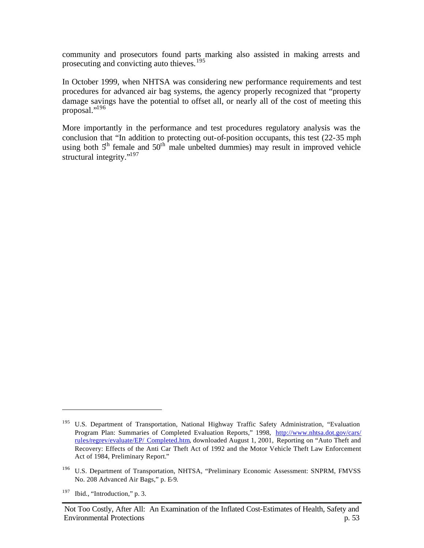community and prosecutors found parts marking also assisted in making arrests and prosecuting and convicting auto thieves.<sup>195</sup>

In October 1999, when NHTSA was considering new performance requirements and test procedures for advanced air bag systems, the agency properly recognized that "property damage savings have the potential to offset all, or nearly all of the cost of meeting this proposal."<sup>196</sup>

More importantly in the performance and test procedures regulatory analysis was the conclusion that "In addition to protecting out-of-position occupants, this test (22-35 mph using both  $5<sup>th</sup>$  female and  $50<sup>th</sup>$  male unbelted dummies) may result in improved vehicle structural integrity."<sup>197</sup>

<sup>&</sup>lt;sup>195</sup> U.S. Department of Transportation, National Highway Traffic Safety Administration, "Evaluation Program Plan: Summaries of Completed Evaluation Reports," 1998, http://www.nhtsa.dot.gov/cars/ rules/regrev/evaluate/EP/ Completed.htm, downloaded August 1, 2001, Reporting on "Auto Theft and Recovery: Effects of the Anti Car Theft Act of 1992 and the Motor Vehicle Theft Law Enforcement Act of 1984, Preliminary Report."

<sup>&</sup>lt;sup>196</sup> U.S. Department of Transportation, NHTSA, "Preliminary Economic Assessment: SNPRM, FMVSS No. 208 Advanced Air Bags," p. E-9.

 $197$  Ibid., "Introduction," p. 3.

Not Too Costly, After All: An Examination of the Inflated Cost-Estimates of Health, Safety and Environmental Protections p. 53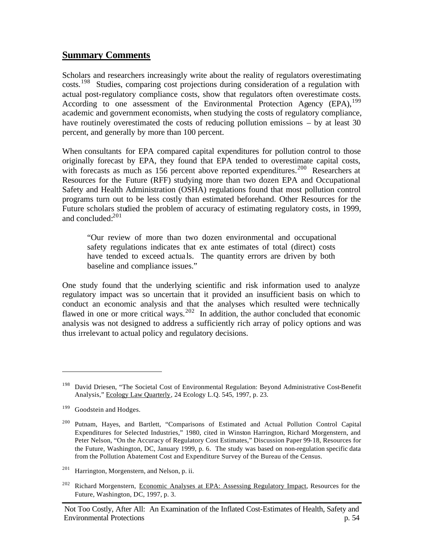## **Summary Comments**

Scholars and researchers increasingly write about the reality of regulators overestimating costs.<sup>198</sup> Studies, comparing cost projections during consideration of a regulation with actual post-regulatory compliance costs, show that regulators often overestimate costs. According to one assessment of the Environmental Protection Agency  $(EPA)$ ,  $^{199}$ academic and government economists, when studying the costs of regulatory compliance, have routinely overestimated the costs of reducing pollution emissions – by at least 30 percent, and generally by more than 100 percent.

When consultants for EPA compared capital expenditures for pollution control to those originally forecast by EPA, they found that EPA tended to overestimate capital costs, with forecasts as much as 156 percent above reported expenditures.<sup>200</sup> Researchers at Resources for the Future (RFF) studying more than two dozen EPA and Occupational Safety and Health Administration (OSHA) regulations found that most pollution control programs turn out to be less costly than estimated beforehand. Other Resources for the Future scholars studied the problem of accuracy of estimating regulatory costs, in 1999, and concluded:<sup>201</sup>

"Our review of more than two dozen environmental and occupational safety regulations indicates that ex ante estimates of total (direct) costs have tended to exceed actuals. The quantity errors are driven by both baseline and compliance issues."

One study found that the underlying scientific and risk information used to analyze regulatory impact was so uncertain that it provided an insufficient basis on which to conduct an economic analysis and that the analyses which resulted were technically flawed in one or more critical ways.<sup>202</sup> In addition, the author concluded that economic analysis was not designed to address a sufficiently rich array of policy options and was thus irrelevant to actual policy and regulatory decisions.

<sup>&</sup>lt;sup>198</sup> David Driesen, "The Societal Cost of Environmental Regulation: Beyond Administrative Cost-Benefit Analysis," Ecology Law Quarterly, 24 Ecology L.Q. 545, 1997, p. 23.

<sup>&</sup>lt;sup>199</sup> Goodstein and Hodges.

<sup>200</sup> Putnam, Hayes, and Bartlett, "Comparisons of Estimated and Actual Pollution Control Capital Expenditures for Selected Industries," 1980, cited in Winston Harrington, Richard Morgenstern, and Peter Nelson, "On the Accuracy of Regulatory Cost Estimates," Discussion Paper 99-18, Resources for the Future, Washington, DC, January 1999, p. 6. The study was based on non-regulation specific data from the Pollution Abatement Cost and Expenditure Survey of the Bureau of the Census.

 $201$  Harrington, Morgenstern, and Nelson, p. ii.

<sup>&</sup>lt;sup>202</sup> Richard Morgenstern, Economic Analyses at EPA: Assessing Regulatory Impact, Resources for the Future, Washington, DC, 1997, p. 3.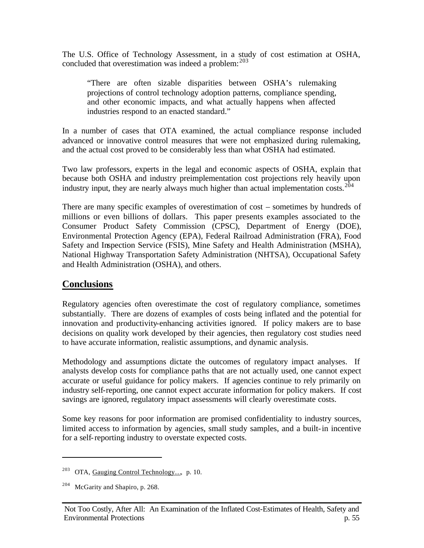The U.S. Office of Technology Assessment, in a study of cost estimation at OSHA, concluded that overestimation was indeed a problem:  $203$ 

"There are often sizable disparities between OSHA's rulemaking projections of control technology adoption patterns, compliance spending, and other economic impacts, and what actually happens when affected industries respond to an enacted standard."

In a number of cases that OTA examined, the actual compliance response included advanced or innovative control measures that were not emphasized during rulemaking, and the actual cost proved to be considerably less than what OSHA had estimated.

Two law professors, experts in the legal and economic aspects of OSHA, explain that because both OSHA and industry preimplementation cost projections rely heavily upon industry input, they are nearly always much higher than actual implementation costs.  $204$ 

There are many specific examples of overestimation of cost – sometimes by hundreds of millions or even billions of dollars. This paper presents examples associated to the Consumer Product Safety Commission (CPSC), Department of Energy (DOE), Environmental Protection Agency (EPA), Federal Railroad Administration (FRA), Food Safety and Inspection Service (FSIS), Mine Safety and Health Administration (MSHA), National Highway Transportation Safety Administration (NHTSA), Occupational Safety and Health Administration (OSHA), and others.

# **Conclusions**

Regulatory agencies often overestimate the cost of regulatory compliance, sometimes substantially. There are dozens of examples of costs being inflated and the potential for innovation and productivity-enhancing activities ignored. If policy makers are to base decisions on quality work developed by their agencies, then regulatory cost studies need to have accurate information, realistic assumptions, and dynamic analysis.

Methodology and assumptions dictate the outcomes of regulatory impact analyses. If analysts develop costs for compliance paths that are not actually used, one cannot expect accurate or useful guidance for policy makers. If agencies continue to rely primarily on industry self-reporting, one cannot expect accurate information for policy makers. If cost savings are ignored, regulatory impact assessments will clearly overestimate costs.

Some key reasons for poor information are promised confidentiality to industry sources, limited access to information by agencies, small study samples, and a built-in incentive for a self-reporting industry to overstate expected costs.

<sup>&</sup>lt;sup>203</sup> OTA, Gauging Control Technology..., p. 10.

 $204$  McGarity and Shapiro, p. 268.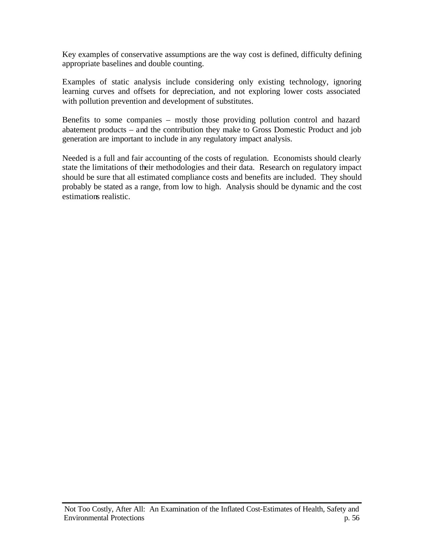Key examples of conservative assumptions are the way cost is defined, difficulty defining appropriate baselines and double counting.

Examples of static analysis include considering only existing technology, ignoring learning curves and offsets for depreciation, and not exploring lower costs associated with pollution prevention and development of substitutes.

Benefits to some companies – mostly those providing pollution control and hazard abatement products – and the contribution they make to Gross Domestic Product and job generation are important to include in any regulatory impact analysis.

Needed is a full and fair accounting of the costs of regulation. Economists should clearly state the limitations of their methodologies and their data. Research on regulatory impact should be sure that all estimated compliance costs and benefits are included. They should probably be stated as a range, from low to high. Analysis should be dynamic and the cost estimations realistic.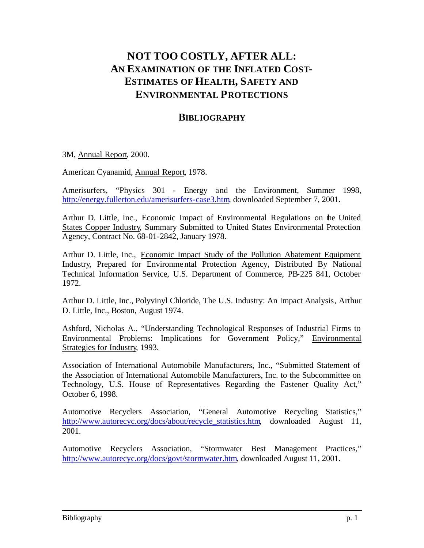# **NOT TOO COSTLY, AFTER ALL: AN EXAMINATION OF THE INFLATED COST-ESTIMATES OF HEALTH, SAFETY AND ENVIRONMENTAL PROTECTIONS**

# **BIBLIOGRAPHY**

## 3M, Annual Report, 2000.

American Cyanamid, Annual Report, 1978.

Amerisurfers, "Physics 301 - Energy and the Environment, Summer 1998, http://energy.fullerton.edu/amerisurfers-case3.htm, downloaded September 7, 2001.

Arthur D. Little, Inc., Economic Impact of Environmental Regulations on the United States Copper Industry, Summary Submitted to United States Environmental Protection Agency, Contract No. 68-01-2842, January 1978.

Arthur D. Little, Inc., Economic Impact Study of the Pollution Abatement Equipment Industry, Prepared for Environmental Protection Agency, Distributed By National Technical Information Service, U.S. Department of Commerce, PB-225 841, October 1972.

Arthur D. Little, Inc., Polyvinyl Chloride, The U.S. Industry: An Impact Analysis, Arthur D. Little, Inc., Boston, August 1974.

Ashford, Nicholas A., "Understanding Technological Responses of Industrial Firms to Environmental Problems: Implications for Government Policy," Environmental Strategies for Industry, 1993.

Association of International Automobile Manufacturers, Inc., "Submitted Statement of the Association of International Automobile Manufacturers, Inc. to the Subcommittee on Technology, U.S. House of Representatives Regarding the Fastener Quality Act," October 6, 1998.

Automotive Recyclers Association, "General Automotive Recycling Statistics," http://www.autorecyc.org/docs/about/recycle\_statistics.htm, downloaded August 11, 2001.

Automotive Recyclers Association, "Stormwater Best Management Practices," http://www.autorecyc.org/docs/govt/stormwater.htm, downloaded August 11, 2001.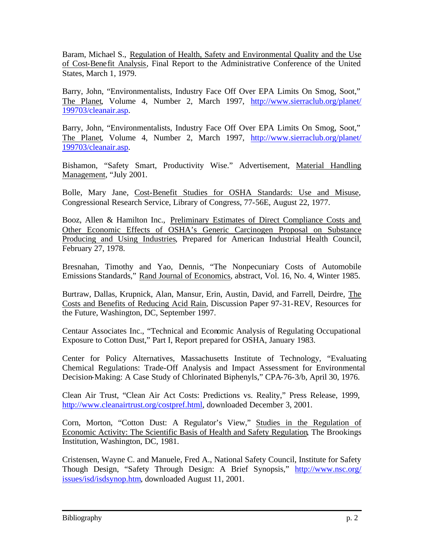Baram, Michael S., Regulation of Health, Safety and Environmental Quality and the Use of Cost-Benefit Analysis, Final Report to the Administrative Conference of the United States, March 1, 1979.

Barry, John, "Environmentalists, Industry Face Off Over EPA Limits On Smog, Soot," The Planet, Volume 4, Number 2, March 1997, http://www.sierraclub.org/planet/ 199703/cleanair.asp.

Barry, John, "Environmentalists, Industry Face Off Over EPA Limits On Smog, Soot," The Planet, Volume 4, Number 2, March 1997, http://www.sierraclub.org/planet/ 199703/cleanair.asp.

Bishamon, "Safety Smart, Productivity Wise." Advertisement, Material Handling Management, "July 2001.

Bolle, Mary Jane, Cost-Benefit Studies for OSHA Standards: Use and Misuse, Congressional Research Service, Library of Congress, 77-56E, August 22, 1977.

Booz, Allen & Hamilton Inc., Preliminary Estimates of Direct Compliance Costs and Other Economic Effects of OSHA's Generic Carcinogen Proposal on Substance Producing and Using Industries, Prepared for American Industrial Health Council, February 27, 1978.

Bresnahan, Timothy and Yao, Dennis, "The Nonpecuniary Costs of Automobile Emissions Standards," Rand Journal of Economics, abstract, Vol. 16, No. 4, Winter 1985.

Burtraw, Dallas, Krupnick, Alan, Mansur, Erin, Austin, David, and Farrell, Deirdre, The Costs and Benefits of Reducing Acid Rain, Discussion Paper 97-31-REV, Resources for the Future, Washington, DC, September 1997.

Centaur Associates Inc., "Technical and Economic Analysis of Regulating Occupational Exposure to Cotton Dust," Part I, Report prepared for OSHA, January 1983.

Center for Policy Alternatives, Massachusetts Institute of Technology, "Evaluating Chemical Regulations: Trade-Off Analysis and Impact Assessment for Environmental Decision-Making: A Case Study of Chlorinated Biphenyls," CPA-76-3/b, April 30, 1976.

Clean Air Trust, "Clean Air Act Costs: Predictions vs. Reality," Press Release, 1999, http://www.cleanairtrust.org/costpref.html, downloaded December 3, 2001.

Corn, Morton, "Cotton Dust: A Regulator's View," Studies in the Regulation of Economic Activity: The Scientific Basis of Health and Safety Regulation, The Brookings Institution, Washington, DC, 1981.

Cristensen, Wayne C. and Manuele, Fred A., National Safety Council, Institute for Safety Though Design, "Safety Through Design: A Brief Synopsis," http://www.nsc.org/ issues/isd/isdsynop.htm, downloaded August 11, 2001.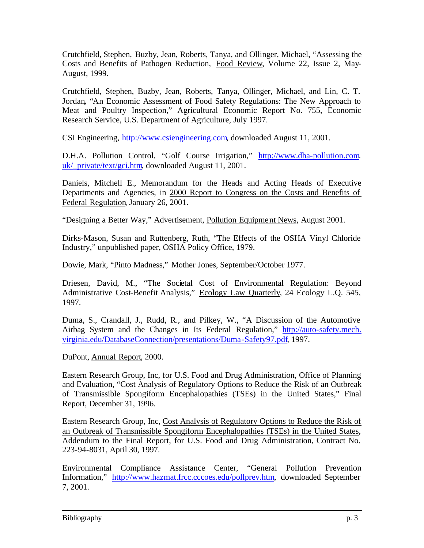Crutchfield, Stephen, Buzby, Jean, Roberts, Tanya, and Ollinger, Michael, "Assessing the Costs and Benefits of Pathogen Reduction, Food Review, Volume 22, Issue 2, May-August, 1999.

Crutchfield, Stephen, Buzby, Jean, Roberts, Tanya, Ollinger, Michael, and Lin, C. T. Jordan**,** "An Economic Assessment of Food Safety Regulations: The New Approach to Meat and Poultry Inspection," Agricultural Economic Report No. 755, Economic Research Service, U.S. Department of Agriculture, July 1997.

CSI Engineering, http://www.csiengineering.com, downloaded August 11, 2001.

D.H.A. Pollution Control, "Golf Course Irrigation," http://www.dha-pollution.com. uk/ private/text/gci.htm, downloaded August 11, 2001.

Daniels, Mitchell E., Memorandum for the Heads and Acting Heads of Executive Departments and Agencies, in 2000 Report to Congress on the Costs and Benefits of Federal Regulation, January 26, 2001.

"Designing a Better Way," Advertisement, Pollution Equipment News, August 2001.

Dirks-Mason, Susan and Ruttenberg, Ruth, "The Effects of the OSHA Vinyl Chloride Industry," unpublished paper, OSHA Policy Office, 1979.

Dowie, Mark, "Pinto Madness," Mother Jones, September/October 1977.

Driesen, David, M., "The Societal Cost of Environmental Regulation: Beyond Administrative Cost-Benefit Analysis," Ecology Law Quarterly, 24 Ecology L.Q. 545, 1997.

Duma, S., Crandall, J., Rudd, R., and Pilkey, W., "A Discussion of the Automotive Airbag System and the Changes in Its Federal Regulation," http://auto-safety.mech. virginia.edu/DatabaseConnection/presentations/Duma-Safety97.pdf, 1997.

DuPont, Annual Report, 2000.

Eastern Research Group, Inc, for U.S. Food and Drug Administration, Office of Planning and Evaluation, "Cost Analysis of Regulatory Options to Reduce the Risk of an Outbreak of Transmissible Spongiform Encephalopathies (TSEs) in the United States," Final Report, December 31, 1996.

Eastern Research Group, Inc, Cost Analysis of Regulatory Options to Reduce the Risk of an Outbreak of Transmissible Spongiform Encephalopathies (TSEs) in the United States, Addendum to the Final Report, for U.S. Food and Drug Administration, Contract No. 223-94-8031, April 30, 1997.

Environmental Compliance Assistance Center, "General Pollution Prevention Information," http://www.hazmat.frcc.cccoes.edu/pollprev.htm, downloaded September 7, 2001.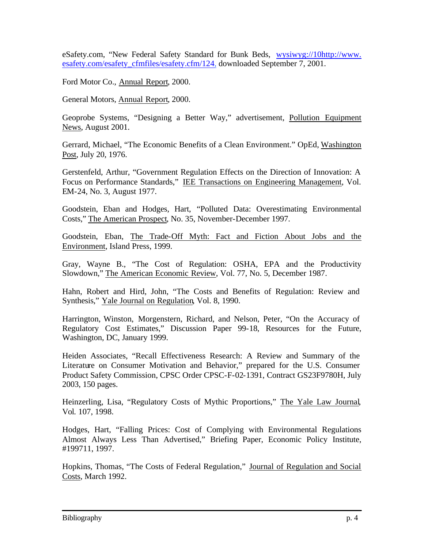eSafety.com, "New Federal Safety Standard for Bunk Beds, wysiwyg://10http://www. esafety.com/esafety\_cfmfiles/esafety.cfm/124, downloaded September 7, 2001.

Ford Motor Co., Annual Report, 2000.

General Motors, Annual Report, 2000.

Geoprobe Systems, "Designing a Better Way," advertisement, Pollution Equipment News, August 2001.

Gerrard, Michael, "The Economic Benefits of a Clean Environment." OpEd, Washington Post, July 20, 1976.

Gerstenfeld, Arthur, "Government Regulation Effects on the Direction of Innovation: A Focus on Performance Standards," IEE Transactions on Engineering Management, Vol. EM-24, No. 3, August 1977.

Goodstein, Eban and Hodges, Hart, "Polluted Data: Overestimating Environmental Costs," The American Prospect, No. 35, November-December 1997.

Goodstein, Eban, The Trade-Off Myth: Fact and Fiction About Jobs and the Environment, Island Press, 1999.

Gray, Wayne B., "The Cost of Regulation: OSHA, EPA and the Productivity Slowdown," The American Economic Review, Vol. 77, No. 5, December 1987.

Hahn, Robert and Hird, John, "The Costs and Benefits of Regulation: Review and Synthesis," Yale Journal on Regulation, Vol. 8, 1990.

Harrington, Winston, Morgenstern, Richard, and Nelson, Peter, "On the Accuracy of Regulatory Cost Estimates," Discussion Paper 99-18, Resources for the Future, Washington, DC, January 1999.

Heiden Associates, "Recall Effectiveness Research: A Review and Summary of the Literature on Consumer Motivation and Behavior," prepared for the U.S. Consumer Product Safety Commission, CPSC Order CPSC-F-02-1391, Contract GS23F9780H, July 2003, 150 pages.

Heinzerling, Lisa, "Regulatory Costs of Mythic Proportions," The Yale Law Journal, Vol. 107, 1998.

Hodges, Hart, "Falling Prices: Cost of Complying with Environmental Regulations Almost Always Less Than Advertised," Briefing Paper, Economic Policy Institute, #199711, 1997.

Hopkins, Thomas, "The Costs of Federal Regulation," Journal of Regulation and Social Costs, March 1992.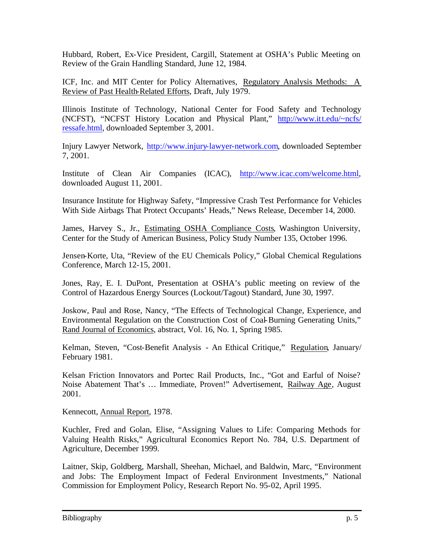Hubbard, Robert, Ex-Vice President, Cargill, Statement at OSHA's Public Meeting on Review of the Grain Handling Standard, June 12, 1984.

ICF, Inc. and MIT Center for Policy Alternatives, Regulatory Analysis Methods: A Review of Past Health-Related Efforts, Draft, July 1979.

Illinois Institute of Technology, National Center for Food Safety and Technology (NCFST), "NCFST History Location and Physical Plant," http://www.itt.edu/~ncfs/ ressafe.html, downloaded September 3, 2001.

Injury Lawyer Network, http://www.injury-lawyer-network.com, downloaded September 7, 2001.

Institute of Clean Air Companies (ICAC), http://www.icac.com/welcome.html, downloaded August 11, 2001.

Insurance Institute for Highway Safety, "Impressive Crash Test Performance for Vehicles With Side Airbags That Protect Occupants' Heads," News Release, December 14, 2000.

James, Harvey S., Jr., Estimating OSHA Compliance Costs, Washington University, Center for the Study of American Business, Policy Study Number 135, October 1996.

Jensen-Korte, Uta, "Review of the EU Chemicals Policy," Global Chemical Regulations Conference, March 12-15, 2001.

Jones, Ray, E. I. DuPont, Presentation at OSHA's public meeting on review of the Control of Hazardous Energy Sources (Lockout/Tagout) Standard, June 30, 1997.

Joskow, Paul and Rose, Nancy, "The Effects of Technological Change, Experience, and Environmental Regulation on the Construction Cost of Coal-Burning Generating Units," Rand Journal of Economics, abstract, Vol. 16, No. 1, Spring 1985.

Kelman, Steven, "Cost-Benefit Analysis - An Ethical Critique," Regulation, January/ February 1981.

Kelsan Friction Innovators and Portec Rail Products, Inc., "Got and Earful of Noise? Noise Abatement That's … Immediate, Proven!" Advertisement, Railway Age, August 2001.

Kennecott, Annual Report, 1978.

Kuchler, Fred and Golan, Elise, "Assigning Values to Life: Comparing Methods for Valuing Health Risks," Agricultural Economics Report No. 784, U.S. Department of Agriculture, December 1999.

Laitner, Skip, Goldberg, Marshall, Sheehan, Michael, and Baldwin, Marc, "Environment and Jobs: The Employment Impact of Federal Environment Investments," National Commission for Employment Policy, Research Report No. 95-02, April 1995.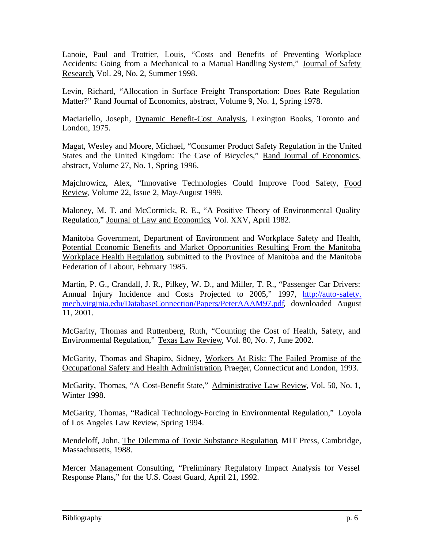Lanoie, Paul and Trottier, Louis, "Costs and Benefits of Preventing Workplace Accidents: Going from a Mechanical to a Manual Handling System," Journal of Safety Research, Vol. 29, No. 2, Summer 1998.

Levin, Richard, "Allocation in Surface Freight Transportation: Does Rate Regulation Matter?" Rand Journal of Economics, abstract, Volume 9, No. 1, Spring 1978.

Maciariello, Joseph, Dynamic Benefit-Cost Analysis, Lexington Books, Toronto and London, 1975.

Magat, Wesley and Moore, Michael, "Consumer Product Safety Regulation in the United States and the United Kingdom: The Case of Bicycles," Rand Journal of Economics, abstract, Volume 27, No. 1, Spring 1996.

Majchrowicz, Alex, "Innovative Technologies Could Improve Food Safety, Food Review, Volume 22, Issue 2, May-August 1999.

Maloney, M. T. and McCormick, R. E., "A Positive Theory of Environmental Quality Regulation," Journal of Law and Economics, Vol. XXV, April 1982.

Manitoba Government, Department of Environment and Workplace Safety and Health, Potential Economic Benefits and Market Opportunities Resulting From the Manitoba Workplace Health Regulation, submitted to the Province of Manitoba and the Manitoba Federation of Labour, February 1985.

Martin, P. G., Crandall, J. R., Pilkey, W. D., and Miller, T. R., "Passenger Car Drivers: Annual Injury Incidence and Costs Projected to 2005," 1997, http://auto-safety. mech.virginia.edu/DatabaseConnection/Papers/PeterAAAM97.pdf, downloaded August 11, 2001.

McGarity, Thomas and Ruttenberg, Ruth, "Counting the Cost of Health, Safety, and Environmental Regulation," Texas Law Review, Vol. 80, No. 7, June 2002.

McGarity, Thomas and Shapiro, Sidney, Workers At Risk: The Failed Promise of the Occupational Safety and Health Administration, Praeger, Connecticut and London, 1993.

McGarity, Thomas, "A Cost-Benefit State," Administrative Law Review, Vol. 50, No. 1, Winter 1998.

McGarity, Thomas, "Radical Technology-Forcing in Environmental Regulation," Loyola of Los Angeles Law Review, Spring 1994.

Mendeloff, John, The Dilemma of Toxic Substance Regulation, MIT Press, Cambridge, Massachusetts, 1988.

Mercer Management Consulting, "Preliminary Regulatory Impact Analysis for Vessel Response Plans," for the U.S. Coast Guard, April 21, 1992.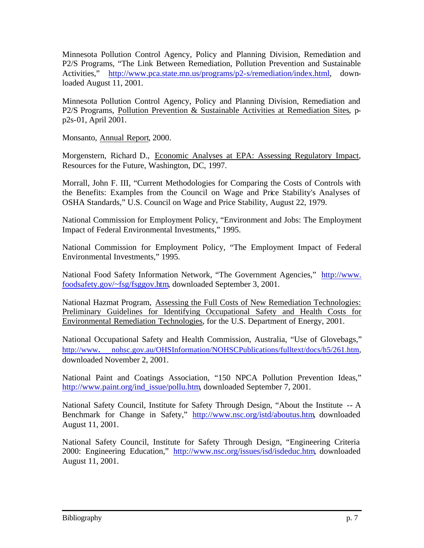Minnesota Pollution Control Agency, Policy and Planning Division, Remediation and P2/S Programs, "The Link Between Remediation, Pollution Prevention and Sustainable Activities," http://www.pca.state.mn.us/programs/p2-s/remediation/index.html, downloaded August 11, 2001.

Minnesota Pollution Control Agency, Policy and Planning Division, Remediation and P2/S Programs, Pollution Prevention & Sustainable Activities at Remediation Sites, pp2s-01, April 2001.

Monsanto, Annual Report, 2000.

Morgenstern, Richard D., Economic Analyses at EPA: Assessing Regulatory Impact, Resources for the Future, Washington, DC, 1997.

Morrall, John F. III, "Current Methodologies for Comparing the Costs of Controls with the Benefits: Examples from the Council on Wage and Price Stability's Analyses of OSHA Standards," U.S. Council on Wage and Price Stability, August 22, 1979.

National Commission for Employment Policy, "Environment and Jobs: The Employment Impact of Federal Environmental Investments," 1995.

National Commission for Employment Policy, "The Employment Impact of Federal Environmental Investments," 1995.

National Food Safety Information Network, "The Government Agencies," http://www. foodsafety.gov/~fsg/fsggov.htm, downloaded September 3, 2001.

National Hazmat Program, Assessing the Full Costs of New Remediation Technologies: Preliminary Guidelines for Identifying Occupational Safety and Health Costs for Environmental Remediation Technologies, for the U.S. Department of Energy, 2001.

National Occupational Safety and Health Commission, Australia, "Use of Glovebags," http://www. nohsc.gov.au/OHSInformation/NOHSCPublications/fulltext/docs/h5/261.htm, downloaded November 2, 2001.

National Paint and Coatings Association, "150 NPCA Pollution Prevention Ideas," http://www.paint.org/ind\_issue/pollu.htm, downloaded September 7, 2001.

National Safety Council, Institute for Safety Through Design, "About the Institute -- A Benchmark for Change in Safety," http://www.nsc.org/istd/aboutus.htm, downloaded August 11, 2001.

National Safety Council, Institute for Safety Through Design, "Engineering Criteria 2000: Engineering Education," http://www.nsc.org/issues/isd/isdeduc.htm, downloaded August 11, 2001.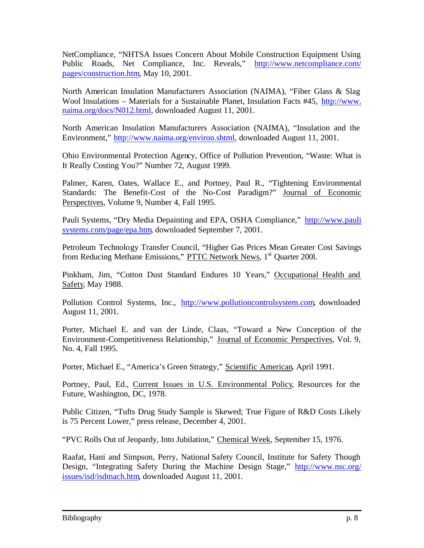NetCompliance, "NHTSA Issues Concern About Mobile Construction Equipment Using Public Roads, Net Compliance, Inc. Reveals," http://www.netcompliance.com/ pages/construction.htm, May 10, 2001.

North American Insulation Manufacturers Association (NAIMA), "Fiber Glass & Slag Wool Insulations – Materials for a Sustainable Planet, Insulation Facts #45, http://www. naima.org/docs/N012.html, downloaded August 11, 2001.

North American Insulation Manufacturers Association (NAIMA), "Insulation and the Environment," http://www.naima.org/environ.shtml, downloaded August 11, 2001.

Ohio Environmental Protection Agency, Office of Pollution Prevention, "Waste: What is It Really Costing You?" Number 72, August 1999.

Palmer, Karen, Oates, Wallace E., and Portney, Paul R., "Tightening Environmental Standards: The Benefit-Cost of the No-Cost Paradigm?" Journal of Economic Perspectives, Volume 9, Number 4, Fall 1995.

Pauli Systems, "Dry Media Depainting and EPA, OSHA Compliance," http://www.pauli systems.com/page/epa.htm, downloaded September 7, 2001.

Petroleum Technology Transfer Council, "Higher Gas Prices Mean Greater Cost Savings from Reducing Methane Emissions," PTTC Network News, 1<sup>st</sup> Quarter 2001.

Pinkham, Jim, "Cotton Dust Standard Endures 10 Years," Occupational Health and Safety, May 1988.

Pollution Control Systems, Inc., http://www.pollutioncontrolsystem.com, downloaded August 11, 2001.

Porter, Michael E. and van der Linde, Claas, "Toward a New Conception of the Environment-Competitiveness Relationship," Journal of Economic Perspectives, Vol. 9, No. 4, Fall 1995.

Porter, Michael E., "America's Green Strategy," Scientific American, April 1991.

Portney, Paul, Ed., Current Issues in U.S. Environmental Policy, Resources for the Future, Washington, DC, 1978.

Public Citizen, "Tufts Drug Study Sample is Skewed; True Figure of R&D Costs Likely is 75 Percent Lower," press release, December 4, 2001.

"PVC Rolls Out of Jeopardy, Into Jubilation," Chemical Week, September 15, 1976.

Raafat, Hani and Simpson, Perry, National Safety Council, Institute for Safety Though Design, "Integrating Safety During the Machine Design Stage," http://www.nsc.org/ issues/isd/isdmach.htm, downloaded August 11, 2001.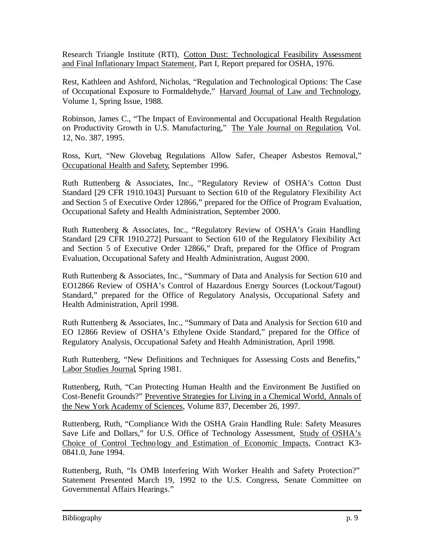Research Triangle Institute (RTI), Cotton Dust: Technological Feasibility Assessment and Final Inflationary Impact Statement, Part I, Report prepared for OSHA, 1976.

Rest, Kathleen and Ashford, Nicholas, "Regulation and Technological Options: The Case of Occupational Exposure to Formaldehyde," Harvard Journal of Law and Technology, Volume 1, Spring Issue, 1988.

Robinson, James C., "The Impact of Environmental and Occupational Health Regulation on Productivity Growth in U.S. Manufacturing," The Yale Journal on Regulation, Vol. 12, No. 387, 1995.

Ross, Kurt, "New Glovebag Regulations Allow Safer, Cheaper Asbestos Removal," Occupational Health and Safety, September 1996.

Ruth Ruttenberg & Associates, Inc., "Regulatory Review of OSHA's Cotton Dust Standard [29 CFR 1910.1043] Pursuant to Section 610 of the Regulatory Flexibility Act and Section 5 of Executive Order 12866," prepared for the Office of Program Evaluation, Occupational Safety and Health Administration, September 2000.

Ruth Ruttenberg & Associates, Inc., "Regulatory Review of OSHA's Grain Handling Standard [29 CFR 1910.272] Pursuant to Section 610 of the Regulatory Flexibility Act and Section 5 of Executive Order 12866," Draft, prepared for the Office of Program Evaluation, Occupational Safety and Health Administration, August 2000.

Ruth Ruttenberg & Associates, Inc., "Summary of Data and Analysis for Section 610 and EO12866 Review of OSHA's Control of Hazardous Energy Sources (Lockout/Tagout) Standard," prepared for the Office of Regulatory Analysis, Occupational Safety and Health Administration, April 1998.

Ruth Ruttenberg & Associates, Inc., "Summary of Data and Analysis for Section 610 and EO 12866 Review of OSHA's Ethylene Oxide Standard," prepared for the Office of Regulatory Analysis, Occupational Safety and Health Administration, April 1998.

Ruth Ruttenberg, "New Definitions and Techniques for Assessing Costs and Benefits," Labor Studies Journal, Spring 1981.

Ruttenberg, Ruth, "Can Protecting Human Health and the Environment Be Justified on Cost-Benefit Grounds?" Preventive Strategies for Living in a Chemical World, Annals of the New York Academy of Sciences, Volume 837, December 26, 1997.

Ruttenberg, Ruth, "Compliance With the OSHA Grain Handling Rule: Safety Measures Save Life and Dollars," for U.S. Office of Technology Assessment, Study of OSHA's Choice of Control Technology and Estimation of Economic Impacts, Contract K3- 0841.0, June 1994.

Ruttenberg, Ruth, "Is OMB Interfering With Worker Health and Safety Protection?" Statement Presented March 19, 1992 to the U.S. Congress, Senate Committee on Governmental Affairs Hearings."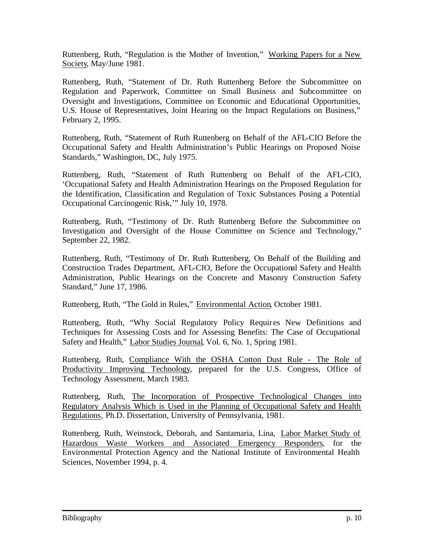Ruttenberg, Ruth, "Regulation is the Mother of Invention," Working Papers for a New Society, May/June 1981.

Ruttenberg, Ruth, "Statement of Dr. Ruth Ruttenberg Before the Subcommittee on Regulation and Paperwork, Committee on Small Business and Subcommittee on Oversight and Investigations, Committee on Economic and Educational Opportunities, U.S. House of Representatives, Joint Hearing on the Impact Regulations on Business," February 2, 1995.

Ruttenberg, Ruth, "Statement of Ruth Ruttenberg on Behalf of the AFL-CIO Before the Occupational Safety and Health Administration's Public Hearings on Proposed Noise Standards," Washington, DC, July 1975.

Ruttenberg, Ruth, "Statement of Ruth Ruttenberg on Behalf of the AFL-CIO, 'Occupational Safety and Health Administration Hearings on the Proposed Regulation for the Identification, Classification and Regulation of Toxic Substances Posing a Potential Occupational Carcinogenic Risk,'" July 10, 1978.

Ruttenberg, Ruth, "Testimony of Dr. Ruth Ruttenberg Before the Subcommittee on Investigation and Oversight of the House Committee on Science and Technology," September 22, 1982.

Ruttenberg, Ruth, "Testimony of Dr. Ruth Ruttenberg, On Behalf of the Building and Construction Trades Department, AFL-CIO, Before the Occupational Safety and Health Administration, Public Hearings on the Concrete and Masonry Construction Safety Standard," June 17, 1986.

Ruttenberg, Ruth, "The Gold in Rules," Environmental Action, October 1981.

Ruttenberg, Ruth, "Why Social Regulatory Policy Requires New Definitions and Techniques for Assessing Costs and for Assessing Benefits: The Case of Occupational Safety and Health," Labor Studies Journal, Vol. 6, No. 1, Spring 1981.

Ruttenberg, Ruth, Compliance With the OSHA Cotton Dust Rule - The Role of Productivity Improving Technology, prepared for the U.S. Congress, Office of Technology Assessment, March 1983.

Ruttenberg, Ruth, The Incorporation of Prospective Technological Changes into Regulatory Analysis Which is Used in the Planning of Occupational Safety and Health Regulations, Ph.D. Dissertation, University of Pennsylvania, 1981.

Ruttenberg, Ruth, Weinstock, Deborah, and Santamaria, Lina, Labor Market Study of Hazardous Waste Workers and Associated Emergency Responders, for the Environmental Protection Agency and the National Institute of Environmental Health Sciences, November 1994, p. 4.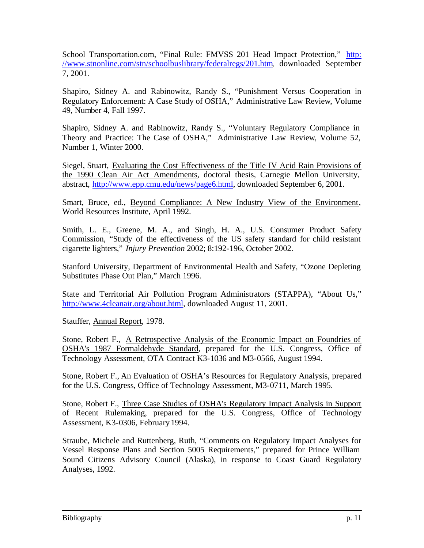School Transportation.com, "Final Rule: FMVSS 201 Head Impact Protection," http: //www.stnonline.com/stn/schoolbuslibrary/federalregs/201.htm, downloaded September 7, 2001.

Shapiro, Sidney A. and Rabinowitz, Randy S., "Punishment Versus Cooperation in Regulatory Enforcement: A Case Study of OSHA," Administrative Law Review, Volume 49, Number 4, Fall 1997.

Shapiro, Sidney A. and Rabinowitz, Randy S., "Voluntary Regulatory Compliance in Theory and Practice: The Case of OSHA," Administrative Law Review, Volume 52, Number 1, Winter 2000.

Siegel, Stuart, Evaluating the Cost Effectiveness of the Title IV Acid Rain Provisions of the 1990 Clean Air Act Amendments, doctoral thesis, Carnegie Mellon University, abstract, http://www.epp.cmu.edu/news/page6.html, downloaded September 6, 2001.

Smart, Bruce, ed., Beyond Compliance: A New Industry View of the Environment, World Resources Institute, April 1992.

Smith, L. E., Greene, M. A., and Singh, H. A., U.S. Consumer Product Safety Commission, "Study of the effectiveness of the US safety standard for child resistant cigarette lighters," *Injury Prevention* 2002; 8:192-196, October 2002.

Stanford University, Department of Environmental Health and Safety, "Ozone Depleting Substitutes Phase Out Plan," March 1996.

State and Territorial Air Pollution Program Administrators (STAPPA), "About Us," http://www.4cleanair.org/about.html, downloaded August 11, 2001.

Stauffer, Annual Report, 1978.

Stone, Robert F., A Retrospective Analysis of the Economic Impact on Foundries of OSHA's 1987 Formaldehyde Standard, prepared for the U.S. Congress, Office of Technology Assessment, OTA Contract K3-1036 and M3-0566, August 1994.

Stone, Robert F., An Evaluation of OSHA's Resources for Regulatory Analysis, prepared for the U.S. Congress, Office of Technology Assessment, M3-0711, March 1995.

Stone, Robert F., Three Case Studies of OSHA's Regulatory Impact Analysis in Support of Recent Rulemaking, prepared for the U.S. Congress, Office of Technology Assessment, K3-0306, February 1994.

Straube, Michele and Ruttenberg, Ruth, "Comments on Regulatory Impact Analyses for Vessel Response Plans and Section 5005 Requirements," prepared for Prince William Sound Citizens Advisory Council (Alaska), in response to Coast Guard Regulatory Analyses, 1992.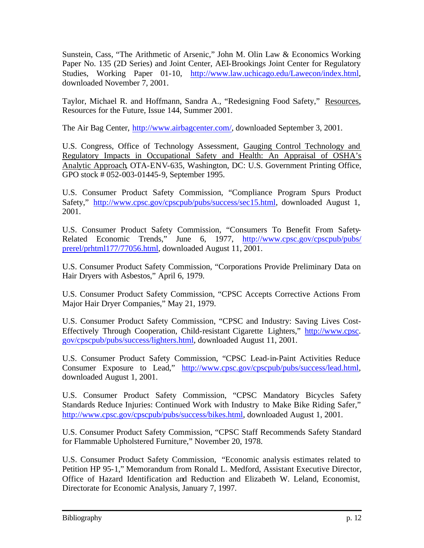Sunstein, Cass, "The Arithmetic of Arsenic," John M. Olin Law & Economics Working Paper No. 135 (2D Series) and Joint Center, AEI-Brookings Joint Center for Regulatory Studies, Working Paper 01-10, http://www.law.uchicago.edu/Lawecon/index.html, downloaded November 7, 2001.

Taylor, Michael R. and Hoffmann, Sandra A., "Redesigning Food Safety," Resources, Resources for the Future, Issue 144, Summer 2001.

The Air Bag Center, http://www.airbagcenter.com/, downloaded September 3, 2001.

U.S. Congress, Office of Technology Assessment, Gauging Control Technology and Regulatory Impacts in Occupational Safety and Health: An Appraisal of OSHA's Analytic Approach, OTA-ENV-635, Washington, DC: U.S. Government Printing Office, GPO stock # 052-003-01445-9, September 1995.

U.S. Consumer Product Safety Commission, "Compliance Program Spurs Product Safety," http://www.cpsc.gov/cpscpub/pubs/success/sec15.html, downloaded August 1, 2001.

U.S. Consumer Product Safety Commission, "Consumers To Benefit From Safety-Related Economic Trends," June 6, 1977, http://www.cpsc.gov/cpscpub/pubs/ prerel/prhtml177/77056.html, downloaded August 11, 2001.

U.S. Consumer Product Safety Commission, "Corporations Provide Preliminary Data on Hair Dryers with Asbestos," April 6, 1979.

U.S. Consumer Product Safety Commission, "CPSC Accepts Corrective Actions From Major Hair Dryer Companies," May 21, 1979.

U.S. Consumer Product Safety Commission, "CPSC and Industry: Saving Lives Cost-Effectively Through Cooperation, Child-resistant Cigarette Lighters," http://www.cpsc. gov/cpscpub/pubs/success/lighters.html, downloaded August 11, 2001.

U.S. Consumer Product Safety Commission, "CPSC Lead-in-Paint Activities Reduce Consumer Exposure to Lead," http://www.cpsc.gov/cpscpub/pubs/success/lead.html, downloaded August 1, 2001.

U.S. Consumer Product Safety Commission, "CPSC Mandatory Bicycles Safety Standards Reduce Injuries: Continued Work with Industry to Make Bike Riding Safer," http://www.cpsc.gov/cpscpub/pubs/success/bikes.html, downloaded August 1, 2001.

U.S. Consumer Product Safety Commission, "CPSC Staff Recommends Safety Standard for Flammable Upholstered Furniture," November 20, 1978.

U.S. Consumer Product Safety Commission, "Economic analysis estimates related to Petition HP 95-1," Memorandum from Ronald L. Medford, Assistant Executive Director, Office of Hazard Identification and Reduction and Elizabeth W. Leland, Economist, Directorate for Economic Analysis, January 7, 1997.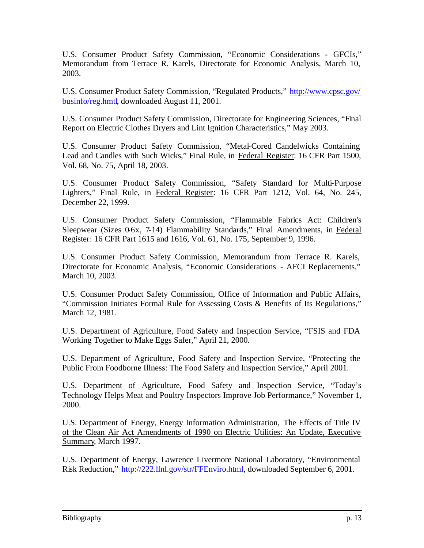U.S. Consumer Product Safety Commission, "Economic Considerations - GFCIs," Memorandum from Terrace R. Karels, Directorate for Economic Analysis, March 10, 2003.

U.S. Consumer Product Safety Commission, "Regulated Products," http://www.cpsc.gov/ businfo/reg.hmtl, downloaded August 11, 2001.

U.S. Consumer Product Safety Commission, Directorate for Engineering Sciences, "Final Report on Electric Clothes Dryers and Lint Ignition Characteristics," May 2003.

U.S. Consumer Product Safety Commission, "Metal-Cored Candelwicks Containing Lead and Candles with Such Wicks," Final Rule, in Federal Register: 16 CFR Part 1500, Vol. 68, No. 75, April 18, 2003.

U.S. Consumer Product Safety Commission, "Safety Standard for Multi-Purpose Lighters," Final Rule, in Federal Register: 16 CFR Part 1212, Vol. 64, No. 245, December 22, 1999.

U.S. Consumer Product Safety Commission, "Flammable Fabrics Act: Children's Sleepwear (Sizes 0-6x, 7-14) Flammability Standards," Final Amendments, in Federal Register: 16 CFR Part 1615 and 1616, Vol. 61, No. 175, September 9, 1996.

U.S. Consumer Product Safety Commission, Memorandum from Terrace R. Karels, Directorate for Economic Analysis, "Economic Considerations - AFCI Replacements," March 10, 2003.

U.S. Consumer Product Safety Commission, Office of Information and Public Affairs, "Commission Initiates Formal Rule for Assessing Costs & Benefits of Its Regulations," March 12, 1981.

U.S. Department of Agriculture, Food Safety and Inspection Service, "FSIS and FDA Working Together to Make Eggs Safer," April 21, 2000.

U.S. Department of Agriculture, Food Safety and Inspection Service, "Protecting the Public From Foodborne Illness: The Food Safety and Inspection Service," April 2001.

U.S. Department of Agriculture, Food Safety and Inspection Service, "Today's Technology Helps Meat and Poultry Inspectors Improve Job Performance," November 1, 2000.

U.S. Department of Energy, Energy Information Administration, The Effects of Title IV of the Clean Air Act Amendments of 1990 on Electric Utilities: An Update, Executive Summary, March 1997.

U.S. Department of Energy, Lawrence Livermore National Laboratory, "Environmental Risk Reduction," http://222.llnl.gov/str/FFEnviro.html, downloaded September 6, 2001.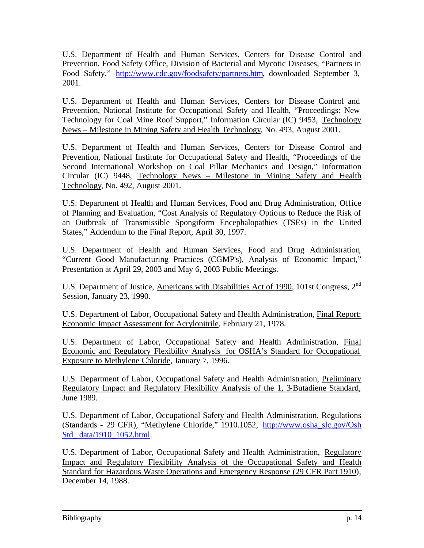U.S. Department of Health and Human Services, Centers for Disease Control and Prevention, Food Safety Office, Division of Bacterial and Mycotic Diseases, "Partners in Food Safety," http://www.cdc.gov/foodsafety/partners.htm, downloaded September 3, 2001.

U.S. Department of Health and Human Services, Centers for Disease Control and Prevention, National Institute for Occupational Safety and Health, "Proceedings: New Technology for Coal Mine Roof Support," Information Circular (IC) 9453, Technology News – Milestone in Mining Safety and Health Technology, No. 493, August 2001.

U.S. Department of Health and Human Services, Centers for Disease Control and Prevention, National Institute for Occupational Safety and Health, "Proceedings of the Second International Workshop on Coal Pillar Mechanics and Design," Information Circular (IC) 9448, Technology News – Milestone in Mining Safety and Health Technology, No. 492, August 2001.

U.S. Department of Health and Human Services, Food and Drug Administration, Office of Planning and Evaluation, "Cost Analysis of Regulatory Options to Reduce the Risk of an Outbreak of Transmissible Spongiform Encephalopathies (TSEs) in the United States," Addendum to the Final Report, April 30, 1997.

U.S. Department of Health and Human Services, Food and Drug Administration, "Current Good Manufacturing Practices (CGMP's), Analysis of Economic Impact," Presentation at April 29, 2003 and May 6, 2003 Public Meetings.

U.S. Department of Justice, Americans with Disabilities Act of 1990, 101st Congress, 2<sup>nd</sup> Session, January 23, 1990.

U.S. Department of Labor, Occupational Safety and Health Administration, Final Report: Economic Impact Assessment for Acrylonitrile, February 21, 1978.

U.S. Department of Labor, Occupational Safety and Health Administration, Final Economic and Regulatory Flexibility Analysis for OSHA's Standard for Occupational Exposure to Methylene Chloride, January 7, 1996.

U.S. Department of Labor, Occupational Safety and Health Administration, Preliminary Regulatory Impact and Regulatory Flexibility Analysis of the 1, 3-Butadiene Standard, June 1989.

U.S. Department of Labor, Occupational Safety and Health Administration, Regulations (Standards - 29 CFR), "Methylene Chloride," 1910.1052, http://www.osha\_slc.gov/Osh Std\_ data/1910\_1052.html.

U.S. Department of Labor, Occupational Safety and Health Administration, Regulatory Impact and Regulatory Flexibility Analysis of the Occupational Safety and Health Standard for Hazardous Waste Operations and Emergency Response (29 CFR Part 1910), December 14, 1988.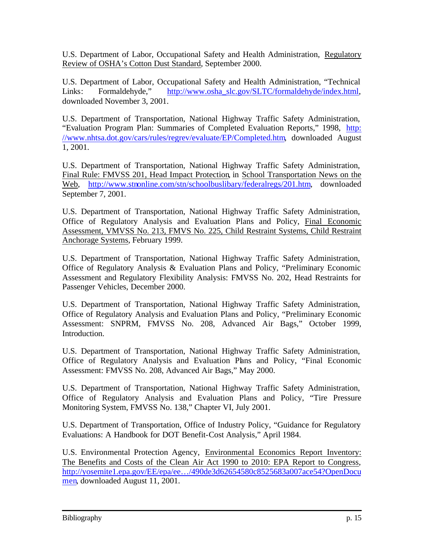U.S. Department of Labor, Occupational Safety and Health Administration, Regulatory Review of OSHA's Cotton Dust Standard, September 2000.

U.S. Department of Labor, Occupational Safety and Health Administration, "Technical Links: Formaldehyde," http://www.osha\_slc.gov/SLTC/formaldehyde/index.html, downloaded November 3, 2001.

U.S. Department of Transportation, National Highway Traffic Safety Administration, "Evaluation Program Plan: Summaries of Completed Evaluation Reports," 1998, http: //www.nhtsa.dot.gov/cars/rules/regrev/evaluate/EP/Completed.htm, downloaded August 1, 2001.

U.S. Department of Transportation, National Highway Traffic Safety Administration, Final Rule: FMVSS 201, Head Impact Protection, in School Transportation News on the Web, http://www.stnonline.com/stn/schoolbuslibary/federalregs/201.htm, downloaded September 7, 2001.

U.S. Department of Transportation, National Highway Traffic Safety Administration, Office of Regulatory Analysis and Evaluation Plans and Policy, Final Economic Assessment, VMVSS No. 213, FMVS No. 225, Child Restraint Systems, Child Restraint Anchorage Systems, February 1999.

U.S. Department of Transportation, National Highway Traffic Safety Administration, Office of Regulatory Analysis & Evaluation Plans and Policy, "Preliminary Economic Assessment and Regulatory Flexibility Analysis: FMVSS No. 202, Head Restraints for Passenger Vehicles, December 2000.

U.S. Department of Transportation, National Highway Traffic Safety Administration, Office of Regulatory Analysis and Evaluation Plans and Policy, "Preliminary Economic Assessment: SNPRM, FMVSS No. 208, Advanced Air Bags," October 1999, Introduction.

U.S. Department of Transportation, National Highway Traffic Safety Administration, Office of Regulatory Analysis and Evaluation Plans and Policy, "Final Economic Assessment: FMVSS No. 208, Advanced Air Bags," May 2000.

U.S. Department of Transportation, National Highway Traffic Safety Administration, Office of Regulatory Analysis and Evaluation Plans and Policy, "Tire Pressure Monitoring System, FMVSS No. 138," Chapter VI, July 2001.

U.S. Department of Transportation, Office of Industry Policy, "Guidance for Regulatory Evaluations: A Handbook for DOT Benefit-Cost Analysis," April 1984.

U.S. Environmental Protection Agency, Environmental Economics Report Inventory: The Benefits and Costs of the Clean Air Act 1990 to 2010: EPA Report to Congress, http://yosemite1.epa.gov/EE/epa/ee…/490de3d62654580c8525683a007ace54?OpenDocu men, downloaded August 11, 2001.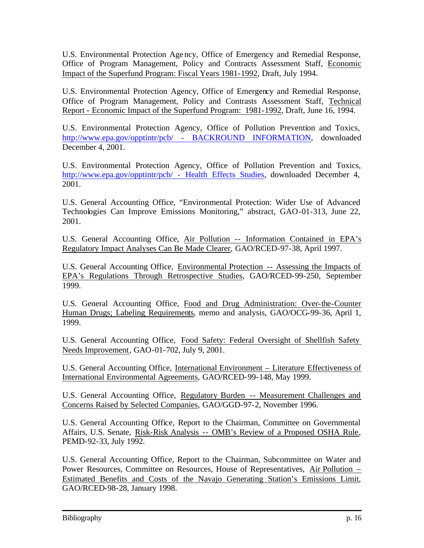U.S. Environmental Protection Agency, Office of Emergency and Remedial Response, Office of Program Management, Policy and Contracts Assessment Staff, Economic Impact of the Superfund Program: Fiscal Years 1981-1992, Draft, July 1994.

U.S. Environmental Protection Agency, Office of Emergency and Remedial Response, Office of Program Management, Policy and Contrasts Assessment Staff, Technical Report - Economic Impact of the Superfund Program: 1981-1992, Draft, June 16, 1994.

U.S. Environmental Protection Agency, Office of Pollution Prevention and Toxics, http://www.epa.gov/opptintr/pcb/ - BACKROUND INFORMATION, downloaded December 4, 2001.

U.S. Environmental Protection Agency, Office of Pollution Prevention and Toxics, http://www.epa.gov/opptintr/pcb/ - Health Effects Studies, downloaded December 4, 2001.

U.S. General Accounting Office, "Environmental Protection: Wider Use of Advanced Technologies Can Improve Emissions Monitoring," abstract, GAO-01-313, June 22, 2001.

U.S. General Accounting Office, Air Pollution -- Information Contained in EPA's Regulatory Impact Analyses Can Be Made Clearer, GAO/RCED-97-38, April 1997.

U.S. General Accounting Office, Environmental Protection -- Assessing the Impacts of EPA's Regulations Through Retrospective Studies, GAO/RCED-99-250, September 1999.

U.S. General Accounting Office, Food and Drug Administration: Over-the-Counter Human Drugs; Labeling Requirements, memo and analysis, GAO/OCG-99-36, April 1, 1999.

U.S. General Accounting Office, Food Safety: Federal Oversight of Shellfish Safety Needs Improvement, GAO-01-702, July 9, 2001.

U.S. General Accounting Office, International Environment – Literature Effectiveness of International Environmental Agreements, GAO/RCED-99-148, May 1999.

U.S. General Accounting Office, Regulatory Burden -- Measurement Challenges and Concerns Raised by Selected Companies, GAO/GGD-97-2, November 1996.

U.S. General Accounting Office, Report to the Chairman, Committee on Governmental Affairs, U.S. Senate, Risk-Risk Analysis -- OMB's Review of a Proposed OSHA Rule, PEMD-92-33, July 1992.

U.S. General Accounting Office, Report to the Chairman, Subcommittee on Water and Power Resources, Committee on Resources, House of Representatives, Air Pollution – Estimated Benefits and Costs of the Navajo Generating Station's Emissions Limit, GAO/RCED-98-28, January 1998.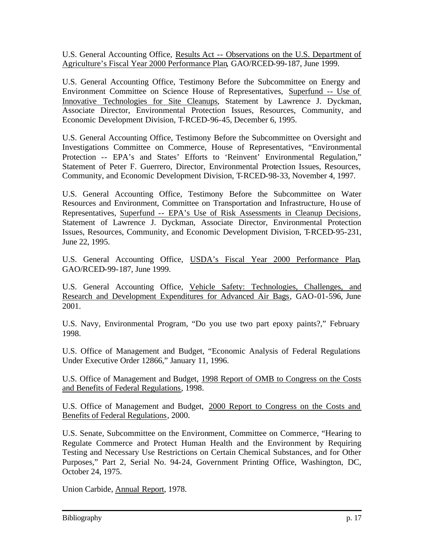U.S. General Accounting Office, Results Act -- Observations on the U.S. Department of Agriculture's Fiscal Year 2000 Performance Plan, GAO/RCED-99-187, June 1999.

U.S. General Accounting Office, Testimony Before the Subcommittee on Energy and Environment Committee on Science House of Representatives, Superfund -- Use of Innovative Technologies for Site Cleanups, Statement by Lawrence J. Dyckman, Associate Director, Environmental Protection Issues, Resources, Community, and Economic Development Division, T-RCED-96-45, December 6, 1995.

U.S. General Accounting Office, Testimony Before the Subcommittee on Oversight and Investigations Committee on Commerce, House of Representatives, "Environmental Protection -- EPA's and States' Efforts to 'Reinvent' Environmental Regulation," Statement of Peter F. Guerrero, Director, Environmental Protection Issues, Resources, Community, and Economic Development Division, T-RCED-98-33, November 4, 1997.

U.S. General Accounting Office, Testimony Before the Subcommittee on Water Resources and Environment, Committee on Transportation and Infrastructure, House of Representatives, Superfund -- EPA's Use of Risk Assessments in Cleanup Decisions, Statement of Lawrence J. Dyckman, Associate Director, Environmental Protection Issues, Resources, Community, and Economic Development Division, T-RCED-95-231, June 22, 1995.

U.S. General Accounting Office, USDA's Fiscal Year 2000 Performance Plan, GAO/RCED-99-187, June 1999.

U.S. General Accounting Office, Vehicle Safety: Technologies, Challenges, and Research and Development Expenditures for Advanced Air Bags, GAO-01-596, June 2001.

U.S. Navy, Environmental Program, "Do you use two part epoxy paints?," February 1998.

U.S. Office of Management and Budget, "Economic Analysis of Federal Regulations Under Executive Order 12866," January 11, 1996.

U.S. Office of Management and Budget, 1998 Report of OMB to Congress on the Costs and Benefits of Federal Regulations, 1998.

U.S. Office of Management and Budget, 2000 Report to Congress on the Costs and Benefits of Federal Regulations, 2000.

U.S. Senate, Subcommittee on the Environment, Committee on Commerce, "Hearing to Regulate Commerce and Protect Human Health and the Environment by Requiring Testing and Necessary Use Restrictions on Certain Chemical Substances, and for Other Purposes," Part 2, Serial No. 94-24, Government Printing Office, Washington, DC, October 24, 1975.

Union Carbide, Annual Report, 1978.